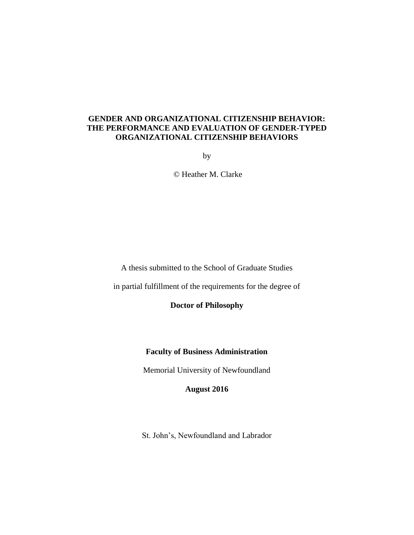# **GENDER AND ORGANIZATIONAL CITIZENSHIP BEHAVIOR: THE PERFORMANCE AND EVALUATION OF GENDER-TYPED ORGANIZATIONAL CITIZENSHIP BEHAVIORS**

by

© Heather M. Clarke

A thesis submitted to the School of Graduate Studies

in partial fulfillment of the requirements for the degree of

**Doctor of Philosophy**

**Faculty of Business Administration**

Memorial University of Newfoundland

**August 2016**

St. John's, Newfoundland and Labrador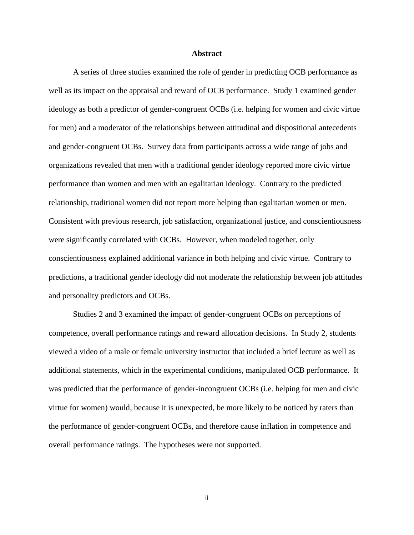## **Abstract**

A series of three studies examined the role of gender in predicting OCB performance as well as its impact on the appraisal and reward of OCB performance. Study 1 examined gender ideology as both a predictor of gender-congruent OCBs (i.e. helping for women and civic virtue for men) and a moderator of the relationships between attitudinal and dispositional antecedents and gender-congruent OCBs. Survey data from participants across a wide range of jobs and organizations revealed that men with a traditional gender ideology reported more civic virtue performance than women and men with an egalitarian ideology. Contrary to the predicted relationship, traditional women did not report more helping than egalitarian women or men. Consistent with previous research, job satisfaction, organizational justice, and conscientiousness were significantly correlated with OCBs. However, when modeled together, only conscientiousness explained additional variance in both helping and civic virtue. Contrary to predictions, a traditional gender ideology did not moderate the relationship between job attitudes and personality predictors and OCBs.

Studies 2 and 3 examined the impact of gender-congruent OCBs on perceptions of competence, overall performance ratings and reward allocation decisions. In Study 2, students viewed a video of a male or female university instructor that included a brief lecture as well as additional statements, which in the experimental conditions, manipulated OCB performance. It was predicted that the performance of gender-incongruent OCBs (i.e. helping for men and civic virtue for women) would, because it is unexpected, be more likely to be noticed by raters than the performance of gender-congruent OCBs, and therefore cause inflation in competence and overall performance ratings. The hypotheses were not supported.

ii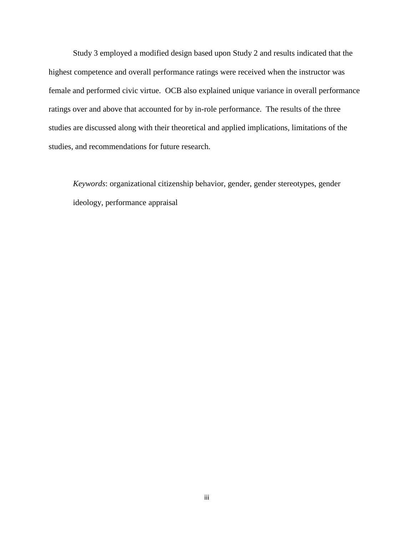Study 3 employed a modified design based upon Study 2 and results indicated that the highest competence and overall performance ratings were received when the instructor was female and performed civic virtue. OCB also explained unique variance in overall performance ratings over and above that accounted for by in-role performance. The results of the three studies are discussed along with their theoretical and applied implications, limitations of the studies, and recommendations for future research.

*Keywords*: organizational citizenship behavior, gender, gender stereotypes, gender ideology, performance appraisal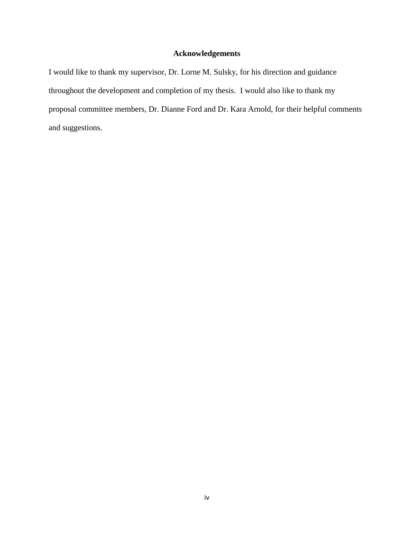# **Acknowledgements**

I would like to thank my supervisor, Dr. Lorne M. Sulsky, for his direction and guidance throughout the development and completion of my thesis. I would also like to thank my proposal committee members, Dr. Dianne Ford and Dr. Kara Arnold, for their helpful comments and suggestions.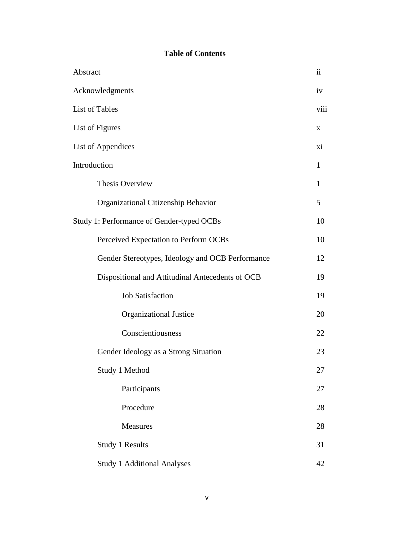# **Table of Contents**

| Abstract                                         | ii           |
|--------------------------------------------------|--------------|
| Acknowledgments                                  | iv           |
| List of Tables                                   | viii         |
| List of Figures                                  | X            |
| List of Appendices                               | xi           |
| Introduction                                     | $\mathbf{1}$ |
| Thesis Overview                                  | $\mathbf{1}$ |
| Organizational Citizenship Behavior              | 5            |
| Study 1: Performance of Gender-typed OCBs        | 10           |
| Perceived Expectation to Perform OCBs            | 10           |
| Gender Stereotypes, Ideology and OCB Performance | 12           |
| Dispositional and Attitudinal Antecedents of OCB | 19           |
| <b>Job Satisfaction</b>                          | 19           |
| Organizational Justice                           | 20           |
| Conscientiousness                                | 22           |
| Gender Ideology as a Strong Situation            | 23           |
| Study 1 Method                                   | 27           |
| Participants                                     | 27           |
| Procedure                                        | 28           |
| Measures                                         | 28           |
| <b>Study 1 Results</b>                           | 31           |
| <b>Study 1 Additional Analyses</b>               | 42           |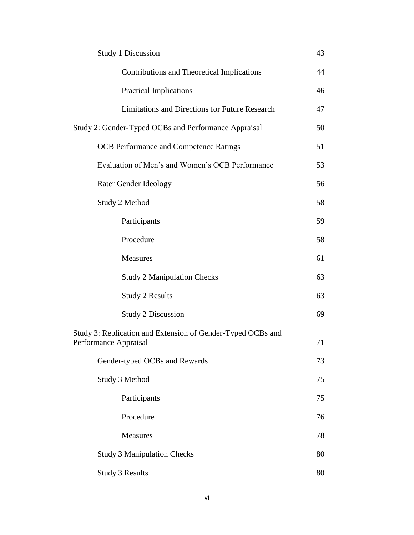| <b>Study 1 Discussion</b>                                                            | 43 |
|--------------------------------------------------------------------------------------|----|
| Contributions and Theoretical Implications                                           | 44 |
| <b>Practical Implications</b>                                                        | 46 |
| Limitations and Directions for Future Research                                       | 47 |
| Study 2: Gender-Typed OCBs and Performance Appraisal                                 | 50 |
| <b>OCB</b> Performance and Competence Ratings                                        | 51 |
| Evaluation of Men's and Women's OCB Performance                                      | 53 |
| Rater Gender Ideology                                                                | 56 |
| Study 2 Method                                                                       | 58 |
| Participants                                                                         | 59 |
| Procedure                                                                            | 58 |
| Measures                                                                             | 61 |
| <b>Study 2 Manipulation Checks</b>                                                   | 63 |
| <b>Study 2 Results</b>                                                               | 63 |
| <b>Study 2 Discussion</b>                                                            | 69 |
| Study 3: Replication and Extension of Gender-Typed OCBs and<br>Performance Appraisal | 71 |
| Gender-typed OCBs and Rewards                                                        | 73 |
| Study 3 Method                                                                       | 75 |
| Participants                                                                         | 75 |
| Procedure                                                                            | 76 |
| <b>Measures</b>                                                                      | 78 |
| <b>Study 3 Manipulation Checks</b>                                                   | 80 |
| <b>Study 3 Results</b>                                                               | 80 |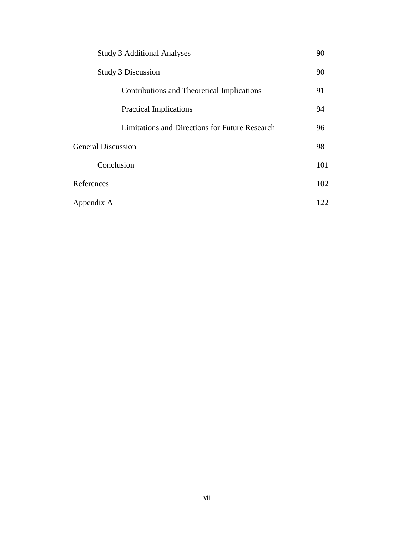| <b>Study 3 Additional Analyses</b>             |     |
|------------------------------------------------|-----|
| <b>Study 3 Discussion</b>                      | 90  |
| Contributions and Theoretical Implications     | 91  |
| <b>Practical Implications</b>                  | 94  |
| Limitations and Directions for Future Research | 96  |
| <b>General Discussion</b>                      | 98  |
| Conclusion                                     | 101 |
| References                                     | 102 |
| Appendix A                                     | 122 |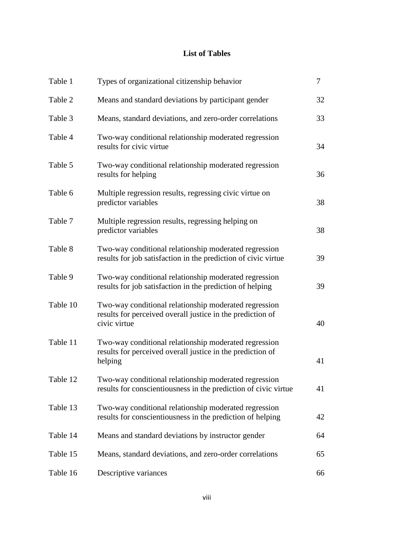# **List of Tables**

| Table 1  | Types of organizational citizenship behavior                                                                                        | $\tau$ |
|----------|-------------------------------------------------------------------------------------------------------------------------------------|--------|
| Table 2  | Means and standard deviations by participant gender                                                                                 | 32     |
| Table 3  | Means, standard deviations, and zero-order correlations                                                                             | 33     |
| Table 4  | Two-way conditional relationship moderated regression<br>results for civic virtue                                                   | 34     |
| Table 5  | Two-way conditional relationship moderated regression<br>results for helping                                                        | 36     |
| Table 6  | Multiple regression results, regressing civic virtue on<br>predictor variables                                                      | 38     |
| Table 7  | Multiple regression results, regressing helping on<br>predictor variables                                                           | 38     |
| Table 8  | Two-way conditional relationship moderated regression<br>results for job satisfaction in the prediction of civic virtue             | 39     |
| Table 9  | Two-way conditional relationship moderated regression<br>results for job satisfaction in the prediction of helping                  | 39     |
| Table 10 | Two-way conditional relationship moderated regression<br>results for perceived overall justice in the prediction of<br>civic virtue | 40     |
| Table 11 | Two-way conditional relationship moderated regression<br>results for perceived overall justice in the prediction of<br>helping      | 41     |
| Table 12 | Two-way conditional relationship moderated regression<br>results for conscientiousness in the prediction of civic virtue            | 41     |
| Table 13 | Two-way conditional relationship moderated regression<br>results for conscientiousness in the prediction of helping                 | 42     |
| Table 14 | Means and standard deviations by instructor gender                                                                                  | 64     |
| Table 15 | Means, standard deviations, and zero-order correlations                                                                             | 65     |
| Table 16 | Descriptive variances                                                                                                               | 66     |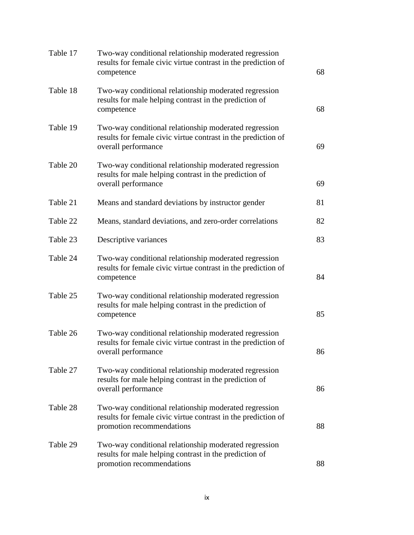| Table 17 | Two-way conditional relationship moderated regression<br>results for female civic virtue contrast in the prediction of<br>competence                | 68 |
|----------|-----------------------------------------------------------------------------------------------------------------------------------------------------|----|
| Table 18 | Two-way conditional relationship moderated regression<br>results for male helping contrast in the prediction of<br>competence                       | 68 |
| Table 19 | Two-way conditional relationship moderated regression<br>results for female civic virtue contrast in the prediction of<br>overall performance       | 69 |
| Table 20 | Two-way conditional relationship moderated regression<br>results for male helping contrast in the prediction of<br>overall performance              | 69 |
| Table 21 | Means and standard deviations by instructor gender                                                                                                  | 81 |
| Table 22 | Means, standard deviations, and zero-order correlations                                                                                             | 82 |
| Table 23 | Descriptive variances                                                                                                                               | 83 |
| Table 24 | Two-way conditional relationship moderated regression<br>results for female civic virtue contrast in the prediction of<br>competence                | 84 |
| Table 25 | Two-way conditional relationship moderated regression<br>results for male helping contrast in the prediction of<br>competence                       | 85 |
| Table 26 | Two-way conditional relationship moderated regression<br>results for female civic virtue contrast in the prediction of<br>overall performance       | 86 |
| Table 27 | Two-way conditional relationship moderated regression<br>results for male helping contrast in the prediction of<br>overall performance              | 86 |
| Table 28 | Two-way conditional relationship moderated regression<br>results for female civic virtue contrast in the prediction of<br>promotion recommendations | 88 |
| Table 29 | Two-way conditional relationship moderated regression<br>results for male helping contrast in the prediction of<br>promotion recommendations        | 88 |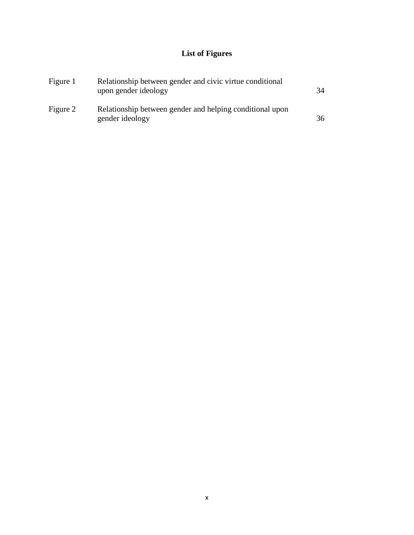# **List of Figures**

| Figure 1 | Relationship between gender and civic virtue conditional<br>upon gender ideology | 34 |
|----------|----------------------------------------------------------------------------------|----|
| Figure 2 | Relationship between gender and helping conditional upon<br>gender ideology      | 36 |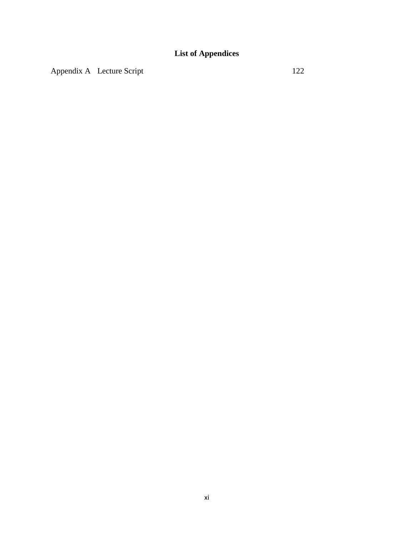Appendix A Lecture Script 122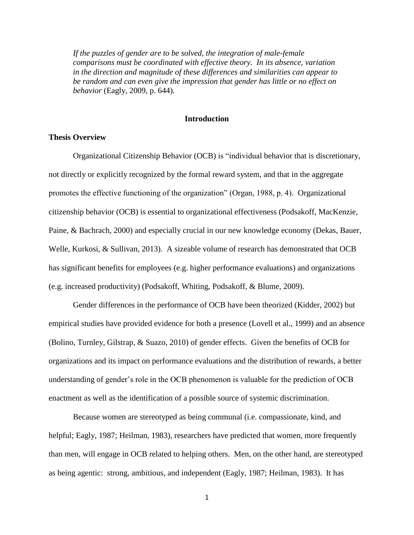*If the puzzles of gender are to be solved, the integration of male-female comparisons must be coordinated with effective theory. In its absence, variation in the direction and magnitude of these differences and similarities can appear to be random and can even give the impression that gender has little or no effect on behavior* (Eagly, 2009, p. 644)*.* 

# **Introduction**

# **Thesis Overview**

Organizational Citizenship Behavior (OCB) is "individual behavior that is discretionary, not directly or explicitly recognized by the formal reward system, and that in the aggregate promotes the effective functioning of the organization" (Organ, 1988, p. 4). Organizational citizenship behavior (OCB) is essential to organizational effectiveness (Podsakoff, MacKenzie, Paine, & Bachrach, 2000) and especially crucial in our new knowledge economy (Dekas, Bauer, Welle, Kurkosi, & Sullivan, 2013). A sizeable volume of research has demonstrated that OCB has significant benefits for employees (e.g. higher performance evaluations) and organizations (e.g. increased productivity) (Podsakoff, Whiting, Podsakoff, & Blume, 2009).

Gender differences in the performance of OCB have been theorized (Kidder, 2002) but empirical studies have provided evidence for both a presence (Lovell et al., 1999) and an absence (Bolino, Turnley, Gilstrap, & Suazo, 2010) of gender effects. Given the benefits of OCB for organizations and its impact on performance evaluations and the distribution of rewards, a better understanding of gender's role in the OCB phenomenon is valuable for the prediction of OCB enactment as well as the identification of a possible source of systemic discrimination.

Because women are stereotyped as being communal (i.e. compassionate, kind, and helpful; Eagly, 1987; Heilman, 1983), researchers have predicted that women, more frequently than men, will engage in OCB related to helping others. Men, on the other hand, are stereotyped as being agentic: strong, ambitious, and independent (Eagly, 1987; Heilman, 1983). It has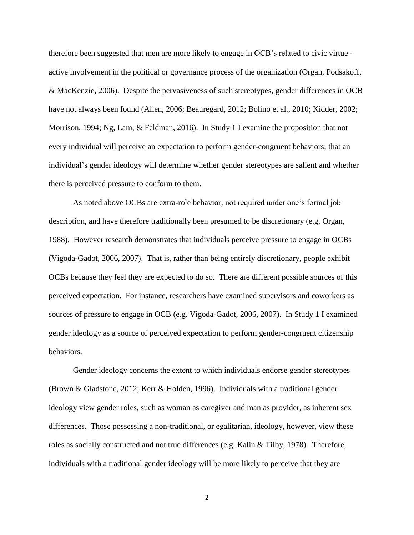therefore been suggested that men are more likely to engage in OCB's related to civic virtue active involvement in the political or governance process of the organization (Organ, Podsakoff, & MacKenzie, 2006). Despite the pervasiveness of such stereotypes, gender differences in OCB have not always been found (Allen, 2006; Beauregard, 2012; Bolino et al., 2010; Kidder, 2002; Morrison, 1994; Ng, Lam, & Feldman, 2016). In Study 1 I examine the proposition that not every individual will perceive an expectation to perform gender-congruent behaviors; that an individual's gender ideology will determine whether gender stereotypes are salient and whether there is perceived pressure to conform to them.

As noted above OCBs are extra-role behavior, not required under one's formal job description, and have therefore traditionally been presumed to be discretionary (e.g. Organ, 1988). However research demonstrates that individuals perceive pressure to engage in OCBs (Vigoda-Gadot, 2006, 2007). That is, rather than being entirely discretionary, people exhibit OCBs because they feel they are expected to do so. There are different possible sources of this perceived expectation. For instance, researchers have examined supervisors and coworkers as sources of pressure to engage in OCB (e.g. Vigoda-Gadot, 2006, 2007). In Study 1 I examined gender ideology as a source of perceived expectation to perform gender-congruent citizenship behaviors.

Gender ideology concerns the extent to which individuals endorse gender stereotypes (Brown & Gladstone, 2012; Kerr & Holden, 1996). Individuals with a traditional gender ideology view gender roles, such as woman as caregiver and man as provider, as inherent sex differences. Those possessing a non-traditional, or egalitarian, ideology, however, view these roles as socially constructed and not true differences (e.g. Kalin & Tilby, 1978). Therefore, individuals with a traditional gender ideology will be more likely to perceive that they are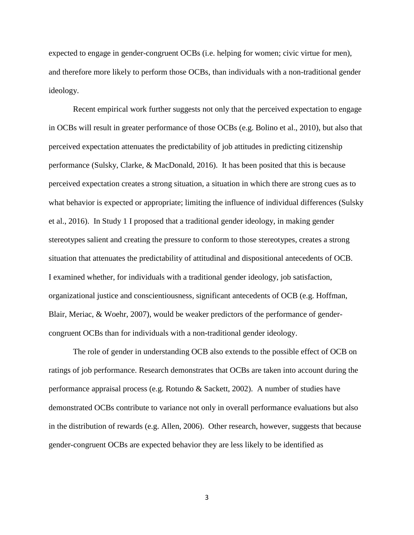expected to engage in gender-congruent OCBs (i.e. helping for women; civic virtue for men), and therefore more likely to perform those OCBs, than individuals with a non-traditional gender ideology.

Recent empirical work further suggests not only that the perceived expectation to engage in OCBs will result in greater performance of those OCBs (e.g. Bolino et al., 2010), but also that perceived expectation attenuates the predictability of job attitudes in predicting citizenship performance (Sulsky, Clarke, & MacDonald, 2016). It has been posited that this is because perceived expectation creates a strong situation, a situation in which there are strong cues as to what behavior is expected or appropriate; limiting the influence of individual differences (Sulsky et al., 2016). In Study 1 I proposed that a traditional gender ideology, in making gender stereotypes salient and creating the pressure to conform to those stereotypes, creates a strong situation that attenuates the predictability of attitudinal and dispositional antecedents of OCB. I examined whether, for individuals with a traditional gender ideology, job satisfaction, organizational justice and conscientiousness, significant antecedents of OCB (e.g. Hoffman, Blair, Meriac, & Woehr, 2007), would be weaker predictors of the performance of gendercongruent OCBs than for individuals with a non-traditional gender ideology.

The role of gender in understanding OCB also extends to the possible effect of OCB on ratings of job performance. Research demonstrates that OCBs are taken into account during the performance appraisal process (e.g. Rotundo & Sackett, 2002). A number of studies have demonstrated OCBs contribute to variance not only in overall performance evaluations but also in the distribution of rewards (e.g. Allen, 2006). Other research, however, suggests that because gender-congruent OCBs are expected behavior they are less likely to be identified as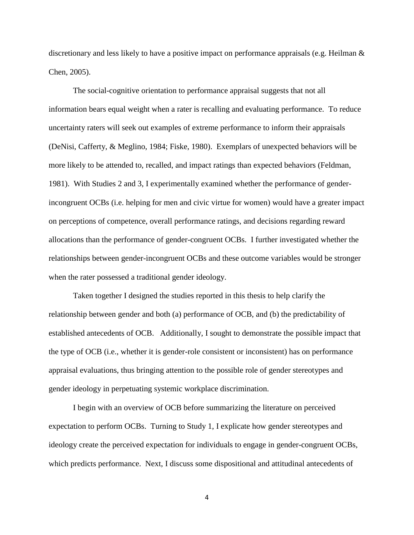discretionary and less likely to have a positive impact on performance appraisals (e.g. Heilman & Chen, 2005).

The social-cognitive orientation to performance appraisal suggests that not all information bears equal weight when a rater is recalling and evaluating performance. To reduce uncertainty raters will seek out examples of extreme performance to inform their appraisals (DeNisi, Cafferty, & Meglino, 1984; Fiske, 1980). Exemplars of unexpected behaviors will be more likely to be attended to, recalled, and impact ratings than expected behaviors (Feldman, 1981). With Studies 2 and 3, I experimentally examined whether the performance of genderincongruent OCBs (i.e. helping for men and civic virtue for women) would have a greater impact on perceptions of competence, overall performance ratings, and decisions regarding reward allocations than the performance of gender-congruent OCBs. I further investigated whether the relationships between gender-incongruent OCBs and these outcome variables would be stronger when the rater possessed a traditional gender ideology.

Taken together I designed the studies reported in this thesis to help clarify the relationship between gender and both (a) performance of OCB, and (b) the predictability of established antecedents of OCB. Additionally, I sought to demonstrate the possible impact that the type of OCB (i.e., whether it is gender-role consistent or inconsistent) has on performance appraisal evaluations, thus bringing attention to the possible role of gender stereotypes and gender ideology in perpetuating systemic workplace discrimination.

I begin with an overview of OCB before summarizing the literature on perceived expectation to perform OCBs. Turning to Study 1, I explicate how gender stereotypes and ideology create the perceived expectation for individuals to engage in gender-congruent OCBs, which predicts performance. Next, I discuss some dispositional and attitudinal antecedents of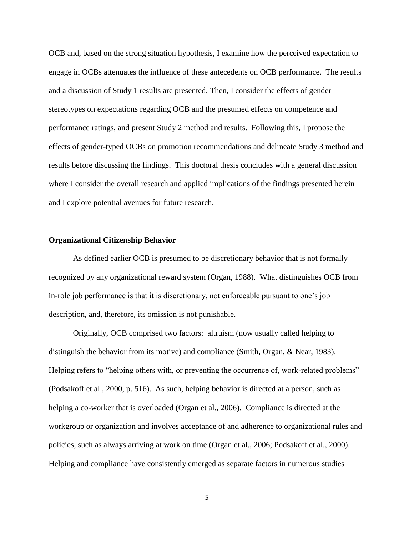OCB and, based on the strong situation hypothesis, I examine how the perceived expectation to engage in OCBs attenuates the influence of these antecedents on OCB performance. The results and a discussion of Study 1 results are presented. Then, I consider the effects of gender stereotypes on expectations regarding OCB and the presumed effects on competence and performance ratings, and present Study 2 method and results. Following this, I propose the effects of gender-typed OCBs on promotion recommendations and delineate Study 3 method and results before discussing the findings. This doctoral thesis concludes with a general discussion where I consider the overall research and applied implications of the findings presented herein and I explore potential avenues for future research.

## **Organizational Citizenship Behavior**

As defined earlier OCB is presumed to be discretionary behavior that is not formally recognized by any organizational reward system (Organ, 1988). What distinguishes OCB from in-role job performance is that it is discretionary, not enforceable pursuant to one's job description, and, therefore, its omission is not punishable.

Originally, OCB comprised two factors: altruism (now usually called helping to distinguish the behavior from its motive) and compliance (Smith, Organ, & Near, 1983). Helping refers to "helping others with, or preventing the occurrence of, work-related problems" (Podsakoff et al., 2000, p. 516). As such, helping behavior is directed at a person, such as helping a co-worker that is overloaded (Organ et al., 2006). Compliance is directed at the workgroup or organization and involves acceptance of and adherence to organizational rules and policies, such as always arriving at work on time (Organ et al., 2006; Podsakoff et al., 2000). Helping and compliance have consistently emerged as separate factors in numerous studies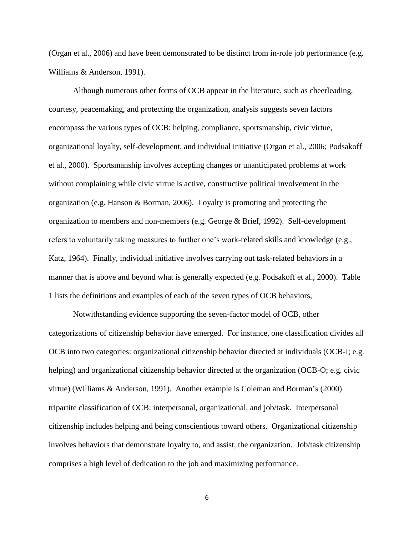(Organ et al., 2006) and have been demonstrated to be distinct from in-role job performance (e.g. Williams & Anderson, 1991).

Although numerous other forms of OCB appear in the literature, such as cheerleading, courtesy, peacemaking, and protecting the organization, analysis suggests seven factors encompass the various types of OCB: helping, compliance, sportsmanship, civic virtue, organizational loyalty, self-development, and individual initiative (Organ et al., 2006; Podsakoff et al., 2000). Sportsmanship involves accepting changes or unanticipated problems at work without complaining while civic virtue is active, constructive political involvement in the organization (e.g. Hanson  $\&$  Borman, 2006). Loyalty is promoting and protecting the organization to members and non-members (e.g. George & Brief, 1992). Self-development refers to voluntarily taking measures to further one's work-related skills and knowledge (e.g., Katz, 1964). Finally, individual initiative involves carrying out task-related behaviors in a manner that is above and beyond what is generally expected (e.g. Podsakoff et al., 2000). Table 1 lists the definitions and examples of each of the seven types of OCB behaviors,

Notwithstanding evidence supporting the seven-factor model of OCB, other categorizations of citizenship behavior have emerged. For instance, one classification divides all OCB into two categories: organizational citizenship behavior directed at individuals (OCB-I; e.g. helping) and organizational citizenship behavior directed at the organization (OCB-O; e.g. civic virtue) (Williams & Anderson, 1991). Another example is Coleman and Borman's (2000) tripartite classification of OCB: interpersonal, organizational, and job/task. Interpersonal citizenship includes helping and being conscientious toward others. Organizational citizenship involves behaviors that demonstrate loyalty to, and assist, the organization. Job/task citizenship comprises a high level of dedication to the job and maximizing performance.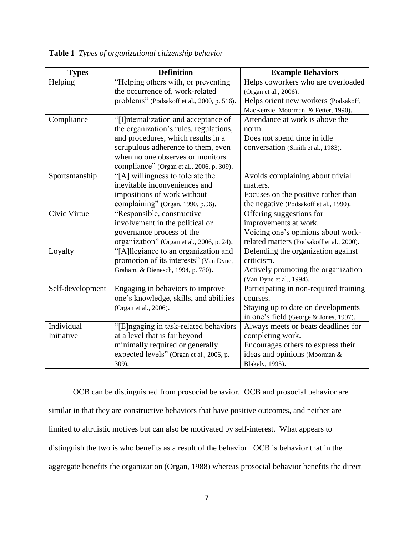| <b>Types</b>     | <b>Definition</b>                           | <b>Example Behaviors</b>                  |
|------------------|---------------------------------------------|-------------------------------------------|
| Helping          | "Helping others with, or preventing         | Helps coworkers who are overloaded        |
|                  | the occurrence of, work-related             | (Organ et al., 2006).                     |
|                  | problems" (Podsakoff et al., 2000, p. 516). | Helps orient new workers (Podsakoff,      |
|                  |                                             | MacKenzie, Moorman, & Fetter, 1990).      |
| Compliance       | "[I] nternalization and acceptance of       | Attendance at work is above the           |
|                  | the organization's rules, regulations,      | norm.                                     |
|                  | and procedures, which results in a          | Does not spend time in idle               |
|                  | scrupulous adherence to them, even          | conversation (Smith et al., 1983).        |
|                  | when no one observes or monitors            |                                           |
|                  | compliance" (Organ et al., 2006, p. 309).   |                                           |
| Sportsmanship    | "[A] willingness to tolerate the            | Avoids complaining about trivial          |
|                  | inevitable inconveniences and               | matters.                                  |
|                  | impositions of work without                 | Focuses on the positive rather than       |
|                  | complaining" (Organ, 1990, p.96).           | the negative (Podsakoff et al., 1990).    |
| Civic Virtue     | "Responsible, constructive                  | Offering suggestions for                  |
|                  | involvement in the political or             | improvements at work.                     |
|                  | governance process of the                   | Voicing one's opinions about work-        |
|                  | organization" (Organ et al., 2006, p. 24).  | related matters (Podsakoff et al., 2000). |
| Loyalty          | "[A]llegiance to an organization and        | Defending the organization against        |
|                  | promotion of its interests" (Van Dyne,      | criticism.                                |
|                  | Graham, & Dienesch, 1994, p. 780).          | Actively promoting the organization       |
|                  |                                             | (Van Dyne et al., 1994).                  |
| Self-development | Engaging in behaviors to improve            | Participating in non-required training    |
|                  | one's knowledge, skills, and abilities      | courses.                                  |
|                  | (Organ et al., 2006).                       | Staying up to date on developments        |
|                  |                                             | in one's field (George & Jones, 1997).    |
| Individual       | "[E] ngaging in task-related behaviors      | Always meets or beats deadlines for       |
| Initiative       | at a level that is far beyond               | completing work.                          |
|                  | minimally required or generally             | Encourages others to express their        |
|                  | expected levels" (Organ et al., 2006, p.    | ideas and opinions (Moorman &             |
|                  | 309).                                       | Blakely, 1995).                           |

**Table 1** *Types of organizational citizenship behavior*

OCB can be distinguished from prosocial behavior. OCB and prosocial behavior are similar in that they are constructive behaviors that have positive outcomes, and neither are limited to altruistic motives but can also be motivated by self-interest. What appears to distinguish the two is who benefits as a result of the behavior. OCB is behavior that in the aggregate benefits the organization (Organ, 1988) whereas prosocial behavior benefits the direct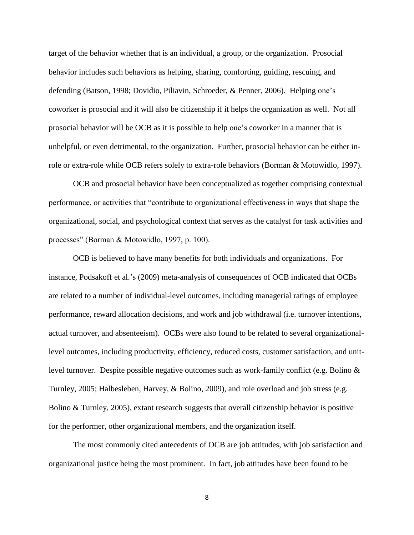target of the behavior whether that is an individual, a group, or the organization. Prosocial behavior includes such behaviors as helping, sharing, comforting, guiding, rescuing, and defending (Batson, 1998; Dovidio, Piliavin, Schroeder, & Penner, 2006). Helping one's coworker is prosocial and it will also be citizenship if it helps the organization as well. Not all prosocial behavior will be OCB as it is possible to help one's coworker in a manner that is unhelpful, or even detrimental, to the organization. Further, prosocial behavior can be either inrole or extra-role while OCB refers solely to extra-role behaviors (Borman & Motowidlo, 1997).

OCB and prosocial behavior have been conceptualized as together comprising contextual performance, or activities that "contribute to organizational effectiveness in ways that shape the organizational, social, and psychological context that serves as the catalyst for task activities and processes" (Borman & Motowidlo, 1997, p. 100).

OCB is believed to have many benefits for both individuals and organizations. For instance, Podsakoff et al.'s (2009) meta-analysis of consequences of OCB indicated that OCBs are related to a number of individual-level outcomes, including managerial ratings of employee performance, reward allocation decisions, and work and job withdrawal (i.e. turnover intentions, actual turnover, and absenteeism). OCBs were also found to be related to several organizationallevel outcomes, including productivity, efficiency, reduced costs, customer satisfaction, and unitlevel turnover. Despite possible negative outcomes such as work-family conflict (e.g. Bolino & Turnley, 2005; Halbesleben, Harvey, & Bolino, 2009), and role overload and job stress (e.g. Bolino & Turnley, 2005), extant research suggests that overall citizenship behavior is positive for the performer, other organizational members, and the organization itself.

The most commonly cited antecedents of OCB are job attitudes, with job satisfaction and organizational justice being the most prominent. In fact, job attitudes have been found to be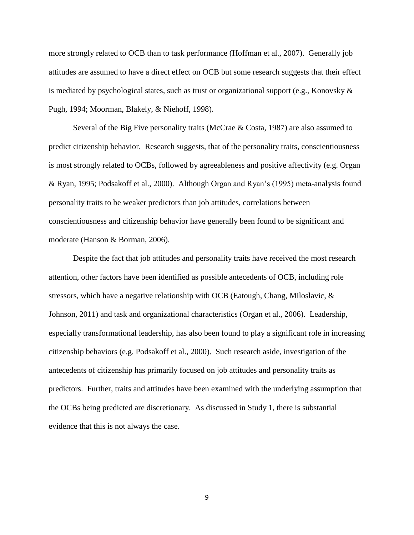more strongly related to OCB than to task performance (Hoffman et al., 2007). Generally job attitudes are assumed to have a direct effect on OCB but some research suggests that their effect is mediated by psychological states, such as trust or organizational support (e.g., Konovsky  $\&$ Pugh, 1994; Moorman, Blakely, & Niehoff, 1998).

Several of the Big Five personality traits (McCrae & Costa, 1987) are also assumed to predict citizenship behavior. Research suggests, that of the personality traits, conscientiousness is most strongly related to OCBs, followed by agreeableness and positive affectivity (e.g. Organ & Ryan, 1995; Podsakoff et al., 2000). Although Organ and Ryan's (1995) meta-analysis found personality traits to be weaker predictors than job attitudes, correlations between conscientiousness and citizenship behavior have generally been found to be significant and moderate (Hanson & Borman, 2006).

Despite the fact that job attitudes and personality traits have received the most research attention, other factors have been identified as possible antecedents of OCB, including role stressors, which have a negative relationship with OCB (Eatough, Chang, Miloslavic,  $\&$ Johnson, 2011) and task and organizational characteristics (Organ et al., 2006). Leadership, especially transformational leadership, has also been found to play a significant role in increasing citizenship behaviors (e.g. Podsakoff et al., 2000). Such research aside, investigation of the antecedents of citizenship has primarily focused on job attitudes and personality traits as predictors. Further, traits and attitudes have been examined with the underlying assumption that the OCBs being predicted are discretionary. As discussed in Study 1, there is substantial evidence that this is not always the case.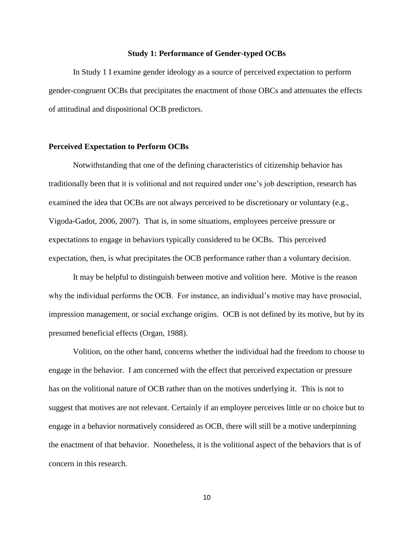## **Study 1: Performance of Gender-typed OCBs**

In Study 1 I examine gender ideology as a source of perceived expectation to perform gender-congruent OCBs that precipitates the enactment of those OBCs and attenuates the effects of attitudinal and dispositional OCB predictors.

## **Perceived Expectation to Perform OCBs**

Notwithstanding that one of the defining characteristics of citizenship behavior has traditionally been that it is volitional and not required under one's job description, research has examined the idea that OCBs are not always perceived to be discretionary or voluntary (e.g., Vigoda-Gadot, 2006, 2007). That is, in some situations, employees perceive pressure or expectations to engage in behaviors typically considered to be OCBs. This perceived expectation, then, is what precipitates the OCB performance rather than a voluntary decision.

It may be helpful to distinguish between motive and volition here. Motive is the reason why the individual performs the OCB. For instance, an individual's motive may have prosocial, impression management, or social exchange origins. OCB is not defined by its motive, but by its presumed beneficial effects (Organ, 1988).

Volition, on the other hand, concerns whether the individual had the freedom to choose to engage in the behavior. I am concerned with the effect that perceived expectation or pressure has on the volitional nature of OCB rather than on the motives underlying it. This is not to suggest that motives are not relevant. Certainly if an employee perceives little or no choice but to engage in a behavior normatively considered as OCB, there will still be a motive underpinning the enactment of that behavior. Nonetheless, it is the volitional aspect of the behaviors that is of concern in this research.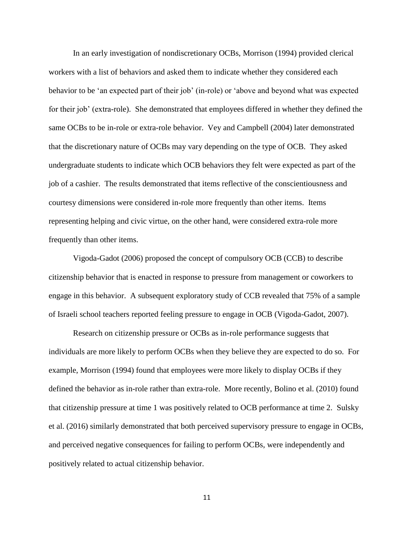In an early investigation of nondiscretionary OCBs, Morrison (1994) provided clerical workers with a list of behaviors and asked them to indicate whether they considered each behavior to be 'an expected part of their job' (in-role) or 'above and beyond what was expected for their job' (extra-role). She demonstrated that employees differed in whether they defined the same OCBs to be in-role or extra-role behavior. Vey and Campbell (2004) later demonstrated that the discretionary nature of OCBs may vary depending on the type of OCB. They asked undergraduate students to indicate which OCB behaviors they felt were expected as part of the job of a cashier. The results demonstrated that items reflective of the conscientiousness and courtesy dimensions were considered in-role more frequently than other items. Items representing helping and civic virtue, on the other hand, were considered extra-role more frequently than other items.

Vigoda-Gadot (2006) proposed the concept of compulsory OCB (CCB) to describe citizenship behavior that is enacted in response to pressure from management or coworkers to engage in this behavior. A subsequent exploratory study of CCB revealed that 75% of a sample of Israeli school teachers reported feeling pressure to engage in OCB (Vigoda-Gadot, 2007).

Research on citizenship pressure or OCBs as in-role performance suggests that individuals are more likely to perform OCBs when they believe they are expected to do so. For example, Morrison (1994) found that employees were more likely to display OCBs if they defined the behavior as in-role rather than extra-role. More recently, Bolino et al. (2010) found that citizenship pressure at time 1 was positively related to OCB performance at time 2. Sulsky et al. (2016) similarly demonstrated that both perceived supervisory pressure to engage in OCBs, and perceived negative consequences for failing to perform OCBs, were independently and positively related to actual citizenship behavior.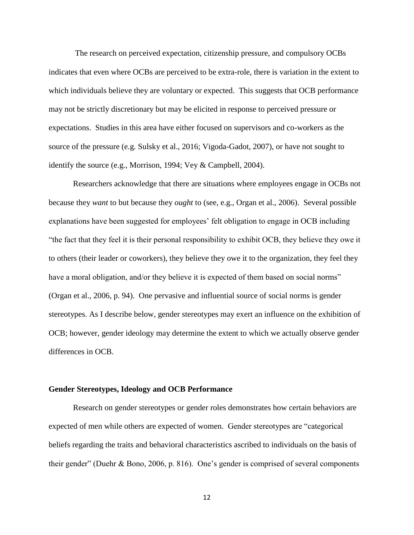The research on perceived expectation, citizenship pressure, and compulsory OCBs indicates that even where OCBs are perceived to be extra-role, there is variation in the extent to which individuals believe they are voluntary or expected. This suggests that OCB performance may not be strictly discretionary but may be elicited in response to perceived pressure or expectations. Studies in this area have either focused on supervisors and co-workers as the source of the pressure (e.g. Sulsky et al., 2016; Vigoda-Gadot, 2007), or have not sought to identify the source (e.g., Morrison, 1994; Vey & Campbell, 2004).

Researchers acknowledge that there are situations where employees engage in OCBs not because they *want* to but because they *ought* to (see, e.g., Organ et al., 2006). Several possible explanations have been suggested for employees' felt obligation to engage in OCB including "the fact that they feel it is their personal responsibility to exhibit OCB, they believe they owe it to others (their leader or coworkers), they believe they owe it to the organization, they feel they have a moral obligation, and/or they believe it is expected of them based on social norms" (Organ et al., 2006, p. 94). One pervasive and influential source of social norms is gender stereotypes. As I describe below, gender stereotypes may exert an influence on the exhibition of OCB; however, gender ideology may determine the extent to which we actually observe gender differences in OCB.

#### **Gender Stereotypes, Ideology and OCB Performance**

Research on gender stereotypes or gender roles demonstrates how certain behaviors are expected of men while others are expected of women. Gender stereotypes are "categorical beliefs regarding the traits and behavioral characteristics ascribed to individuals on the basis of their gender" (Duehr & Bono, 2006, p. 816). One's gender is comprised of several components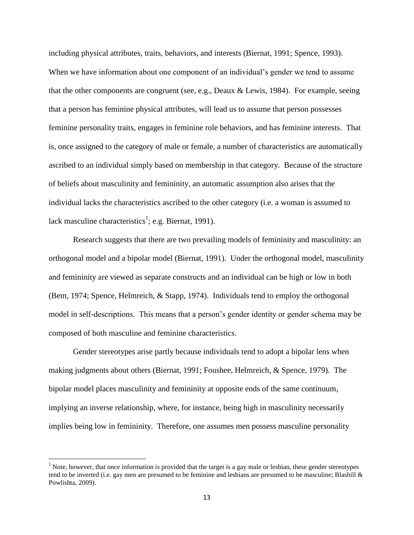including physical attributes, traits, behaviors, and interests (Biernat, 1991; Spence, 1993). When we have information about one component of an individual's gender we tend to assume that the other components are congruent (see, e.g., Deaux & Lewis, 1984). For example, seeing that a person has feminine physical attributes, will lead us to assume that person possesses feminine personality traits, engages in feminine role behaviors, and has feminine interests. That is, once assigned to the category of male or female, a number of characteristics are automatically ascribed to an individual simply based on membership in that category. Because of the structure of beliefs about masculinity and femininity, an automatic assumption also arises that the individual lacks the characteristics ascribed to the other category (i.e. a woman is assumed to lack masculine characteristics<sup>1</sup>; e.g. Biernat, 1991).

Research suggests that there are two prevailing models of femininity and masculinity: an orthogonal model and a bipolar model (Biernat, 1991). Under the orthogonal model, masculinity and femininity are viewed as separate constructs and an individual can be high or low in both (Bem, 1974; Spence, Helmreich, & Stapp, 1974). Individuals tend to employ the orthogonal model in self-descriptions. This means that a person's gender identity or gender schema may be composed of both masculine and feminine characteristics.

Gender stereotypes arise partly because individuals tend to adopt a bipolar lens when making judgments about others (Biernat, 1991; Foushee, Helmreich, & Spence, 1979). The bipolar model places masculinity and femininity at opposite ends of the same continuum, implying an inverse relationship, where, for instance, being high in masculinity necessarily implies being low in femininity. Therefore, one assumes men possess masculine personality

 $\overline{\phantom{a}}$ 

 $1$  Note, however, that once information is provided that the target is a gay male or lesbian, these gender stereotypes tend to be inverted (i.e. gay men are presumed to be feminine and lesbians are presumed to be masculine; Blashill & Powlishta, 2009).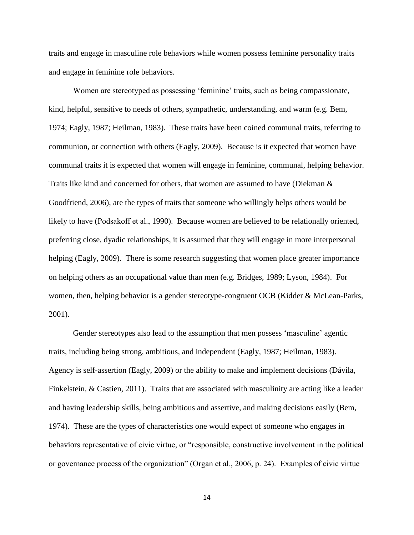traits and engage in masculine role behaviors while women possess feminine personality traits and engage in feminine role behaviors.

Women are stereotyped as possessing 'feminine' traits, such as being compassionate, kind, helpful, sensitive to needs of others, sympathetic, understanding, and warm (e.g. Bem, 1974; Eagly, 1987; Heilman, 1983). These traits have been coined communal traits, referring to communion, or connection with others (Eagly, 2009). Because is it expected that women have communal traits it is expected that women will engage in feminine, communal, helping behavior. Traits like kind and concerned for others, that women are assumed to have (Diekman & Goodfriend, 2006), are the types of traits that someone who willingly helps others would be likely to have (Podsakoff et al., 1990). Because women are believed to be relationally oriented, preferring close, dyadic relationships, it is assumed that they will engage in more interpersonal helping (Eagly, 2009). There is some research suggesting that women place greater importance on helping others as an occupational value than men (e.g. Bridges, 1989; Lyson, 1984). For women, then, helping behavior is a gender stereotype-congruent OCB (Kidder & McLean-Parks, 2001).

Gender stereotypes also lead to the assumption that men possess 'masculine' agentic traits, including being strong, ambitious, and independent (Eagly, 1987; Heilman, 1983). Agency is self-assertion (Eagly, 2009) or the ability to make and implement decisions (Dávila, Finkelstein, & Castien, 2011). Traits that are associated with masculinity are acting like a leader and having leadership skills, being ambitious and assertive, and making decisions easily (Bem, 1974). These are the types of characteristics one would expect of someone who engages in behaviors representative of civic virtue, or "responsible, constructive involvement in the political or governance process of the organization" (Organ et al., 2006, p. 24). Examples of civic virtue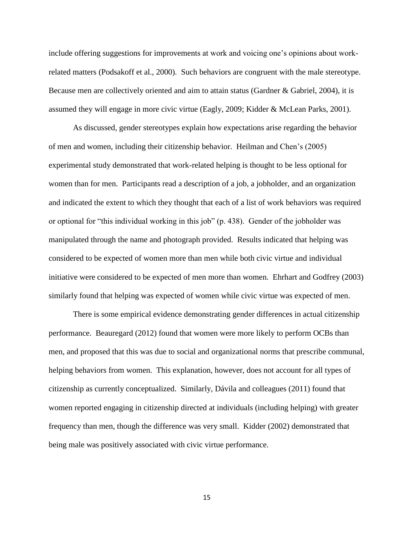include offering suggestions for improvements at work and voicing one's opinions about workrelated matters (Podsakoff et al., 2000). Such behaviors are congruent with the male stereotype. Because men are collectively oriented and aim to attain status (Gardner & Gabriel, 2004), it is assumed they will engage in more civic virtue (Eagly, 2009; Kidder & McLean Parks, 2001).

As discussed, gender stereotypes explain how expectations arise regarding the behavior of men and women, including their citizenship behavior. Heilman and Chen's (2005) experimental study demonstrated that work-related helping is thought to be less optional for women than for men. Participants read a description of a job, a jobholder, and an organization and indicated the extent to which they thought that each of a list of work behaviors was required or optional for "this individual working in this job" (p. 438). Gender of the jobholder was manipulated through the name and photograph provided. Results indicated that helping was considered to be expected of women more than men while both civic virtue and individual initiative were considered to be expected of men more than women. Ehrhart and Godfrey (2003) similarly found that helping was expected of women while civic virtue was expected of men.

There is some empirical evidence demonstrating gender differences in actual citizenship performance. Beauregard (2012) found that women were more likely to perform OCBs than men, and proposed that this was due to social and organizational norms that prescribe communal, helping behaviors from women. This explanation, however, does not account for all types of citizenship as currently conceptualized. Similarly, Dávila and colleagues (2011) found that women reported engaging in citizenship directed at individuals (including helping) with greater frequency than men, though the difference was very small. Kidder (2002) demonstrated that being male was positively associated with civic virtue performance.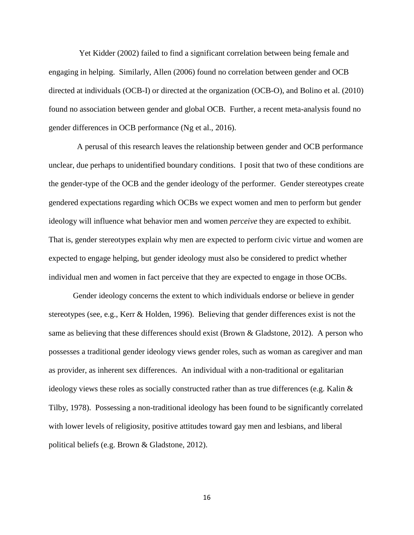Yet Kidder (2002) failed to find a significant correlation between being female and engaging in helping. Similarly, Allen (2006) found no correlation between gender and OCB directed at individuals (OCB-I) or directed at the organization (OCB-O), and Bolino et al. (2010) found no association between gender and global OCB. Further, a recent meta-analysis found no gender differences in OCB performance (Ng et al., 2016).

A perusal of this research leaves the relationship between gender and OCB performance unclear, due perhaps to unidentified boundary conditions. I posit that two of these conditions are the gender-type of the OCB and the gender ideology of the performer. Gender stereotypes create gendered expectations regarding which OCBs we expect women and men to perform but gender ideology will influence what behavior men and women *perceive* they are expected to exhibit. That is, gender stereotypes explain why men are expected to perform civic virtue and women are expected to engage helping, but gender ideology must also be considered to predict whether individual men and women in fact perceive that they are expected to engage in those OCBs.

Gender ideology concerns the extent to which individuals endorse or believe in gender stereotypes (see, e.g., Kerr & Holden, 1996). Believing that gender differences exist is not the same as believing that these differences should exist (Brown & Gladstone, 2012). A person who possesses a traditional gender ideology views gender roles, such as woman as caregiver and man as provider, as inherent sex differences. An individual with a non-traditional or egalitarian ideology views these roles as socially constructed rather than as true differences (e.g. Kalin  $\&$ Tilby, 1978). Possessing a non-traditional ideology has been found to be significantly correlated with lower levels of religiosity, positive attitudes toward gay men and lesbians, and liberal political beliefs (e.g. Brown & Gladstone, 2012).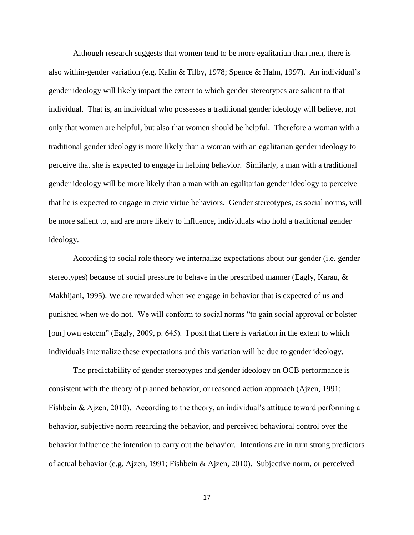Although research suggests that women tend to be more egalitarian than men, there is also within-gender variation (e.g. Kalin & Tilby, 1978; Spence & Hahn, 1997). An individual's gender ideology will likely impact the extent to which gender stereotypes are salient to that individual. That is, an individual who possesses a traditional gender ideology will believe, not only that women are helpful, but also that women should be helpful. Therefore a woman with a traditional gender ideology is more likely than a woman with an egalitarian gender ideology to perceive that she is expected to engage in helping behavior. Similarly, a man with a traditional gender ideology will be more likely than a man with an egalitarian gender ideology to perceive that he is expected to engage in civic virtue behaviors. Gender stereotypes, as social norms, will be more salient to, and are more likely to influence, individuals who hold a traditional gender ideology.

According to social role theory we internalize expectations about our gender (i.e. gender stereotypes) because of social pressure to behave in the prescribed manner (Eagly, Karau, & Makhijani, 1995). We are rewarded when we engage in behavior that is expected of us and punished when we do not. We will conform to social norms "to gain social approval or bolster [our] own esteem" (Eagly, 2009, p. 645). I posit that there is variation in the extent to which individuals internalize these expectations and this variation will be due to gender ideology.

The predictability of gender stereotypes and gender ideology on OCB performance is consistent with the theory of planned behavior, or reasoned action approach (Ajzen, 1991; Fishbein & Ajzen, 2010). According to the theory, an individual's attitude toward performing a behavior, subjective norm regarding the behavior, and perceived behavioral control over the behavior influence the intention to carry out the behavior. Intentions are in turn strong predictors of actual behavior (e.g. Ajzen, 1991; Fishbein & Ajzen, 2010). Subjective norm, or perceived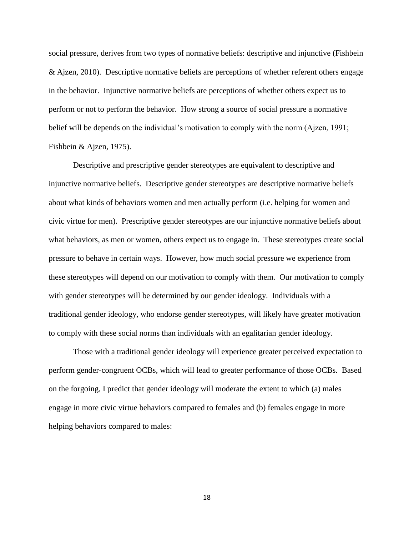social pressure, derives from two types of normative beliefs: descriptive and injunctive (Fishbein & Ajzen, 2010). Descriptive normative beliefs are perceptions of whether referent others engage in the behavior. Injunctive normative beliefs are perceptions of whether others expect us to perform or not to perform the behavior. How strong a source of social pressure a normative belief will be depends on the individual's motivation to comply with the norm (Ajzen, 1991; Fishbein & Ajzen, 1975).

Descriptive and prescriptive gender stereotypes are equivalent to descriptive and injunctive normative beliefs. Descriptive gender stereotypes are descriptive normative beliefs about what kinds of behaviors women and men actually perform (i.e. helping for women and civic virtue for men). Prescriptive gender stereotypes are our injunctive normative beliefs about what behaviors, as men or women, others expect us to engage in. These stereotypes create social pressure to behave in certain ways. However, how much social pressure we experience from these stereotypes will depend on our motivation to comply with them. Our motivation to comply with gender stereotypes will be determined by our gender ideology. Individuals with a traditional gender ideology, who endorse gender stereotypes, will likely have greater motivation to comply with these social norms than individuals with an egalitarian gender ideology.

Those with a traditional gender ideology will experience greater perceived expectation to perform gender-congruent OCBs, which will lead to greater performance of those OCBs. Based on the forgoing, I predict that gender ideology will moderate the extent to which (a) males engage in more civic virtue behaviors compared to females and (b) females engage in more helping behaviors compared to males: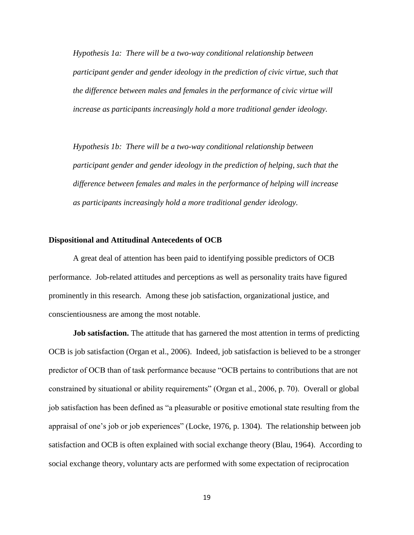*Hypothesis 1a: There will be a two-way conditional relationship between participant gender and gender ideology in the prediction of civic virtue, such that the difference between males and females in the performance of civic virtue will increase as participants increasingly hold a more traditional gender ideology.* 

*Hypothesis 1b: There will be a two-way conditional relationship between participant gender and gender ideology in the prediction of helping, such that the difference between females and males in the performance of helping will increase as participants increasingly hold a more traditional gender ideology.* 

## **Dispositional and Attitudinal Antecedents of OCB**

A great deal of attention has been paid to identifying possible predictors of OCB performance. Job-related attitudes and perceptions as well as personality traits have figured prominently in this research. Among these job satisfaction, organizational justice, and conscientiousness are among the most notable.

**Job satisfaction.** The attitude that has garnered the most attention in terms of predicting OCB is job satisfaction (Organ et al., 2006). Indeed, job satisfaction is believed to be a stronger predictor of OCB than of task performance because "OCB pertains to contributions that are not constrained by situational or ability requirements" (Organ et al., 2006, p. 70). Overall or global job satisfaction has been defined as "a pleasurable or positive emotional state resulting from the appraisal of one's job or job experiences" (Locke, 1976, p. 1304). The relationship between job satisfaction and OCB is often explained with social exchange theory (Blau, 1964). According to social exchange theory, voluntary acts are performed with some expectation of reciprocation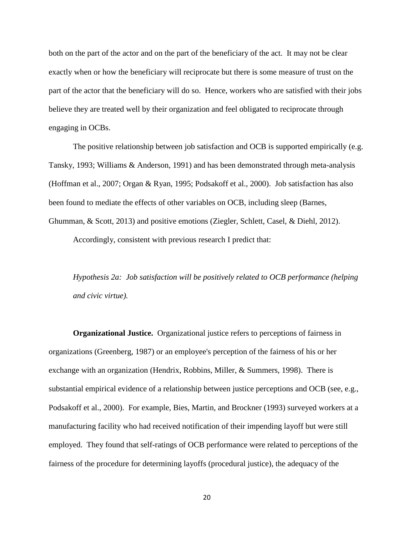both on the part of the actor and on the part of the beneficiary of the act. It may not be clear exactly when or how the beneficiary will reciprocate but there is some measure of trust on the part of the actor that the beneficiary will do so. Hence, workers who are satisfied with their jobs believe they are treated well by their organization and feel obligated to reciprocate through engaging in OCBs.

The positive relationship between job satisfaction and OCB is supported empirically (e.g. Tansky, 1993; Williams & Anderson, 1991) and has been demonstrated through meta-analysis (Hoffman et al., 2007; Organ & Ryan, 1995; Podsakoff et al., 2000). Job satisfaction has also been found to mediate the effects of other variables on OCB, including sleep (Barnes, Ghumman, & Scott, 2013) and positive emotions (Ziegler, Schlett, Casel, & Diehl, 2012).

Accordingly, consistent with previous research I predict that:

*Hypothesis 2a: Job satisfaction will be positively related to OCB performance (helping and civic virtue).* 

**Organizational Justice.** Organizational justice refers to perceptions of fairness in organizations (Greenberg, 1987) or an employee's perception of the fairness of his or her exchange with an organization (Hendrix, Robbins, Miller, & Summers, 1998). There is substantial empirical evidence of a relationship between justice perceptions and OCB (see, e.g., Podsakoff et al., 2000). For example, Bies, Martin, and Brockner (1993) surveyed workers at a manufacturing facility who had received notification of their impending layoff but were still employed. They found that self-ratings of OCB performance were related to perceptions of the fairness of the procedure for determining layoffs (procedural justice), the adequacy of the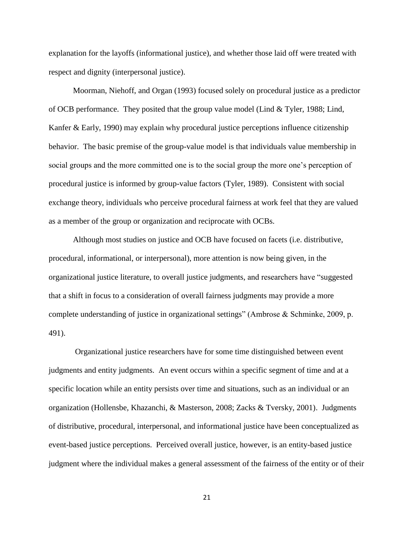explanation for the layoffs (informational justice), and whether those laid off were treated with respect and dignity (interpersonal justice).

Moorman, Niehoff, and Organ (1993) focused solely on procedural justice as a predictor of OCB performance. They posited that the group value model (Lind  $&$  Tyler, 1988; Lind, Kanfer & Early, 1990) may explain why procedural justice perceptions influence citizenship behavior. The basic premise of the group-value model is that individuals value membership in social groups and the more committed one is to the social group the more one's perception of procedural justice is informed by group-value factors (Tyler, 1989). Consistent with social exchange theory, individuals who perceive procedural fairness at work feel that they are valued as a member of the group or organization and reciprocate with OCBs.

Although most studies on justice and OCB have focused on facets (i.e. distributive, procedural, informational, or interpersonal), more attention is now being given, in the organizational justice literature, to overall justice judgments, and researchers have "suggested that a shift in focus to a consideration of overall fairness judgments may provide a more complete understanding of justice in organizational settings" (Ambrose & Schminke, 2009, p. 491).

Organizational justice researchers have for some time distinguished between event judgments and entity judgments. An event occurs within a specific segment of time and at a specific location while an entity persists over time and situations, such as an individual or an organization (Hollensbe, Khazanchi, & Masterson, 2008; Zacks & Tversky, 2001). Judgments of distributive, procedural, interpersonal, and informational justice have been conceptualized as event-based justice perceptions. Perceived overall justice, however, is an entity-based justice judgment where the individual makes a general assessment of the fairness of the entity or of their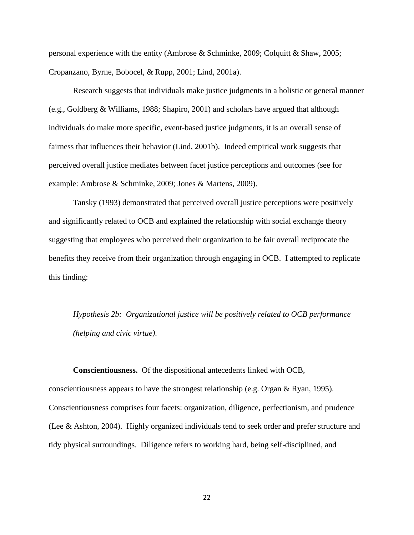personal experience with the entity (Ambrose & Schminke, 2009; Colquitt & Shaw, 2005; Cropanzano, Byrne, Bobocel, & Rupp, 2001; Lind, 2001a).

Research suggests that individuals make justice judgments in a holistic or general manner (e.g., Goldberg & Williams, 1988; Shapiro, 2001) and scholars have argued that although individuals do make more specific, event-based justice judgments, it is an overall sense of fairness that influences their behavior (Lind, 2001b). Indeed empirical work suggests that perceived overall justice mediates between facet justice perceptions and outcomes (see for example: Ambrose & Schminke, 2009; Jones & Martens, 2009).

Tansky (1993) demonstrated that perceived overall justice perceptions were positively and significantly related to OCB and explained the relationship with social exchange theory suggesting that employees who perceived their organization to be fair overall reciprocate the benefits they receive from their organization through engaging in OCB. I attempted to replicate this finding:

*Hypothesis 2b: Organizational justice will be positively related to OCB performance (helping and civic virtue).* 

**Conscientiousness.** Of the dispositional antecedents linked with OCB, conscientiousness appears to have the strongest relationship (e.g. Organ & Ryan, 1995). Conscientiousness comprises four facets: organization, diligence, perfectionism, and prudence (Lee & Ashton, 2004). Highly organized individuals tend to seek order and prefer structure and tidy physical surroundings. Diligence refers to working hard, being self-disciplined, and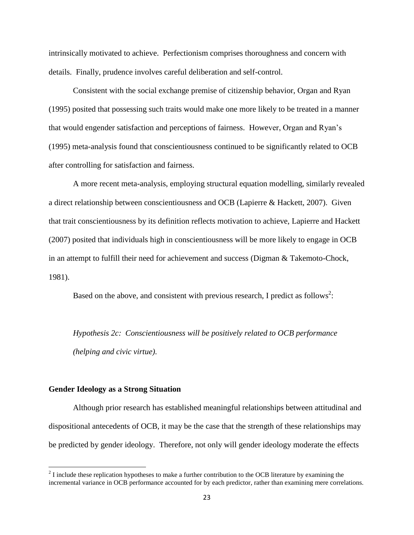intrinsically motivated to achieve. Perfectionism comprises thoroughness and concern with details. Finally, prudence involves careful deliberation and self-control.

Consistent with the social exchange premise of citizenship behavior, Organ and Ryan (1995) posited that possessing such traits would make one more likely to be treated in a manner that would engender satisfaction and perceptions of fairness. However, Organ and Ryan's (1995) meta-analysis found that conscientiousness continued to be significantly related to OCB after controlling for satisfaction and fairness.

A more recent meta-analysis, employing structural equation modelling, similarly revealed a direct relationship between conscientiousness and OCB (Lapierre & Hackett, 2007). Given that trait conscientiousness by its definition reflects motivation to achieve, Lapierre and Hackett (2007) posited that individuals high in conscientiousness will be more likely to engage in OCB in an attempt to fulfill their need for achievement and success (Digman & Takemoto-Chock, 1981).

Based on the above, and consistent with previous research, I predict as follows<sup>2</sup>:

*Hypothesis 2c: Conscientiousness will be positively related to OCB performance (helping and civic virtue).*

#### **Gender Ideology as a Strong Situation**

 $\overline{\phantom{a}}$ 

Although prior research has established meaningful relationships between attitudinal and dispositional antecedents of OCB, it may be the case that the strength of these relationships may be predicted by gender ideology. Therefore, not only will gender ideology moderate the effects

 $2^{2}$  I include these replication hypotheses to make a further contribution to the OCB literature by examining the incremental variance in OCB performance accounted for by each predictor, rather than examining mere correlations.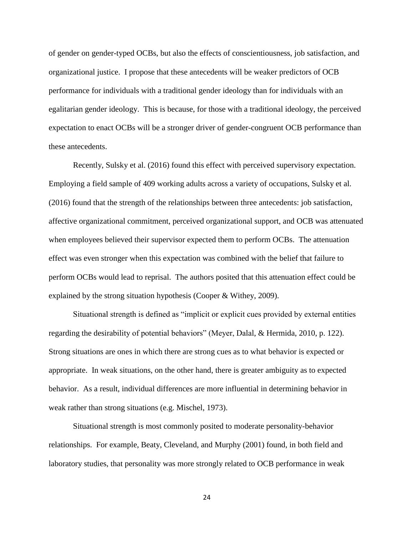of gender on gender-typed OCBs, but also the effects of conscientiousness, job satisfaction, and organizational justice. I propose that these antecedents will be weaker predictors of OCB performance for individuals with a traditional gender ideology than for individuals with an egalitarian gender ideology. This is because, for those with a traditional ideology, the perceived expectation to enact OCBs will be a stronger driver of gender-congruent OCB performance than these antecedents.

Recently, Sulsky et al. (2016) found this effect with perceived supervisory expectation. Employing a field sample of 409 working adults across a variety of occupations, Sulsky et al. (2016) found that the strength of the relationships between three antecedents: job satisfaction, affective organizational commitment, perceived organizational support, and OCB was attenuated when employees believed their supervisor expected them to perform OCBs. The attenuation effect was even stronger when this expectation was combined with the belief that failure to perform OCBs would lead to reprisal. The authors posited that this attenuation effect could be explained by the strong situation hypothesis (Cooper & Withey, 2009).

Situational strength is defined as "implicit or explicit cues provided by external entities regarding the desirability of potential behaviors" (Meyer, Dalal, & Hermida, 2010, p. 122). Strong situations are ones in which there are strong cues as to what behavior is expected or appropriate. In weak situations, on the other hand, there is greater ambiguity as to expected behavior. As a result, individual differences are more influential in determining behavior in weak rather than strong situations (e.g. Mischel, 1973).

Situational strength is most commonly posited to moderate personality-behavior relationships. For example, Beaty, Cleveland, and Murphy (2001) found, in both field and laboratory studies, that personality was more strongly related to OCB performance in weak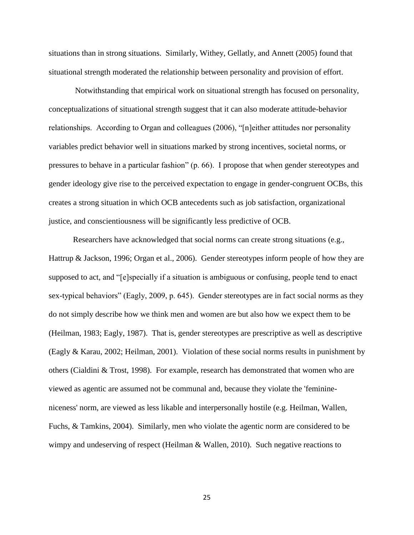situations than in strong situations. Similarly, Withey, Gellatly, and Annett (2005) found that situational strength moderated the relationship between personality and provision of effort.

Notwithstanding that empirical work on situational strength has focused on personality, conceptualizations of situational strength suggest that it can also moderate attitude-behavior relationships. According to Organ and colleagues (2006), "[n]either attitudes nor personality variables predict behavior well in situations marked by strong incentives, societal norms, or pressures to behave in a particular fashion" (p. 66). I propose that when gender stereotypes and gender ideology give rise to the perceived expectation to engage in gender-congruent OCBs, this creates a strong situation in which OCB antecedents such as job satisfaction, organizational justice, and conscientiousness will be significantly less predictive of OCB.

Researchers have acknowledged that social norms can create strong situations (e.g., Hattrup & Jackson, 1996; Organ et al., 2006). Gender stereotypes inform people of how they are supposed to act, and "[e]specially if a situation is ambiguous or confusing, people tend to enact sex-typical behaviors" (Eagly, 2009, p. 645). Gender stereotypes are in fact social norms as they do not simply describe how we think men and women are but also how we expect them to be (Heilman, 1983; Eagly, 1987). That is, gender stereotypes are prescriptive as well as descriptive (Eagly & Karau, 2002; Heilman, 2001). Violation of these social norms results in punishment by others (Cialdini & Trost, 1998). For example, research has demonstrated that women who are viewed as agentic are assumed not be communal and, because they violate the 'feminineniceness' norm, are viewed as less likable and interpersonally hostile (e.g. Heilman, Wallen, Fuchs, & Tamkins, 2004). Similarly, men who violate the agentic norm are considered to be wimpy and undeserving of respect (Heilman & Wallen, 2010). Such negative reactions to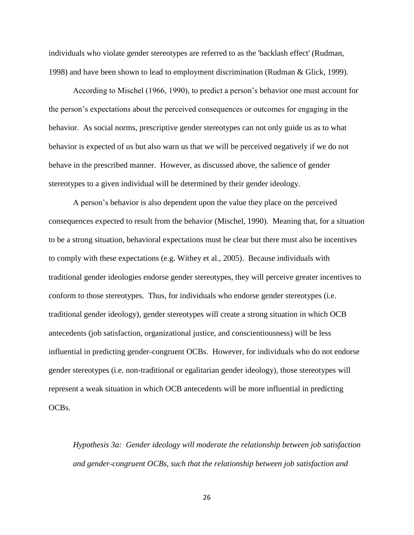individuals who violate gender stereotypes are referred to as the 'backlash effect' (Rudman, 1998) and have been shown to lead to employment discrimination (Rudman & Glick, 1999).

According to Mischel (1966, 1990), to predict a person's behavior one must account for the person's expectations about the perceived consequences or outcomes for engaging in the behavior. As social norms, prescriptive gender stereotypes can not only guide us as to what behavior is expected of us but also warn us that we will be perceived negatively if we do not behave in the prescribed manner. However, as discussed above, the salience of gender stereotypes to a given individual will be determined by their gender ideology.

A person's behavior is also dependent upon the value they place on the perceived consequences expected to result from the behavior (Mischel, 1990). Meaning that, for a situation to be a strong situation, behavioral expectations must be clear but there must also be incentives to comply with these expectations (e.g. Withey et al., 2005). Because individuals with traditional gender ideologies endorse gender stereotypes, they will perceive greater incentives to conform to those stereotypes. Thus, for individuals who endorse gender stereotypes (i.e. traditional gender ideology), gender stereotypes will create a strong situation in which OCB antecedents (job satisfaction, organizational justice, and conscientiousness) will be less influential in predicting gender-congruent OCBs. However, for individuals who do not endorse gender stereotypes (i.e. non-traditional or egalitarian gender ideology), those stereotypes will represent a weak situation in which OCB antecedents will be more influential in predicting OCBs.

*Hypothesis 3a: Gender ideology will moderate the relationship between job satisfaction and gender-congruent OCBs, such that the relationship between job satisfaction and*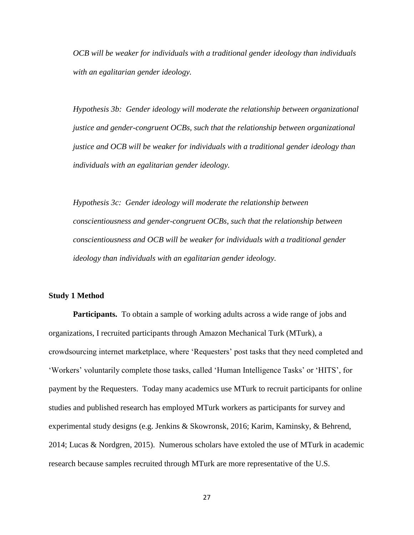*OCB will be weaker for individuals with a traditional gender ideology than individuals with an egalitarian gender ideology.* 

*Hypothesis 3b: Gender ideology will moderate the relationship between organizational justice and gender-congruent OCBs, such that the relationship between organizational justice and OCB will be weaker for individuals with a traditional gender ideology than individuals with an egalitarian gender ideology.* 

*Hypothesis 3c: Gender ideology will moderate the relationship between conscientiousness and gender-congruent OCBs, such that the relationship between conscientiousness and OCB will be weaker for individuals with a traditional gender ideology than individuals with an egalitarian gender ideology.* 

### **Study 1 Method**

**Participants.** To obtain a sample of working adults across a wide range of jobs and organizations, I recruited participants through Amazon Mechanical Turk (MTurk), a crowdsourcing internet marketplace, where 'Requesters' post tasks that they need completed and 'Workers' voluntarily complete those tasks, called 'Human Intelligence Tasks' or 'HITS', for payment by the Requesters. Today many academics use MTurk to recruit participants for online studies and published research has employed MTurk workers as participants for survey and experimental study designs (e.g. Jenkins & Skowronsk, 2016; Karim, Kaminsky, & Behrend, 2014; Lucas & Nordgren, 2015). Numerous scholars have extoled the use of MTurk in academic research because samples recruited through MTurk are more representative of the U.S.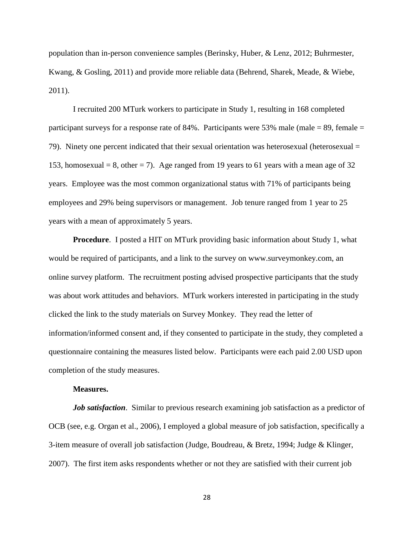population than in-person convenience samples (Berinsky, Huber, & Lenz, 2012; Buhrmester, Kwang, & Gosling, 2011) and provide more reliable data (Behrend, Sharek, Meade, & Wiebe, 2011).

I recruited 200 MTurk workers to participate in Study 1, resulting in 168 completed participant surveys for a response rate of 84%. Participants were 53% male (male  $= 89$ , female  $=$ 79). Ninety one percent indicated that their sexual orientation was heterosexual (heterosexual = 153, homosexual = 8, other = 7). Age ranged from 19 years to 61 years with a mean age of 32 years. Employee was the most common organizational status with 71% of participants being employees and 29% being supervisors or management. Job tenure ranged from 1 year to 25 years with a mean of approximately 5 years.

**Procedure**. I posted a HIT on MTurk providing basic information about Study 1, what would be required of participants, and a link to the survey on www.surveymonkey.com, an online survey platform. The recruitment posting advised prospective participants that the study was about work attitudes and behaviors. MTurk workers interested in participating in the study clicked the link to the study materials on Survey Monkey. They read the letter of information/informed consent and, if they consented to participate in the study, they completed a questionnaire containing the measures listed below. Participants were each paid 2.00 USD upon completion of the study measures.

#### **Measures.**

*Job satisfaction.* Similar to previous research examining job satisfaction as a predictor of OCB (see, e.g. Organ et al., 2006), I employed a global measure of job satisfaction, specifically a 3-item measure of overall job satisfaction (Judge, Boudreau, & Bretz, 1994; Judge & Klinger, 2007). The first item asks respondents whether or not they are satisfied with their current job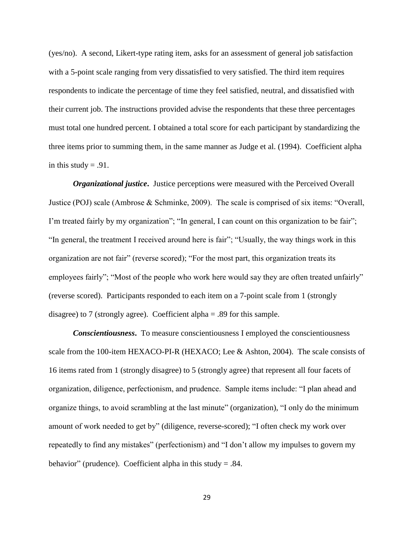(yes/no). A second, Likert-type rating item, asks for an assessment of general job satisfaction with a 5-point scale ranging from very dissatisfied to very satisfied. The third item requires respondents to indicate the percentage of time they feel satisfied, neutral, and dissatisfied with their current job. The instructions provided advise the respondents that these three percentages must total one hundred percent. I obtained a total score for each participant by standardizing the three items prior to summing them, in the same manner as Judge et al. (1994). Coefficient alpha in this study  $= .91$ .

*Organizational justice***.** Justice perceptions were measured with the Perceived Overall Justice (POJ) scale (Ambrose & Schminke, 2009). The scale is comprised of six items: "Overall, I'm treated fairly by my organization"; "In general, I can count on this organization to be fair"; "In general, the treatment I received around here is fair"; "Usually, the way things work in this organization are not fair" (reverse scored); "For the most part, this organization treats its employees fairly"; "Most of the people who work here would say they are often treated unfairly" (reverse scored). Participants responded to each item on a 7-point scale from 1 (strongly disagree) to 7 (strongly agree). Coefficient alpha = .89 for this sample.

*Conscientiousness***.** To measure conscientiousness I employed the conscientiousness scale from the 100-item HEXACO-PI-R (HEXACO; Lee & Ashton, 2004). The scale consists of 16 items rated from 1 (strongly disagree) to 5 (strongly agree) that represent all four facets of organization, diligence, perfectionism, and prudence. Sample items include: "I plan ahead and organize things, to avoid scrambling at the last minute" (organization), "I only do the minimum amount of work needed to get by" (diligence, reverse-scored); "I often check my work over repeatedly to find any mistakes" (perfectionism) and "I don't allow my impulses to govern my behavior" (prudence). Coefficient alpha in this study = .84.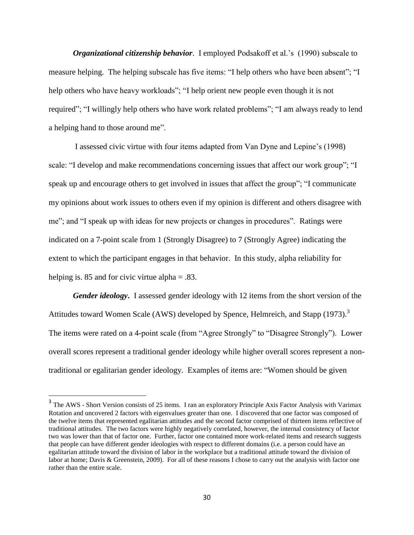*Organizational citizenship behavior*. I employed Podsakoff et al.'s (1990) subscale to measure helping. The helping subscale has five items: "I help others who have been absent"; "I help others who have heavy workloads"; "I help orient new people even though it is not required"; "I willingly help others who have work related problems"; "I am always ready to lend a helping hand to those around me".

I assessed civic virtue with four items adapted from Van Dyne and Lepine's (1998) scale: "I develop and make recommendations concerning issues that affect our work group"; "I speak up and encourage others to get involved in issues that affect the group"; "I communicate my opinions about work issues to others even if my opinion is different and others disagree with me"; and "I speak up with ideas for new projects or changes in procedures". Ratings were indicated on a 7-point scale from 1 (Strongly Disagree) to 7 (Strongly Agree) indicating the extent to which the participant engages in that behavior. In this study, alpha reliability for helping is. 85 and for civic virtue alpha  $= .83$ .

*Gender ideology***.**I assessed gender ideology with 12 items from the short version of the Attitudes toward Women Scale (AWS) developed by Spence, Helmreich, and Stapp (1973).<sup>3</sup> The items were rated on a 4-point scale (from "Agree Strongly" to "Disagree Strongly"). Lower overall scores represent a traditional gender ideology while higher overall scores represent a nontraditional or egalitarian gender ideology. Examples of items are: "Women should be given

 $\overline{\phantom{a}}$ 

<sup>&</sup>lt;sup>3</sup> The AWS - Short Version consists of 25 items. I ran an exploratory Principle Axis Factor Analysis with Varimax Rotation and uncovered 2 factors with eigenvalues greater than one. I discovered that one factor was composed of the twelve items that represented egalitarian attitudes and the second factor comprised of thirteen items reflective of traditional attitudes. The two factors were highly negatively correlated, however, the internal consistency of factor two was lower than that of factor one. Further, factor one contained more work-related items and research suggests that people can have different gender ideologies with respect to different domains (i.e. a person could have an egalitarian attitude toward the division of labor in the workplace but a traditional attitude toward the division of labor at home; Davis & Greenstein, 2009). For all of these reasons I chose to carry out the analysis with factor one rather than the entire scale.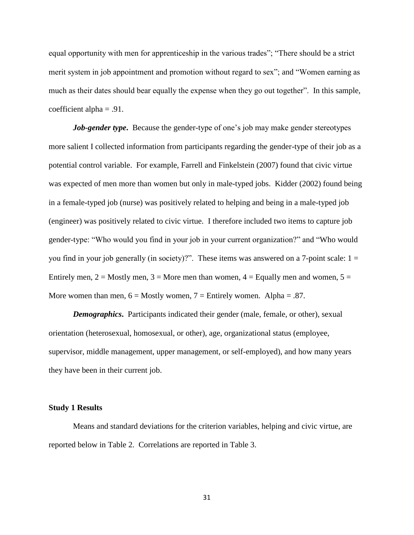equal opportunity with men for apprenticeship in the various trades"; "There should be a strict merit system in job appointment and promotion without regard to sex"; and "Women earning as much as their dates should bear equally the expense when they go out together". In this sample, coefficient alpha  $= .91$ .

*Job-gender type***.** Because the gender-type of one's job may make gender stereotypes more salient I collected information from participants regarding the gender-type of their job as a potential control variable. For example, Farrell and Finkelstein (2007) found that civic virtue was expected of men more than women but only in male-typed jobs. Kidder (2002) found being in a female-typed job (nurse) was positively related to helping and being in a male-typed job (engineer) was positively related to civic virtue. I therefore included two items to capture job gender-type: "Who would you find in your job in your current organization?" and "Who would you find in your job generally (in society)?". These items was answered on a 7-point scale:  $1 =$ Entirely men,  $2 =$  Mostly men,  $3 =$  More men than women,  $4 =$  Equally men and women,  $5 =$ More women than men,  $6 =$  Mostly women,  $7 =$  Entirely women. Alpha = .87.

*Demographics***.**Participants indicated their gender (male, female, or other), sexual orientation (heterosexual, homosexual, or other), age, organizational status (employee, supervisor, middle management, upper management, or self-employed), and how many years they have been in their current job.

### **Study 1 Results**

Means and standard deviations for the criterion variables, helping and civic virtue, are reported below in Table 2. Correlations are reported in Table 3.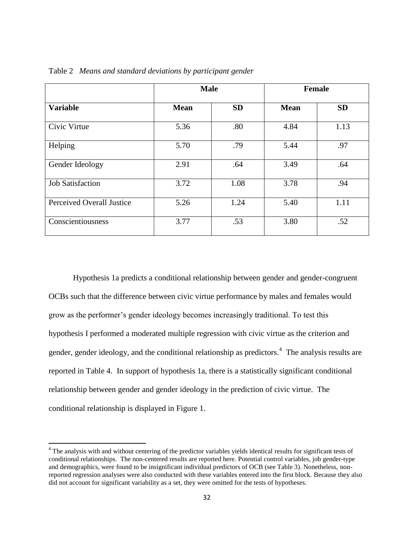|                                  | <b>Male</b> |           | <b>Female</b> |           |  |
|----------------------------------|-------------|-----------|---------------|-----------|--|
| <b>Variable</b>                  | <b>Mean</b> | <b>SD</b> | <b>Mean</b>   | <b>SD</b> |  |
| Civic Virtue                     | 5.36        | .80       | 4.84          | 1.13      |  |
| Helping                          | 5.70        | .79       | 5.44          | .97       |  |
| Gender Ideology                  | 2.91        | .64       | 3.49          | .64       |  |
| <b>Job Satisfaction</b>          | 3.72        | 1.08      | 3.78          | .94       |  |
| <b>Perceived Overall Justice</b> | 5.26        | 1.24      | 5.40          | 1.11      |  |
| Conscientiousness                | 3.77        | .53       | 3.80          | .52       |  |

Table 2 *Means and standard deviations by participant gender*

Hypothesis 1a predicts a conditional relationship between gender and gender-congruent OCBs such that the difference between civic virtue performance by males and females would grow as the performer's gender ideology becomes increasingly traditional. To test this hypothesis I performed a moderated multiple regression with civic virtue as the criterion and gender, gender ideology, and the conditional relationship as predictors.<sup>4</sup> The analysis results are reported in Table 4. In support of hypothesis 1a, there is a statistically significant conditional relationship between gender and gender ideology in the prediction of civic virtue. The conditional relationship is displayed in Figure 1.

 $\overline{a}$ 

<sup>&</sup>lt;sup>4</sup> The analysis with and without centering of the predictor variables yields identical results for significant tests of conditional relationships. The non-centered results are reported here. Potential control variables, job gender-type and demographics, were found to be insignificant individual predictors of OCB (see Table 3). Nonetheless, nonreported regression analyses were also conducted with these variables entered into the first block. Because they also did not account for significant variability as a set, they were omitted for the tests of hypotheses.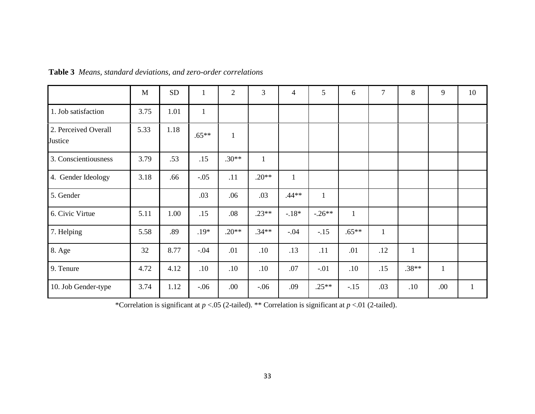|                                 | M    | ${\rm SD}$ | $\mathbf{1}$ | $\overline{2}$ | 3            | 4            | 5            | 6        | $\overline{7}$ | 8            | 9            | 10           |
|---------------------------------|------|------------|--------------|----------------|--------------|--------------|--------------|----------|----------------|--------------|--------------|--------------|
| 1. Job satisfaction             | 3.75 | 1.01       | $\mathbf{1}$ |                |              |              |              |          |                |              |              |              |
| 2. Perceived Overall<br>Justice | 5.33 | 1.18       | $.65**$      | $\mathbf{1}$   |              |              |              |          |                |              |              |              |
| 3. Conscientiousness            | 3.79 | .53        | .15          | $.30**$        | $\mathbf{1}$ |              |              |          |                |              |              |              |
| 4. Gender Ideology              | 3.18 | .66        | $-.05$       | .11            | $.20**$      | $\mathbf{1}$ |              |          |                |              |              |              |
| 5. Gender                       |      |            | .03          | .06            | .03          | $.44**$      | $\mathbf{1}$ |          |                |              |              |              |
| 6. Civic Virtue                 | 5.11 | 1.00       | .15          | .08            | $.23**$      | $-.18*$      | $-.26**$     | 1        |                |              |              |              |
| 7. Helping                      | 5.58 | .89        | .19*         | $.20**$        | $.34**$      | $-.04$       | $-.15$       | $.65***$ | $\mathbf{1}$   |              |              |              |
| 8. Age                          | 32   | 8.77       | $-.04$       | .01            | .10          | .13          | .11          | .01      | .12            | $\mathbf{1}$ |              |              |
| 9. Tenure                       | 4.72 | 4.12       | .10          | .10            | .10          | $.07$        | $-.01$       | .10      | .15            | $.38**$      | $\mathbf{1}$ |              |
| 10. Job Gender-type             | 3.74 | 1.12       | $-.06$       | .00            | $-.06$       | .09          | $.25**$      | $-.15$   | .03            | .10          | .00          | $\mathbf{1}$ |

**Table 3** *Means, standard deviations, and zero-order correlations* 

\*Correlation is significant at  $p < 0.05$  (2-tailed). \*\* Correlation is significant at  $p < 0.01$  (2-tailed).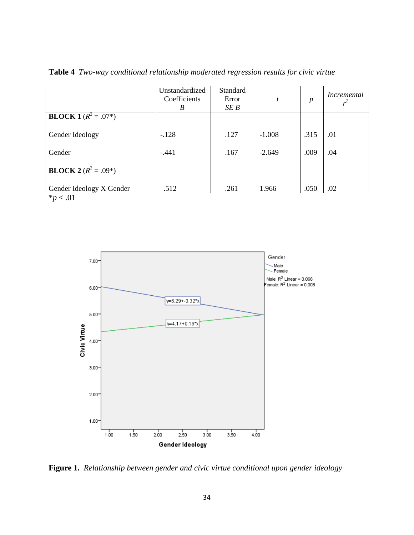|                                  | Unstandardized<br>Coefficients<br>B | Standard<br>Error<br>SE B | t                    | $\boldsymbol{p}$ | Incremental<br>$r^2$ |
|----------------------------------|-------------------------------------|---------------------------|----------------------|------------------|----------------------|
| <b>BLOCK 1</b> ( $R^2 = .07^*$ ) |                                     |                           |                      |                  |                      |
| Gender Ideology<br>Gender        | $-.128$<br>$-.441$                  | .127<br>.167              | $-1.008$<br>$-2.649$ | .315<br>.009     | .01<br>.04           |
| <b>BLOCK 2</b> $(R^2 = .09^*)$   |                                     |                           |                      |                  |                      |
| Gender Ideology X Gender         | .512                                | .261                      | 1.966                | .050             | .02                  |

**Table 4** *Two-way conditional relationship moderated regression results for civic virtue*

 $*_{p}$  < .01



**Figure 1.** *Relationship between gender and civic virtue conditional upon gender ideology*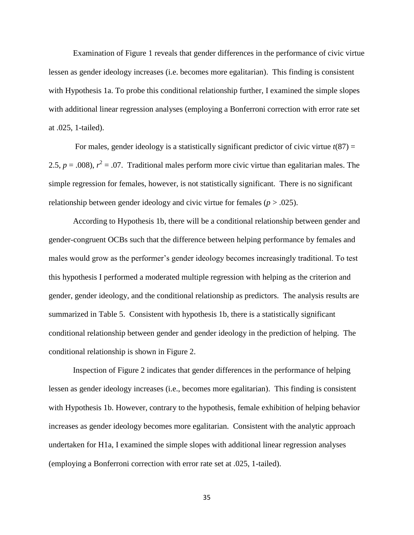Examination of Figure 1 reveals that gender differences in the performance of civic virtue lessen as gender ideology increases (i.e. becomes more egalitarian). This finding is consistent with Hypothesis 1a. To probe this conditional relationship further, I examined the simple slopes with additional linear regression analyses (employing a Bonferroni correction with error rate set at .025, 1-tailed).

For males, gender ideology is a statistically significant predictor of civic virtue  $t(87)$  = 2.5,  $p = .008$ ),  $r^2 = .07$ . Traditional males perform more civic virtue than egalitarian males. The simple regression for females, however, is not statistically significant. There is no significant relationship between gender ideology and civic virtue for females ( $p > .025$ ).

According to Hypothesis 1b, there will be a conditional relationship between gender and gender-congruent OCBs such that the difference between helping performance by females and males would grow as the performer's gender ideology becomes increasingly traditional. To test this hypothesis I performed a moderated multiple regression with helping as the criterion and gender, gender ideology, and the conditional relationship as predictors. The analysis results are summarized in Table 5. Consistent with hypothesis 1b, there is a statistically significant conditional relationship between gender and gender ideology in the prediction of helping. The conditional relationship is shown in Figure 2.

Inspection of Figure 2 indicates that gender differences in the performance of helping lessen as gender ideology increases (i.e., becomes more egalitarian). This finding is consistent with Hypothesis 1b. However, contrary to the hypothesis, female exhibition of helping behavior increases as gender ideology becomes more egalitarian. Consistent with the analytic approach undertaken for H1a, I examined the simple slopes with additional linear regression analyses (employing a Bonferroni correction with error rate set at .025, 1-tailed).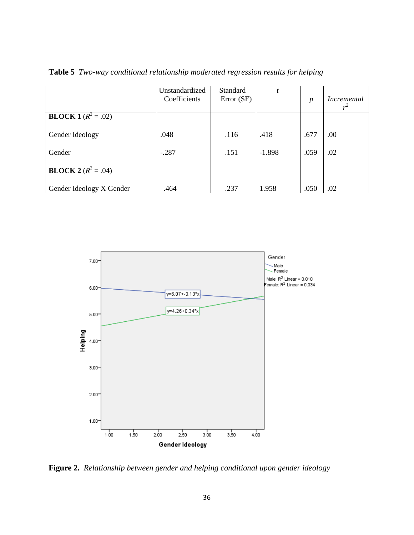|                              | Unstandardized<br>Coefficients | Standard<br>Error (SE) |          | $\boldsymbol{p}$ | Incremental |
|------------------------------|--------------------------------|------------------------|----------|------------------|-------------|
| <b>BLOCK 1</b> $(R^2 = .02)$ |                                |                        |          |                  |             |
| Gender Ideology              | .048                           | .116                   | .418     | .677             | .00         |
| Gender                       | $-.287$                        | .151                   | $-1.898$ | .059             | .02         |
| <b>BLOCK</b> $2(R^2 = .04)$  |                                |                        |          |                  |             |
| Gender Ideology X Gender     | .464                           | .237                   | 1.958    | .050             | .02         |

**Table 5** *Two-way conditional relationship moderated regression results for helping*



**Figure 2.** *Relationship between gender and helping conditional upon gender ideology*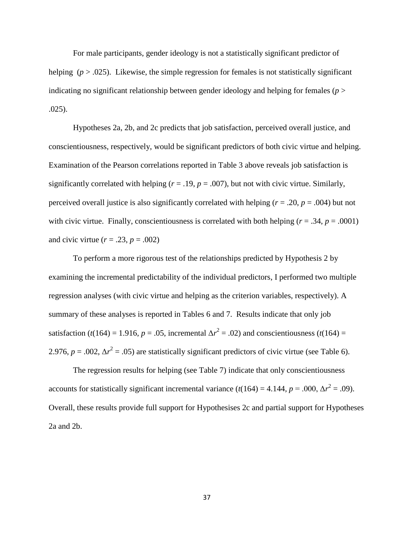For male participants, gender ideology is not a statistically significant predictor of helping  $(p > .025)$ . Likewise, the simple regression for females is not statistically significant indicating no significant relationship between gender ideology and helping for females ( $p >$ .025).

Hypotheses 2a, 2b, and 2c predicts that job satisfaction, perceived overall justice, and conscientiousness, respectively, would be significant predictors of both civic virtue and helping. Examination of the Pearson correlations reported in Table 3 above reveals job satisfaction is significantly correlated with helping  $(r = .19, p = .007)$ , but not with civic virtue. Similarly, perceived overall justice is also significantly correlated with helping ( $r = .20$ ,  $p = .004$ ) but not with civic virtue. Finally, conscientiousness is correlated with both helping  $(r = .34, p = .0001)$ and civic virtue  $(r = .23, p = .002)$ 

To perform a more rigorous test of the relationships predicted by Hypothesis 2 by examining the incremental predictability of the individual predictors, I performed two multiple regression analyses (with civic virtue and helping as the criterion variables, respectively). A summary of these analyses is reported in Tables 6 and 7. Results indicate that only job satisfaction ( $t(164) = 1.916$ ,  $p = .05$ , incremental  $\Delta r^2 = .02$ ) and conscientiousness ( $t(164) =$ 2.976,  $p = .002$ ,  $\Delta r^2 = .05$ ) are statistically significant predictors of civic virtue (see Table 6).

The regression results for helping (see Table 7) indicate that only conscientiousness accounts for statistically significant incremental variance  $(t(164) = 4.144, p = .000, \Delta r^2 = .09)$ . Overall, these results provide full support for Hypothesises 2c and partial support for Hypotheses 2a and 2b.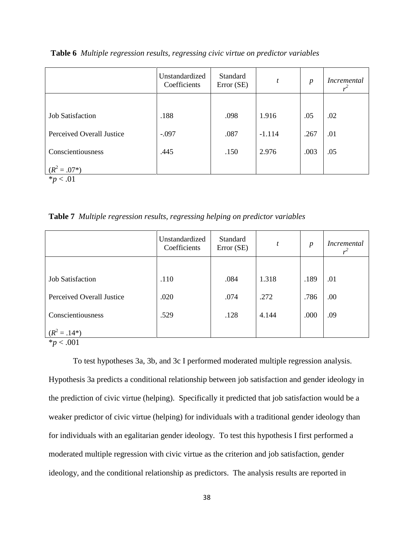|                                               | Unstandardized<br>Coefficients | Standard<br>Error (SE) | t        | $\boldsymbol{p}$ | <i>Incremental</i> |
|-----------------------------------------------|--------------------------------|------------------------|----------|------------------|--------------------|
|                                               |                                |                        |          |                  |                    |
| <b>Job Satisfaction</b>                       | .188                           | .098                   | 1.916    | .05              | .02                |
| Perceived Overall Justice                     | $-.097$                        | .087                   | $-1.114$ | .267             | .01                |
| Conscientiousness                             | .445                           | .150                   | 2.976    | .003             | .05                |
| $(R^2 = .07^*)$<br>$\mathcal{P}$ . $\Omega$ 1 |                                |                        |          |                  |                    |

**Table 6** *Multiple regression results, regressing civic virtue on predictor variables*

\**p* < .01

**Table 7** *Multiple regression results, regressing helping on predictor variables*

|                           | Unstandardized<br>Coefficients | Standard<br>Error (SE) | $\mathfrak{t}$ | $\boldsymbol{p}$ | Incremental |
|---------------------------|--------------------------------|------------------------|----------------|------------------|-------------|
|                           |                                |                        |                |                  |             |
| <b>Job Satisfaction</b>   | .110                           | .084                   | 1.318          | .189             | .01         |
| Perceived Overall Justice | .020                           | .074                   | .272           | .786             | .00         |
| Conscientiousness         | .529                           | .128                   | 4.144          | .000             | .09         |
| $=.14*)$                  |                                |                        |                |                  |             |

\**p* < .001

To test hypotheses 3a, 3b, and 3c I performed moderated multiple regression analysis. Hypothesis 3a predicts a conditional relationship between job satisfaction and gender ideology in the prediction of civic virtue (helping). Specifically it predicted that job satisfaction would be a weaker predictor of civic virtue (helping) for individuals with a traditional gender ideology than for individuals with an egalitarian gender ideology. To test this hypothesis I first performed a moderated multiple regression with civic virtue as the criterion and job satisfaction, gender ideology, and the conditional relationship as predictors. The analysis results are reported in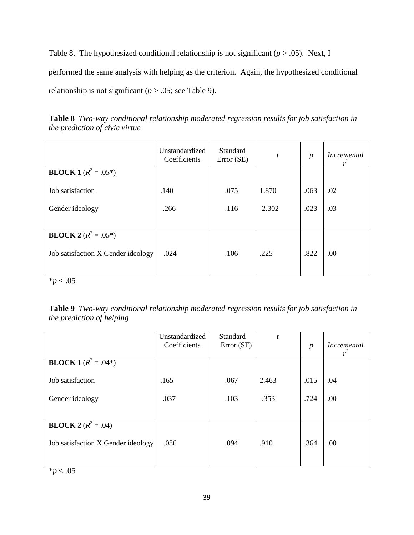Table 8. The hypothesized conditional relationship is not significant  $(p > .05)$ . Next, I performed the same analysis with helping as the criterion. Again, the hypothesized conditional relationship is not significant ( $p > .05$ ; see Table 9).

**Table 8** *Two-way conditional relationship moderated regression results for job satisfaction in the prediction of civic virtue*

|                                    | Unstandardized<br>Coefficients | Standard<br>Error (SE) | t        | $\boldsymbol{p}$ | <i>Incremental</i><br>$r^2$ |
|------------------------------------|--------------------------------|------------------------|----------|------------------|-----------------------------|
| <b>BLOCK 1</b> ( $R^2 = .05^*$ )   |                                |                        |          |                  |                             |
| Job satisfaction                   | .140                           | .075                   | 1.870    | .063             | .02                         |
| Gender ideology                    | $-.266$                        | .116                   | $-2.302$ | .023             | .03                         |
|                                    |                                |                        |          |                  |                             |
| <b>BLOCK 2</b> $(R^2 = .05^*)$     |                                |                        |          |                  |                             |
| Job satisfaction X Gender ideology | .024                           | .106                   | .225     | .822             | .00                         |
|                                    |                                |                        |          |                  |                             |

\**p* < .05

**Table 9** *Two-way conditional relationship moderated regression results for job satisfaction in the prediction of helping* 

|                                                                    | Unstandardized<br>Coefficients | Standard<br>Error (SE) | $\boldsymbol{t}$ | $\boldsymbol{p}$ | <i>Incremental</i><br>$r^2$ |
|--------------------------------------------------------------------|--------------------------------|------------------------|------------------|------------------|-----------------------------|
| <b>BLOCK 1</b> $(R^2 = .04^*)$                                     |                                |                        |                  |                  |                             |
| Job satisfaction                                                   | .165                           | .067                   | 2.463            | .015             | .04                         |
| Gender ideology                                                    | $-.037$                        | .103                   | $-.353$          | .724             | .00                         |
|                                                                    |                                |                        |                  |                  |                             |
| <b>BLOCK 2</b> $(R^2 = .04)$<br>Job satisfaction X Gender ideology | .086                           | .094                   | .910             | .364             | .00                         |
|                                                                    |                                |                        |                  |                  |                             |

 $*$ *p* < .05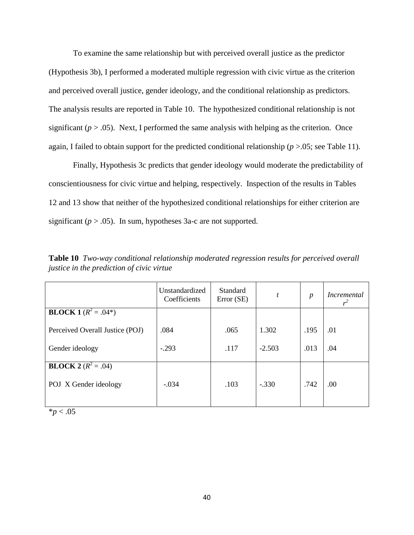To examine the same relationship but with perceived overall justice as the predictor (Hypothesis 3b), I performed a moderated multiple regression with civic virtue as the criterion and perceived overall justice, gender ideology, and the conditional relationship as predictors. The analysis results are reported in Table 10. The hypothesized conditional relationship is not significant ( $p > .05$ ). Next, I performed the same analysis with helping as the criterion. Once again, I failed to obtain support for the predicted conditional relationship (*p* >.05; see Table 11).

Finally, Hypothesis 3c predicts that gender ideology would moderate the predictability of conscientiousness for civic virtue and helping, respectively. Inspection of the results in Tables 12 and 13 show that neither of the hypothesized conditional relationships for either criterion are significant  $(p > .05)$ . In sum, hypotheses 3a-c are not supported.

|                                 | Unstandardized<br>Coefficients | <b>Standard</b><br>Error (SE) | t        | $\boldsymbol{p}$ | <i>Incremental</i> |
|---------------------------------|--------------------------------|-------------------------------|----------|------------------|--------------------|
| <b>BLOCK 1</b> $(R^2 = .04^*)$  |                                |                               |          |                  |                    |
| Perceived Overall Justice (POJ) | .084                           | .065                          | 1.302    | .195             | .01                |
| Gender ideology                 | $-.293$                        | .117                          | $-2.503$ | .013             | .04                |
| <b>BLOCK 2</b> $(R^2 = .04)$    |                                |                               |          |                  |                    |
| POJ X Gender ideology           | $-.034$                        | .103                          | $-.330$  | .742             | .00                |

**Table 10** *Two-way conditional relationship moderated regression results for perceived overall justice in the prediction of civic virtue*

\**p* < .05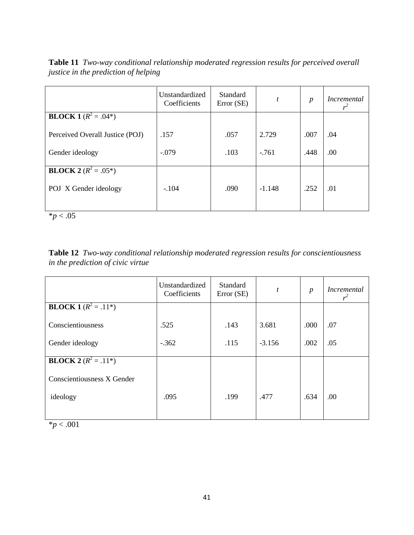**Table 11** *Two-way conditional relationship moderated regression results for perceived overall justice in the prediction of helping*

|                                           | Unstandardized<br>Coefficients | Standard<br>Error (SE) | t        | $\boldsymbol{p}$ | <i>Incremental</i> |
|-------------------------------------------|--------------------------------|------------------------|----------|------------------|--------------------|
| <b>BLOCK</b> $1 \overline{(R^2 = .04^*)}$ |                                |                        |          |                  |                    |
| Perceived Overall Justice (POJ)           | .157                           | .057                   | 2.729    | .007             | .04                |
| Gender ideology                           | $-.079$                        | .103                   | $-761$   | .448             | .00                |
| <b>BLOCK 2</b> $(R^2 = .05^*)$            |                                |                        |          |                  |                    |
| POJ X Gender ideology                     | $-.104$                        | .090                   | $-1.148$ | .252             | .01                |

 $*_{p}$  < .05

| Table 12 Two-way conditional relationship moderated regression results for conscientiousness |  |  |
|----------------------------------------------------------------------------------------------|--|--|
| in the prediction of civic virtue                                                            |  |  |

| Unstandardized<br>Coefficients | Standard<br>Error (SE) | $\boldsymbol{t}$ | $\boldsymbol{p}$ | <b>Incremental</b> |
|--------------------------------|------------------------|------------------|------------------|--------------------|
|                                |                        |                  |                  |                    |
| .525                           | .143                   | 3.681            | .000             | .07                |
| $-.362$                        | .115                   | $-3.156$         | .002             | .05                |
|                                |                        |                  |                  |                    |
|                                |                        |                  |                  |                    |
| .095                           | .199                   | .477             | .634             | .00                |
|                                |                        |                  |                  |                    |

 $*_{p}$  < .001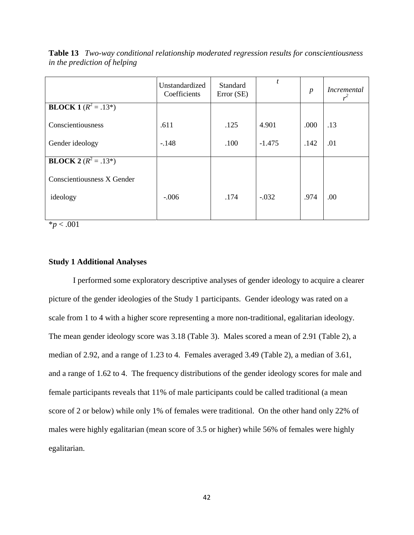|                                | Unstandardized<br>Coefficients | Standard<br>Error (SE) | t        | $\boldsymbol{p}$ | <i>Incremental</i><br>$r^2$ |
|--------------------------------|--------------------------------|------------------------|----------|------------------|-----------------------------|
| <b>BLOCK 1</b> $(R^2 = .13^*)$ |                                |                        |          |                  |                             |
| Conscientiousness              | .611                           | .125                   | 4.901    | .000             | .13                         |
| Gender ideology                | $-.148$                        | .100                   | $-1.475$ | .142             | .01                         |
| <b>BLOCK 2</b> $(R^2 = .13^*)$ |                                |                        |          |                  |                             |
| Conscientiousness X Gender     |                                |                        |          |                  |                             |
| ideology                       | $-.006$                        | .174                   | $-.032$  | .974             | .00                         |
|                                |                                |                        |          |                  |                             |

**Table 13** *Two-way conditional relationship moderated regression results for conscientiousness in the prediction of helping*

\**p* < .001

# **Study 1 Additional Analyses**

I performed some exploratory descriptive analyses of gender ideology to acquire a clearer picture of the gender ideologies of the Study 1 participants. Gender ideology was rated on a scale from 1 to 4 with a higher score representing a more non-traditional, egalitarian ideology. The mean gender ideology score was 3.18 (Table 3). Males scored a mean of 2.91 (Table 2), a median of 2.92, and a range of 1.23 to 4. Females averaged 3.49 (Table 2), a median of 3.61, and a range of 1.62 to 4. The frequency distributions of the gender ideology scores for male and female participants reveals that 11% of male participants could be called traditional (a mean score of 2 or below) while only 1% of females were traditional. On the other hand only 22% of males were highly egalitarian (mean score of 3.5 or higher) while 56% of females were highly egalitarian.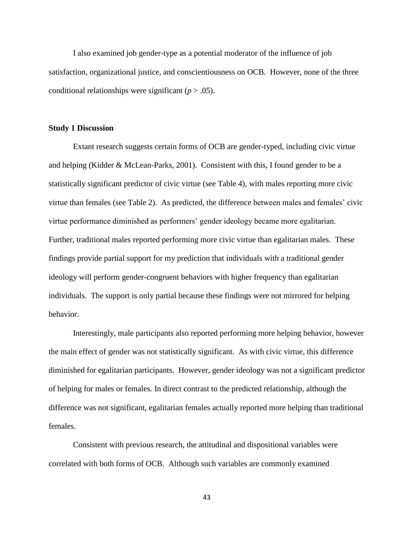I also examined job gender-type as a potential moderator of the influence of job satisfaction, organizational justice, and conscientiousness on OCB. However, none of the three conditional relationships were significant  $(p > .05)$ .

## **Study 1 Discussion**

Extant research suggests certain forms of OCB are gender-typed, including civic virtue and helping (Kidder & McLean-Parks, 2001). Consistent with this, I found gender to be a statistically significant predictor of civic virtue (see Table 4), with males reporting more civic virtue than females (see Table 2). As predicted, the difference between males and females' civic virtue performance diminished as performers' gender ideology became more egalitarian. Further, traditional males reported performing more civic virtue than egalitarian males. These findings provide partial support for my prediction that individuals with a traditional gender ideology will perform gender-congruent behaviors with higher frequency than egalitarian individuals. The support is only partial because these findings were not mirrored for helping behavior.

Interestingly, male participants also reported performing more helping behavior, however the main effect of gender was not statistically significant. As with civic virtue, this difference diminished for egalitarian participants. However, gender ideology was not a significant predictor of helping for males or females. In direct contrast to the predicted relationship, although the difference was not significant, egalitarian females actually reported more helping than traditional females.

Consistent with previous research, the attitudinal and dispositional variables were correlated with both forms of OCB. Although such variables are commonly examined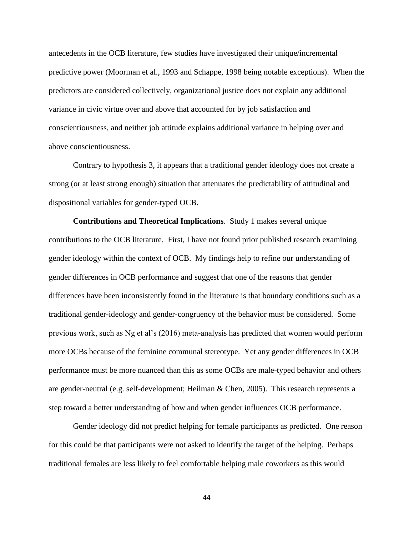antecedents in the OCB literature, few studies have investigated their unique/incremental predictive power (Moorman et al., 1993 and Schappe, 1998 being notable exceptions). When the predictors are considered collectively, organizational justice does not explain any additional variance in civic virtue over and above that accounted for by job satisfaction and conscientiousness, and neither job attitude explains additional variance in helping over and above conscientiousness.

Contrary to hypothesis 3, it appears that a traditional gender ideology does not create a strong (or at least strong enough) situation that attenuates the predictability of attitudinal and dispositional variables for gender-typed OCB.

**Contributions and Theoretical Implications**. Study 1 makes several unique contributions to the OCB literature. First, I have not found prior published research examining gender ideology within the context of OCB. My findings help to refine our understanding of gender differences in OCB performance and suggest that one of the reasons that gender differences have been inconsistently found in the literature is that boundary conditions such as a traditional gender-ideology and gender-congruency of the behavior must be considered. Some previous work, such as Ng et al's (2016) meta-analysis has predicted that women would perform more OCBs because of the feminine communal stereotype. Yet any gender differences in OCB performance must be more nuanced than this as some OCBs are male-typed behavior and others are gender-neutral (e.g. self-development; Heilman & Chen, 2005). This research represents a step toward a better understanding of how and when gender influences OCB performance.

Gender ideology did not predict helping for female participants as predicted. One reason for this could be that participants were not asked to identify the target of the helping. Perhaps traditional females are less likely to feel comfortable helping male coworkers as this would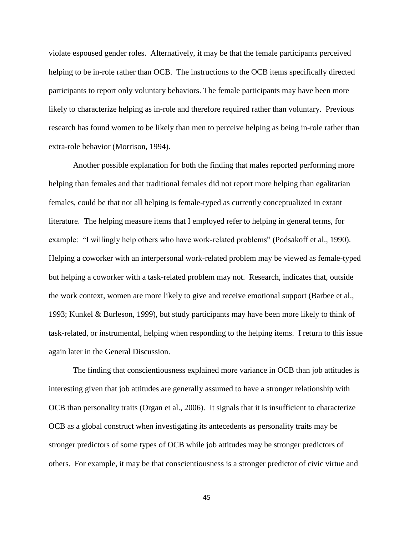violate espoused gender roles. Alternatively, it may be that the female participants perceived helping to be in-role rather than OCB. The instructions to the OCB items specifically directed participants to report only voluntary behaviors. The female participants may have been more likely to characterize helping as in-role and therefore required rather than voluntary. Previous research has found women to be likely than men to perceive helping as being in-role rather than extra-role behavior (Morrison, 1994).

Another possible explanation for both the finding that males reported performing more helping than females and that traditional females did not report more helping than egalitarian females, could be that not all helping is female-typed as currently conceptualized in extant literature. The helping measure items that I employed refer to helping in general terms, for example: "I willingly help others who have work-related problems" (Podsakoff et al., 1990). Helping a coworker with an interpersonal work-related problem may be viewed as female-typed but helping a coworker with a task-related problem may not. Research, indicates that, outside the work context, women are more likely to give and receive emotional support (Barbee et al., 1993; Kunkel & Burleson, 1999), but study participants may have been more likely to think of task-related, or instrumental, helping when responding to the helping items. I return to this issue again later in the General Discussion.

The finding that conscientiousness explained more variance in OCB than job attitudes is interesting given that job attitudes are generally assumed to have a stronger relationship with OCB than personality traits (Organ et al., 2006). It signals that it is insufficient to characterize OCB as a global construct when investigating its antecedents as personality traits may be stronger predictors of some types of OCB while job attitudes may be stronger predictors of others. For example, it may be that conscientiousness is a stronger predictor of civic virtue and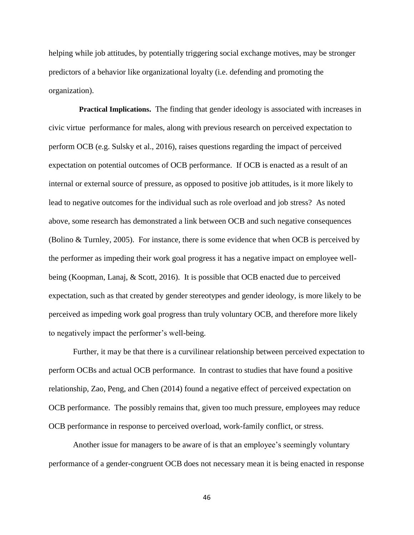helping while job attitudes, by potentially triggering social exchange motives, may be stronger predictors of a behavior like organizational loyalty (i.e. defending and promoting the organization).

**Practical Implications.** The finding that gender ideology is associated with increases in civic virtue performance for males, along with previous research on perceived expectation to perform OCB (e.g. Sulsky et al., 2016), raises questions regarding the impact of perceived expectation on potential outcomes of OCB performance. If OCB is enacted as a result of an internal or external source of pressure, as opposed to positive job attitudes, is it more likely to lead to negative outcomes for the individual such as role overload and job stress? As noted above, some research has demonstrated a link between OCB and such negative consequences (Bolino & Turnley, 2005). For instance, there is some evidence that when OCB is perceived by the performer as impeding their work goal progress it has a negative impact on employee wellbeing (Koopman, Lanaj, & Scott, 2016). It is possible that OCB enacted due to perceived expectation, such as that created by gender stereotypes and gender ideology, is more likely to be perceived as impeding work goal progress than truly voluntary OCB, and therefore more likely to negatively impact the performer's well-being.

Further, it may be that there is a curvilinear relationship between perceived expectation to perform OCBs and actual OCB performance. In contrast to studies that have found a positive relationship, Zao, Peng, and Chen (2014) found a negative effect of perceived expectation on OCB performance. The possibly remains that, given too much pressure, employees may reduce OCB performance in response to perceived overload, work-family conflict, or stress.

Another issue for managers to be aware of is that an employee's seemingly voluntary performance of a gender-congruent OCB does not necessary mean it is being enacted in response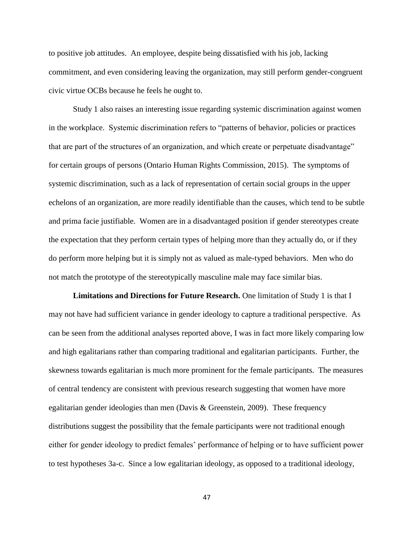to positive job attitudes. An employee, despite being dissatisfied with his job, lacking commitment, and even considering leaving the organization, may still perform gender-congruent civic virtue OCBs because he feels he ought to.

Study 1 also raises an interesting issue regarding systemic discrimination against women in the workplace. Systemic discrimination refers to "patterns of behavior, policies or practices that are part of the structures of an organization, and which create or perpetuate disadvantage" for certain groups of persons (Ontario Human Rights Commission, 2015). The symptoms of systemic discrimination, such as a lack of representation of certain social groups in the upper echelons of an organization, are more readily identifiable than the causes, which tend to be subtle and prima facie justifiable. Women are in a disadvantaged position if gender stereotypes create the expectation that they perform certain types of helping more than they actually do, or if they do perform more helping but it is simply not as valued as male-typed behaviors. Men who do not match the prototype of the stereotypically masculine male may face similar bias.

**Limitations and Directions for Future Research.** One limitation of Study 1 is that I may not have had sufficient variance in gender ideology to capture a traditional perspective. As can be seen from the additional analyses reported above, I was in fact more likely comparing low and high egalitarians rather than comparing traditional and egalitarian participants. Further, the skewness towards egalitarian is much more prominent for the female participants. The measures of central tendency are consistent with previous research suggesting that women have more egalitarian gender ideologies than men (Davis & Greenstein, 2009). These frequency distributions suggest the possibility that the female participants were not traditional enough either for gender ideology to predict females' performance of helping or to have sufficient power to test hypotheses 3a-c. Since a low egalitarian ideology, as opposed to a traditional ideology,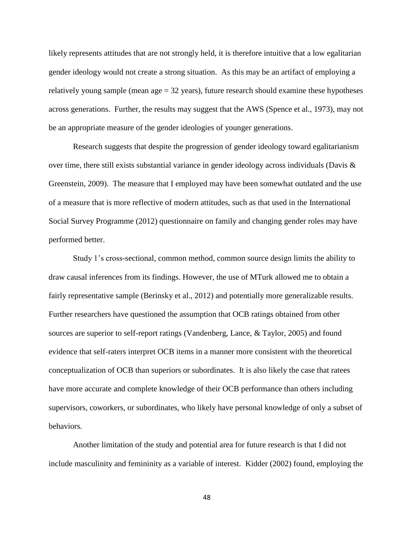likely represents attitudes that are not strongly held, it is therefore intuitive that a low egalitarian gender ideology would not create a strong situation. As this may be an artifact of employing a relatively young sample (mean  $\text{age} = 32 \text{ years}$ ), future research should examine these hypotheses across generations. Further, the results may suggest that the AWS (Spence et al., 1973), may not be an appropriate measure of the gender ideologies of younger generations.

Research suggests that despite the progression of gender ideology toward egalitarianism over time, there still exists substantial variance in gender ideology across individuals (Davis & Greenstein, 2009). The measure that I employed may have been somewhat outdated and the use of a measure that is more reflective of modern attitudes, such as that used in the International Social Survey Programme (2012) questionnaire on family and changing gender roles may have performed better.

Study 1's cross-sectional, common method, common source design limits the ability to draw causal inferences from its findings. However, the use of MTurk allowed me to obtain a fairly representative sample (Berinsky et al., 2012) and potentially more generalizable results. Further researchers have questioned the assumption that OCB ratings obtained from other sources are superior to self-report ratings (Vandenberg, Lance, & Taylor, 2005) and found evidence that self-raters interpret OCB items in a manner more consistent with the theoretical conceptualization of OCB than superiors or subordinates. It is also likely the case that ratees have more accurate and complete knowledge of their OCB performance than others including supervisors, coworkers, or subordinates, who likely have personal knowledge of only a subset of behaviors.

Another limitation of the study and potential area for future research is that I did not include masculinity and femininity as a variable of interest. Kidder (2002) found, employing the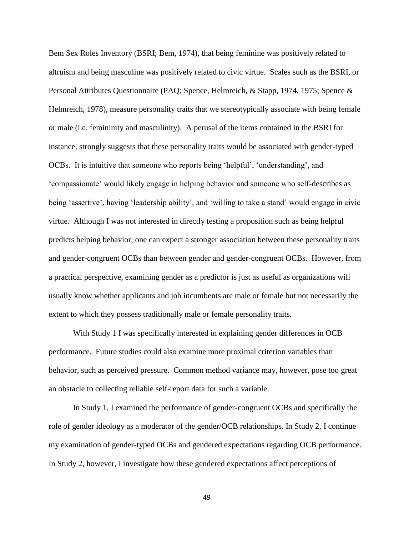Bem Sex Roles Inventory (BSRI; Bem, 1974), that being feminine was positively related to altruism and being masculine was positively related to civic virtue. Scales such as the BSRI, or Personal Attributes Questionnaire (PAQ; Spence, Helmreich, & Stapp, 1974, 1975; Spence & Helmreich, 1978), measure personality traits that we stereotypically associate with being female or male (i.e. femininity and masculinity). A perusal of the items contained in the BSRI for instance, strongly suggests that these personality traits would be associated with gender-typed OCBs. It is intuitive that someone who reports being 'helpful', 'understanding', and 'compassionate' would likely engage in helping behavior and someone who self-describes as being 'assertive', having 'leadership ability', and 'willing to take a stand' would engage in civic virtue. Although I was not interested in directly testing a proposition such as being helpful predicts helping behavior, one can expect a stronger association between these personality traits and gender-congruent OCBs than between gender and gender-congruent OCBs. However, from a practical perspective, examining gender as a predictor is just as useful as organizations will usually know whether applicants and job incumbents are male or female but not necessarily the extent to which they possess traditionally male or female personality traits.

With Study 1 I was specifically interested in explaining gender differences in OCB performance. Future studies could also examine more proximal criterion variables than behavior, such as perceived pressure. Common method variance may, however, pose too great an obstacle to collecting reliable self-report data for such a variable.

In Study 1, I examined the performance of gender-congruent OCBs and specifically the role of gender ideology as a moderator of the gender/OCB relationships. In Study 2, I continue my examination of gender-typed OCBs and gendered expectations regarding OCB performance. In Study 2, however, I investigate how these gendered expectations affect perceptions of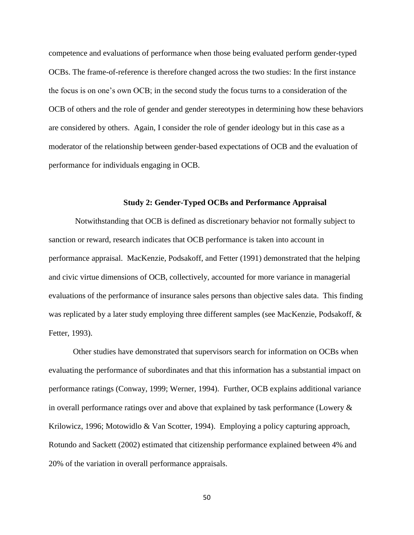competence and evaluations of performance when those being evaluated perform gender-typed OCBs. The frame-of-reference is therefore changed across the two studies: In the first instance the focus is on one's own OCB; in the second study the focus turns to a consideration of the OCB of others and the role of gender and gender stereotypes in determining how these behaviors are considered by others. Again, I consider the role of gender ideology but in this case as a moderator of the relationship between gender-based expectations of OCB and the evaluation of performance for individuals engaging in OCB.

## **Study 2: Gender-Typed OCBs and Performance Appraisal**

Notwithstanding that OCB is defined as discretionary behavior not formally subject to sanction or reward, research indicates that OCB performance is taken into account in performance appraisal. MacKenzie, Podsakoff, and Fetter (1991) demonstrated that the helping and civic virtue dimensions of OCB, collectively, accounted for more variance in managerial evaluations of the performance of insurance sales persons than objective sales data. This finding was replicated by a later study employing three different samples (see MacKenzie, Podsakoff, & Fetter, 1993).

Other studies have demonstrated that supervisors search for information on OCBs when evaluating the performance of subordinates and that this information has a substantial impact on performance ratings (Conway, 1999; Werner, 1994). Further, OCB explains additional variance in overall performance ratings over and above that explained by task performance (Lowery & Krilowicz, 1996; Motowidlo & Van Scotter, 1994). Employing a policy capturing approach, Rotundo and Sackett (2002) estimated that citizenship performance explained between 4% and 20% of the variation in overall performance appraisals.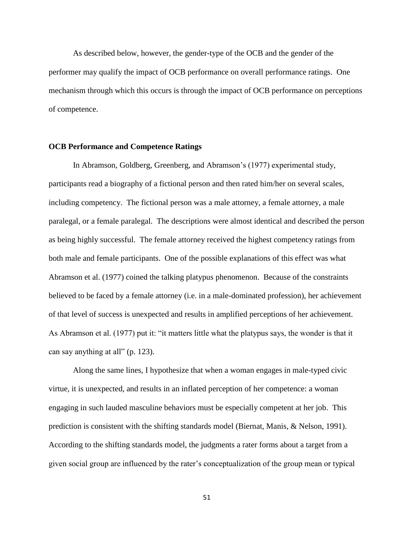As described below, however, the gender-type of the OCB and the gender of the performer may qualify the impact of OCB performance on overall performance ratings. One mechanism through which this occurs is through the impact of OCB performance on perceptions of competence.

# **OCB Performance and Competence Ratings**

In Abramson, Goldberg, Greenberg, and Abramson's (1977) experimental study, participants read a biography of a fictional person and then rated him/her on several scales, including competency. The fictional person was a male attorney, a female attorney, a male paralegal, or a female paralegal. The descriptions were almost identical and described the person as being highly successful. The female attorney received the highest competency ratings from both male and female participants. One of the possible explanations of this effect was what Abramson et al. (1977) coined the talking platypus phenomenon. Because of the constraints believed to be faced by a female attorney (i.e. in a male-dominated profession), her achievement of that level of success is unexpected and results in amplified perceptions of her achievement. As Abramson et al. (1977) put it: "it matters little what the platypus says, the wonder is that it can say anything at all" (p. 123).

Along the same lines, I hypothesize that when a woman engages in male-typed civic virtue, it is unexpected, and results in an inflated perception of her competence: a woman engaging in such lauded masculine behaviors must be especially competent at her job. This prediction is consistent with the shifting standards model (Biernat, Manis, & Nelson, 1991). According to the shifting standards model, the judgments a rater forms about a target from a given social group are influenced by the rater's conceptualization of the group mean or typical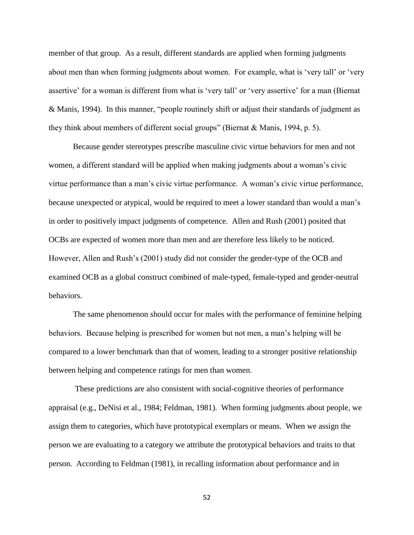member of that group. As a result, different standards are applied when forming judgments about men than when forming judgments about women. For example, what is 'very tall' or 'very assertive' for a woman is different from what is 'very tall' or 'very assertive' for a man (Biernat & Manis, 1994). In this manner, "people routinely shift or adjust their standards of judgment as they think about members of different social groups" (Biernat & Manis, 1994, p. 5).

Because gender stereotypes prescribe masculine civic virtue behaviors for men and not women, a different standard will be applied when making judgments about a woman's civic virtue performance than a man's civic virtue performance. A woman's civic virtue performance, because unexpected or atypical, would be required to meet a lower standard than would a man's in order to positively impact judgments of competence. Allen and Rush (2001) posited that OCBs are expected of women more than men and are therefore less likely to be noticed. However, Allen and Rush's (2001) study did not consider the gender-type of the OCB and examined OCB as a global construct combined of male-typed, female-typed and gender-neutral behaviors.

The same phenomenon should occur for males with the performance of feminine helping behaviors. Because helping is prescribed for women but not men, a man's helping will be compared to a lower benchmark than that of women, leading to a stronger positive relationship between helping and competence ratings for men than women.

These predictions are also consistent with social-cognitive theories of performance appraisal (e.g., DeNisi et al., 1984; Feldman, 1981). When forming judgments about people, we assign them to categories, which have prototypical exemplars or means. When we assign the person we are evaluating to a category we attribute the prototypical behaviors and traits to that person. According to Feldman (1981), in recalling information about performance and in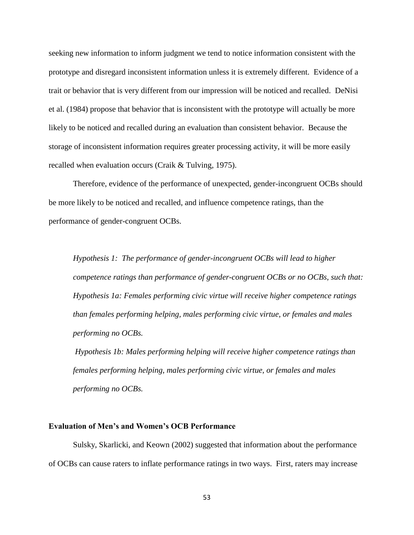seeking new information to inform judgment we tend to notice information consistent with the prototype and disregard inconsistent information unless it is extremely different. Evidence of a trait or behavior that is very different from our impression will be noticed and recalled. DeNisi et al. (1984) propose that behavior that is inconsistent with the prototype will actually be more likely to be noticed and recalled during an evaluation than consistent behavior. Because the storage of inconsistent information requires greater processing activity, it will be more easily recalled when evaluation occurs (Craik & Tulving, 1975).

Therefore, evidence of the performance of unexpected, gender-incongruent OCBs should be more likely to be noticed and recalled, and influence competence ratings, than the performance of gender-congruent OCBs.

*Hypothesis 1: The performance of gender-incongruent OCBs will lead to higher competence ratings than performance of gender-congruent OCBs or no OCBs, such that: Hypothesis 1a: Females performing civic virtue will receive higher competence ratings than females performing helping, males performing civic virtue, or females and males performing no OCBs.*

*Hypothesis 1b: Males performing helping will receive higher competence ratings than females performing helping, males performing civic virtue, or females and males performing no OCBs.*

### **Evaluation of Men's and Women's OCB Performance**

Sulsky, Skarlicki, and Keown (2002) suggested that information about the performance of OCBs can cause raters to inflate performance ratings in two ways. First, raters may increase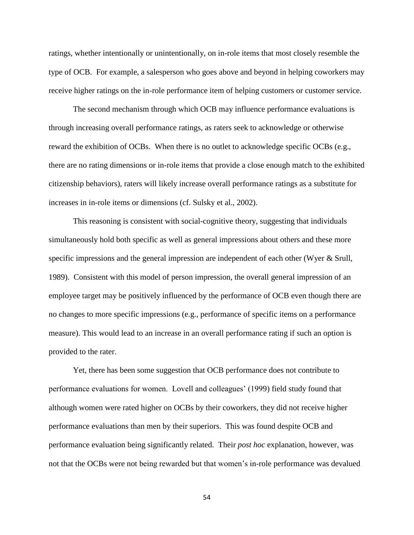ratings, whether intentionally or unintentionally, on in-role items that most closely resemble the type of OCB. For example, a salesperson who goes above and beyond in helping coworkers may receive higher ratings on the in-role performance item of helping customers or customer service.

The second mechanism through which OCB may influence performance evaluations is through increasing overall performance ratings, as raters seek to acknowledge or otherwise reward the exhibition of OCBs. When there is no outlet to acknowledge specific OCBs (e.g., there are no rating dimensions or in-role items that provide a close enough match to the exhibited citizenship behaviors), raters will likely increase overall performance ratings as a substitute for increases in in-role items or dimensions (cf. Sulsky et al., 2002).

This reasoning is consistent with social-cognitive theory, suggesting that individuals simultaneously hold both specific as well as general impressions about others and these more specific impressions and the general impression are independent of each other (Wyer & Srull, 1989). Consistent with this model of person impression, the overall general impression of an employee target may be positively influenced by the performance of OCB even though there are no changes to more specific impressions (e.g., performance of specific items on a performance measure). This would lead to an increase in an overall performance rating if such an option is provided to the rater.

Yet, there has been some suggestion that OCB performance does not contribute to performance evaluations for women. Lovell and colleagues' (1999) field study found that although women were rated higher on OCBs by their coworkers, they did not receive higher performance evaluations than men by their superiors. This was found despite OCB and performance evaluation being significantly related. Their *post hoc* explanation, however, was not that the OCBs were not being rewarded but that women's in-role performance was devalued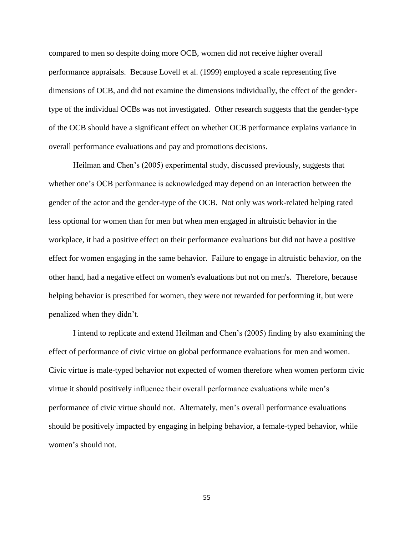compared to men so despite doing more OCB, women did not receive higher overall performance appraisals. Because Lovell et al. (1999) employed a scale representing five dimensions of OCB, and did not examine the dimensions individually, the effect of the gendertype of the individual OCBs was not investigated. Other research suggests that the gender-type of the OCB should have a significant effect on whether OCB performance explains variance in overall performance evaluations and pay and promotions decisions.

Heilman and Chen's (2005) experimental study, discussed previously, suggests that whether one's OCB performance is acknowledged may depend on an interaction between the gender of the actor and the gender-type of the OCB. Not only was work-related helping rated less optional for women than for men but when men engaged in altruistic behavior in the workplace, it had a positive effect on their performance evaluations but did not have a positive effect for women engaging in the same behavior. Failure to engage in altruistic behavior, on the other hand, had a negative effect on women's evaluations but not on men's. Therefore, because helping behavior is prescribed for women, they were not rewarded for performing it, but were penalized when they didn't.

I intend to replicate and extend Heilman and Chen's (2005) finding by also examining the effect of performance of civic virtue on global performance evaluations for men and women. Civic virtue is male-typed behavior not expected of women therefore when women perform civic virtue it should positively influence their overall performance evaluations while men's performance of civic virtue should not. Alternately, men's overall performance evaluations should be positively impacted by engaging in helping behavior, a female-typed behavior, while women's should not.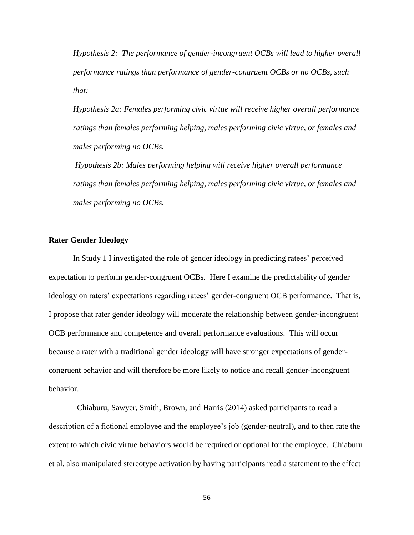*Hypothesis 2: The performance of gender-incongruent OCBs will lead to higher overall performance ratings than performance of gender-congruent OCBs or no OCBs, such that:*

*Hypothesis 2a: Females performing civic virtue will receive higher overall performance ratings than females performing helping, males performing civic virtue, or females and males performing no OCBs.*

*Hypothesis 2b: Males performing helping will receive higher overall performance ratings than females performing helping, males performing civic virtue, or females and males performing no OCBs.*

# **Rater Gender Ideology**

In Study 1 I investigated the role of gender ideology in predicting ratees' perceived expectation to perform gender-congruent OCBs. Here I examine the predictability of gender ideology on raters' expectations regarding ratees' gender-congruent OCB performance. That is, I propose that rater gender ideology will moderate the relationship between gender-incongruent OCB performance and competence and overall performance evaluations. This will occur because a rater with a traditional gender ideology will have stronger expectations of gendercongruent behavior and will therefore be more likely to notice and recall gender-incongruent behavior.

 Chiaburu, Sawyer, Smith, Brown, and Harris (2014) asked participants to read a description of a fictional employee and the employee's job (gender-neutral), and to then rate the extent to which civic virtue behaviors would be required or optional for the employee. Chiaburu et al. also manipulated stereotype activation by having participants read a statement to the effect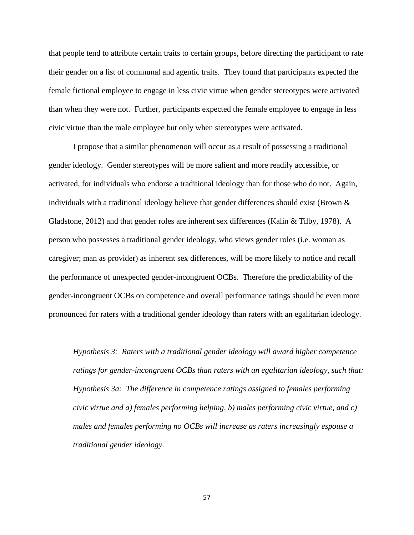that people tend to attribute certain traits to certain groups, before directing the participant to rate their gender on a list of communal and agentic traits. They found that participants expected the female fictional employee to engage in less civic virtue when gender stereotypes were activated than when they were not. Further, participants expected the female employee to engage in less civic virtue than the male employee but only when stereotypes were activated.

I propose that a similar phenomenon will occur as a result of possessing a traditional gender ideology. Gender stereotypes will be more salient and more readily accessible, or activated, for individuals who endorse a traditional ideology than for those who do not. Again, individuals with a traditional ideology believe that gender differences should exist (Brown & Gladstone, 2012) and that gender roles are inherent sex differences (Kalin & Tilby, 1978). A person who possesses a traditional gender ideology, who views gender roles (i.e. woman as caregiver; man as provider) as inherent sex differences, will be more likely to notice and recall the performance of unexpected gender-incongruent OCBs. Therefore the predictability of the gender-incongruent OCBs on competence and overall performance ratings should be even more pronounced for raters with a traditional gender ideology than raters with an egalitarian ideology.

*Hypothesis 3: Raters with a traditional gender ideology will award higher competence ratings for gender-incongruent OCBs than raters with an egalitarian ideology, such that: Hypothesis 3a: The difference in competence ratings assigned to females performing civic virtue and a) females performing helping, b) males performing civic virtue, and c) males and females performing no OCBs will increase as raters increasingly espouse a traditional gender ideology.*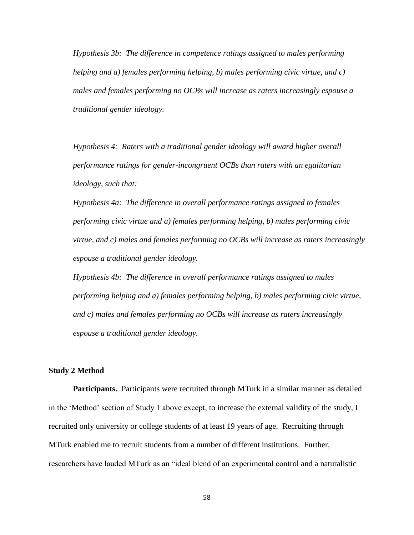*Hypothesis 3b: The difference in competence ratings assigned to males performing helping and a) females performing helping, b) males performing civic virtue, and c) males and females performing no OCBs will increase as raters increasingly espouse a traditional gender ideology.* 

*Hypothesis 4: Raters with a traditional gender ideology will award higher overall performance ratings for gender-incongruent OCBs than raters with an egalitarian ideology, such that:* 

*Hypothesis 4a: The difference in overall performance ratings assigned to females performing civic virtue and a) females performing helping, b) males performing civic virtue, and c) males and females performing no OCBs will increase as raters increasingly espouse a traditional gender ideology.* 

*Hypothesis 4b: The difference in overall performance ratings assigned to males performing helping and a) females performing helping, b) males performing civic virtue, and c) males and females performing no OCBs will increase as raters increasingly espouse a traditional gender ideology.* 

### **Study 2 Method**

**Participants.** Participants were recruited through MTurk in a similar manner as detailed in the 'Method' section of Study 1 above except, to increase the external validity of the study, I recruited only university or college students of at least 19 years of age. Recruiting through MTurk enabled me to recruit students from a number of different institutions. Further, researchers have lauded MTurk as an "ideal blend of an experimental control and a naturalistic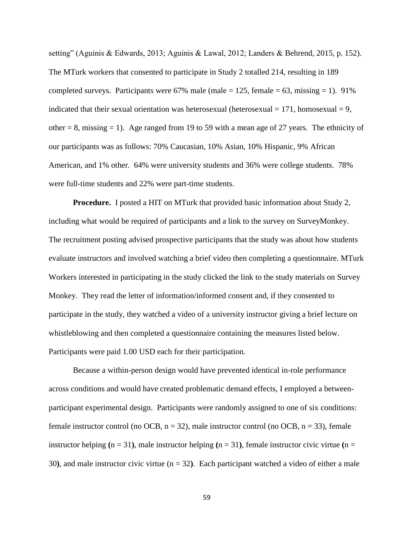setting" (Aguinis & Edwards, 2013; Aguinis & Lawal, 2012; Landers & Behrend, 2015, p. 152). The MTurk workers that consented to participate in Study 2 totalled 214, resulting in 189 completed surveys. Participants were  $67\%$  male (male = 125, female = 63, missing = 1). 91% indicated that their sexual orientation was heterosexual (heterosexual  $= 171$ , homosexual  $= 9$ , other  $= 8$ , missing  $= 1$ ). Age ranged from 19 to 59 with a mean age of 27 years. The ethnicity of our participants was as follows: 70% Caucasian, 10% Asian, 10% Hispanic, 9% African American, and 1% other. 64% were university students and 36% were college students. 78% were full-time students and 22% were part-time students.

**Procedure.** I posted a HIT on MTurk that provided basic information about Study 2, including what would be required of participants and a link to the survey on SurveyMonkey. The recruitment posting advised prospective participants that the study was about how students evaluate instructors and involved watching a brief video then completing a questionnaire. MTurk Workers interested in participating in the study clicked the link to the study materials on Survey Monkey. They read the letter of information/informed consent and, if they consented to participate in the study, they watched a video of a university instructor giving a brief lecture on whistleblowing and then completed a questionnaire containing the measures listed below. Participants were paid 1.00 USD each for their participation.

Because a within-person design would have prevented identical in-role performance across conditions and would have created problematic demand effects, I employed a betweenparticipant experimental design. Participants were randomly assigned to one of six conditions: female instructor control (no OCB,  $n = 32$ ), male instructor control (no OCB,  $n = 33$ ), female instructor helping  $(n = 31)$ , male instructor helping  $(n = 31)$ , female instructor civic virtue  $(n = 11)$ 30**)**, and male instructor civic virtue (n = 32**)**. Each participant watched a video of either a male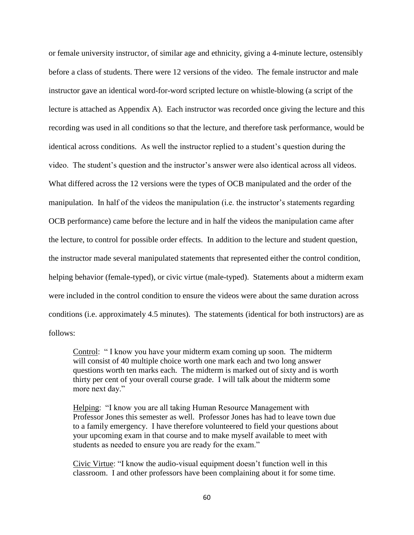or female university instructor, of similar age and ethnicity, giving a 4-minute lecture, ostensibly before a class of students. There were 12 versions of the video. The female instructor and male instructor gave an identical word-for-word scripted lecture on whistle-blowing (a script of the lecture is attached as Appendix A). Each instructor was recorded once giving the lecture and this recording was used in all conditions so that the lecture, and therefore task performance, would be identical across conditions. As well the instructor replied to a student's question during the video. The student's question and the instructor's answer were also identical across all videos. What differed across the 12 versions were the types of OCB manipulated and the order of the manipulation. In half of the videos the manipulation (i.e. the instructor's statements regarding OCB performance) came before the lecture and in half the videos the manipulation came after the lecture, to control for possible order effects. In addition to the lecture and student question, the instructor made several manipulated statements that represented either the control condition, helping behavior (female-typed), or civic virtue (male-typed). Statements about a midterm exam were included in the control condition to ensure the videos were about the same duration across conditions (i.e. approximately 4.5 minutes). The statements (identical for both instructors) are as follows:

Control: " I know you have your midterm exam coming up soon. The midterm will consist of 40 multiple choice worth one mark each and two long answer questions worth ten marks each. The midterm is marked out of sixty and is worth thirty per cent of your overall course grade. I will talk about the midterm some more next day."

Helping: "I know you are all taking Human Resource Management with Professor Jones this semester as well. Professor Jones has had to leave town due to a family emergency. I have therefore volunteered to field your questions about your upcoming exam in that course and to make myself available to meet with students as needed to ensure you are ready for the exam."

Civic Virtue: "I know the audio-visual equipment doesn't function well in this classroom. I and other professors have been complaining about it for some time.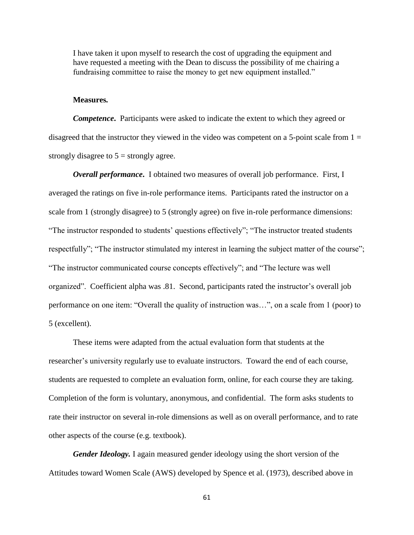I have taken it upon myself to research the cost of upgrading the equipment and have requested a meeting with the Dean to discuss the possibility of me chairing a fundraising committee to raise the money to get new equipment installed."

## **Measures***.*

*Competence***.** Participants were asked to indicate the extent to which they agreed or disagreed that the instructor they viewed in the video was competent on a 5-point scale from  $1 =$ strongly disagree to  $5 =$  strongly agree.

*Overall performance***.** I obtained two measures of overall job performance. First, I averaged the ratings on five in-role performance items. Participants rated the instructor on a scale from 1 (strongly disagree) to 5 (strongly agree) on five in-role performance dimensions: "The instructor responded to students' questions effectively"; "The instructor treated students respectfully"; "The instructor stimulated my interest in learning the subject matter of the course"; "The instructor communicated course concepts effectively"; and "The lecture was well organized". Coefficient alpha was .81. Second, participants rated the instructor's overall job performance on one item: "Overall the quality of instruction was…", on a scale from 1 (poor) to 5 (excellent).

These items were adapted from the actual evaluation form that students at the researcher's university regularly use to evaluate instructors. Toward the end of each course, students are requested to complete an evaluation form, online, for each course they are taking. Completion of the form is voluntary, anonymous, and confidential. The form asks students to rate their instructor on several in-role dimensions as well as on overall performance, and to rate other aspects of the course (e.g. textbook).

*Gender Ideology.* I again measured gender ideology using the short version of the Attitudes toward Women Scale (AWS) developed by Spence et al. (1973), described above in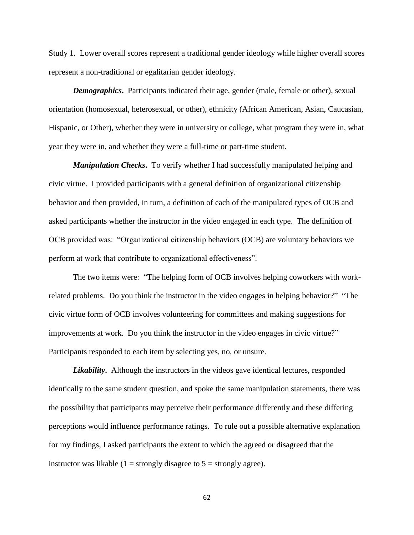Study 1. Lower overall scores represent a traditional gender ideology while higher overall scores represent a non-traditional or egalitarian gender ideology.

*Demographics***.**Participants indicated their age, gender (male, female or other), sexual orientation (homosexual, heterosexual, or other), ethnicity (African American, Asian, Caucasian, Hispanic, or Other), whether they were in university or college, what program they were in, what year they were in, and whether they were a full-time or part-time student.

*Manipulation Checks***.** To verify whether I had successfully manipulated helping and civic virtue. I provided participants with a general definition of organizational citizenship behavior and then provided, in turn, a definition of each of the manipulated types of OCB and asked participants whether the instructor in the video engaged in each type. The definition of OCB provided was: "Organizational citizenship behaviors (OCB) are voluntary behaviors we perform at work that contribute to organizational effectiveness".

The two items were: "The helping form of OCB involves helping coworkers with workrelated problems. Do you think the instructor in the video engages in helping behavior?" "The civic virtue form of OCB involves volunteering for committees and making suggestions for improvements at work. Do you think the instructor in the video engages in civic virtue?" Participants responded to each item by selecting yes, no, or unsure.

*Likability*. Although the instructors in the videos gave identical lectures, responded identically to the same student question, and spoke the same manipulation statements, there was the possibility that participants may perceive their performance differently and these differing perceptions would influence performance ratings. To rule out a possible alternative explanation for my findings, I asked participants the extent to which the agreed or disagreed that the instructor was likable (1 = strongly disagree to  $5$  = strongly agree).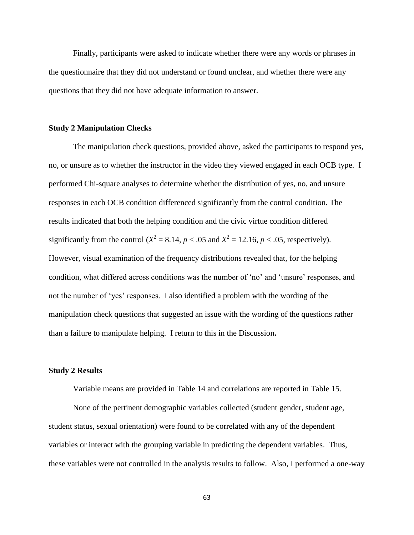Finally, participants were asked to indicate whether there were any words or phrases in the questionnaire that they did not understand or found unclear, and whether there were any questions that they did not have adequate information to answer.

## **Study 2 Manipulation Checks**

The manipulation check questions, provided above, asked the participants to respond yes, no, or unsure as to whether the instructor in the video they viewed engaged in each OCB type. I performed Chi-square analyses to determine whether the distribution of yes, no, and unsure responses in each OCB condition differenced significantly from the control condition. The results indicated that both the helping condition and the civic virtue condition differed significantly from the control ( $X^2 = 8.14$ ,  $p < .05$  and  $X^2 = 12.16$ ,  $p < .05$ , respectively). However, visual examination of the frequency distributions revealed that, for the helping condition, what differed across conditions was the number of 'no' and 'unsure' responses, and not the number of 'yes' responses. I also identified a problem with the wording of the manipulation check questions that suggested an issue with the wording of the questions rather than a failure to manipulate helping. I return to this in the Discussion**.** 

# **Study 2 Results**

Variable means are provided in Table 14 and correlations are reported in Table 15.

None of the pertinent demographic variables collected (student gender, student age, student status, sexual orientation) were found to be correlated with any of the dependent variables or interact with the grouping variable in predicting the dependent variables. Thus, these variables were not controlled in the analysis results to follow. Also, I performed a one-way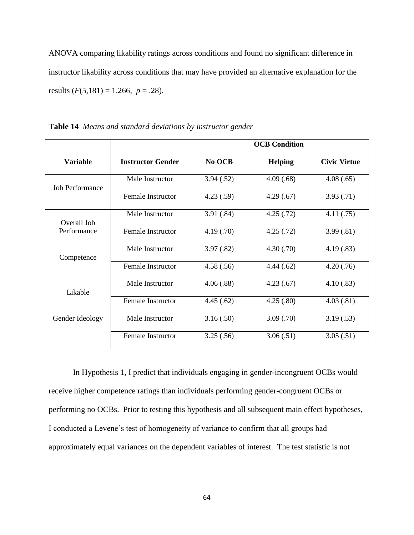ANOVA comparing likability ratings across conditions and found no significant difference in instructor likability across conditions that may have provided an alternative explanation for the results  $(F(5,181) = 1.266, p = .28)$ .

|                 |                          |            | <b>OCB</b> Condition |                     |
|-----------------|--------------------------|------------|----------------------|---------------------|
| <b>Variable</b> | <b>Instructor Gender</b> | No OCB     | <b>Helping</b>       | <b>Civic Virtue</b> |
| Job Performance | Male Instructor          | 3.94(.52)  | 4.09(.68)            | 4.08(.65)           |
|                 | <b>Female Instructor</b> | 4.23(.59)  | 4.29(.67)            | 3.93(.71)           |
| Overall Job     | Male Instructor          | 3.91(.84)  | 4.25(.72)            | 4.11(.75)           |
| Performance     | <b>Female Instructor</b> | 4.19(0.70) | 4.25(.72)            | 3.99(.81)           |
| Competence      | Male Instructor          | 3.97(.82)  | 4.30(.70)            | 4.19(.83)           |
|                 | <b>Female Instructor</b> | 4.58(.56)  | 4.44(.62)            | 4.20(.76)           |
| Likable         | Male Instructor          | 4.06(.88)  | 4.23(.67)            | 4.10(.83)           |
|                 | <b>Female Instructor</b> | 4.45(.62)  | 4.25(.80)            | 4.03(.81)           |
| Gender Ideology | Male Instructor          | 3.16(.50)  | 3.09(.70)            | 3.19(.53)           |
|                 | Female Instructor        | 3.25(.56)  | 3.06(.51)            | 3.05(.51)           |

| Table 14 Means and standard deviations by instructor gender |
|-------------------------------------------------------------|
|-------------------------------------------------------------|

In Hypothesis 1, I predict that individuals engaging in gender-incongruent OCBs would receive higher competence ratings than individuals performing gender-congruent OCBs or performing no OCBs. Prior to testing this hypothesis and all subsequent main effect hypotheses, I conducted a Levene's test of homogeneity of variance to confirm that all groups had approximately equal variances on the dependent variables of interest. The test statistic is not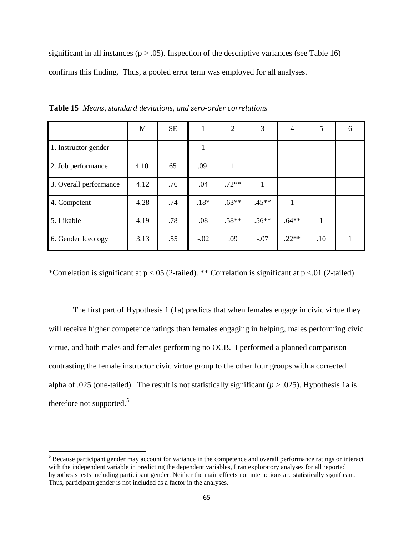significant in all instances ( $p > .05$ ). Inspection of the descriptive variances (see Table 16) confirms this finding. Thus, a pooled error term was employed for all analyses.

|                        | M    | <b>SE</b> | л.     | 2       | 3       | $\overline{4}$ | 5   | 6 |
|------------------------|------|-----------|--------|---------|---------|----------------|-----|---|
| 1. Instructor gender   |      |           | л.     |         |         |                |     |   |
| 2. Job performance     | 4.10 | .65       | .09    |         |         |                |     |   |
| 3. Overall performance | 4.12 | .76       | .04    | $.72**$ |         |                |     |   |
| 4. Competent           | 4.28 | .74       | $.18*$ | $.63**$ | $.45**$ |                |     |   |
| 5. Likable             | 4.19 | .78       | .08    | $.58**$ | $.56**$ | $.64***$       |     |   |
| 6. Gender Ideology     | 3.13 | .55       | $-.02$ | .09     | $-.07$  | $.22**$        | .10 |   |

**Table 15** *Means, standard deviations, and zero-order correlations*

\*Correlation is significant at p <.05 (2-tailed). \*\* Correlation is significant at p <.01 (2-tailed).

The first part of Hypothesis 1 (1a) predicts that when females engage in civic virtue they will receive higher competence ratings than females engaging in helping, males performing civic virtue, and both males and females performing no OCB. I performed a planned comparison contrasting the female instructor civic virtue group to the other four groups with a corrected alpha of .025 (one-tailed). The result is not statistically significant (*p* > .025). Hypothesis 1a is therefore not supported.<sup>5</sup>

 $\overline{\phantom{a}}$ 

<sup>&</sup>lt;sup>5</sup> Because participant gender may account for variance in the competence and overall performance ratings or interact with the independent variable in predicting the dependent variables, I ran exploratory analyses for all reported hypothesis tests including participant gender. Neither the main effects nor interactions are statistically significant. Thus, participant gender is not included as a factor in the analyses.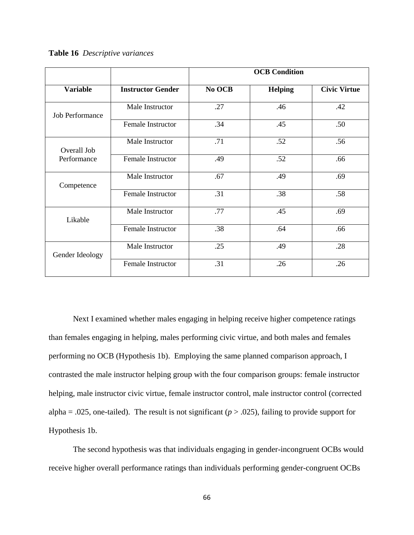**Table 16** *Descriptive variances*

|                        |                          |        | <b>OCB</b> Condition |                     |
|------------------------|--------------------------|--------|----------------------|---------------------|
| <b>Variable</b>        | <b>Instructor Gender</b> | No OCB | <b>Helping</b>       | <b>Civic Virtue</b> |
| <b>Job Performance</b> | Male Instructor          | .27    | .46                  | .42                 |
|                        | Female Instructor        | .34    | .45                  | .50                 |
| Overall Job            | Male Instructor          | .71    | .52                  | .56                 |
| Performance            | <b>Female Instructor</b> | .49    | .52                  | .66                 |
| Competence             | Male Instructor          | .67    | .49                  | .69                 |
|                        | Female Instructor        | .31    | .38                  | .58                 |
| Likable                | Male Instructor          | .77    | .45                  | .69                 |
|                        | Female Instructor        | .38    | .64                  | .66                 |
| Gender Ideology        | Male Instructor          | .25    | .49                  | .28                 |
|                        | <b>Female Instructor</b> | .31    | .26                  | .26                 |

Next I examined whether males engaging in helping receive higher competence ratings than females engaging in helping, males performing civic virtue, and both males and females performing no OCB (Hypothesis 1b). Employing the same planned comparison approach, I contrasted the male instructor helping group with the four comparison groups: female instructor helping, male instructor civic virtue, female instructor control, male instructor control (corrected alpha = .025, one-tailed). The result is not significant ( $p > .025$ ), failing to provide support for Hypothesis 1b.

The second hypothesis was that individuals engaging in gender-incongruent OCBs would receive higher overall performance ratings than individuals performing gender-congruent OCBs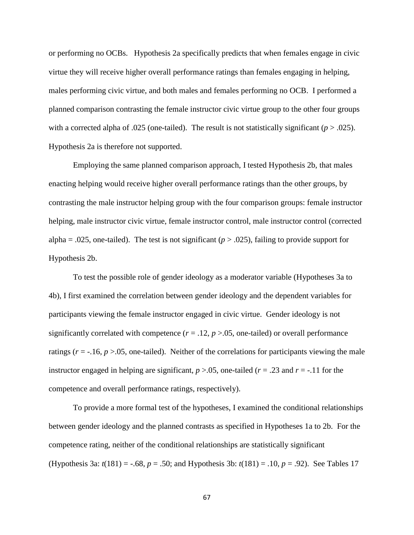or performing no OCBs. Hypothesis 2a specifically predicts that when females engage in civic virtue they will receive higher overall performance ratings than females engaging in helping, males performing civic virtue, and both males and females performing no OCB. I performed a planned comparison contrasting the female instructor civic virtue group to the other four groups with a corrected alpha of .025 (one-tailed). The result is not statistically significant  $(p > .025)$ . Hypothesis 2a is therefore not supported.

Employing the same planned comparison approach, I tested Hypothesis 2b, that males enacting helping would receive higher overall performance ratings than the other groups, by contrasting the male instructor helping group with the four comparison groups: female instructor helping, male instructor civic virtue, female instructor control, male instructor control (corrected alpha = .025, one-tailed). The test is not significant ( $p > .025$ ), failing to provide support for Hypothesis 2b.

To test the possible role of gender ideology as a moderator variable (Hypotheses 3a to 4b), I first examined the correlation between gender ideology and the dependent variables for participants viewing the female instructor engaged in civic virtue. Gender ideology is not significantly correlated with competence  $(r = .12, p > .05,$  one-tailed) or overall performance ratings  $(r = -16, p > 0.05,$  one-tailed). Neither of the correlations for participants viewing the male instructor engaged in helping are significant,  $p > 0.05$ , one-tailed ( $r = 0.23$  and  $r = -0.11$  for the competence and overall performance ratings, respectively).

To provide a more formal test of the hypotheses, I examined the conditional relationships between gender ideology and the planned contrasts as specified in Hypotheses 1a to 2b. For the competence rating, neither of the conditional relationships are statistically significant (Hypothesis 3a: *t*(181) = -.68, *p* = .50; and Hypothesis 3b: *t*(181) = .10, *p* = .92). See Tables 17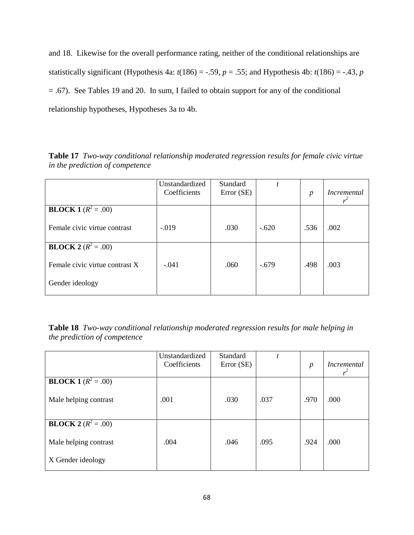and 18. Likewise for the overall performance rating, neither of the conditional relationships are statistically significant (Hypothesis 4a:  $t(186) = -.59$ ,  $p = .55$ ; and Hypothesis 4b:  $t(186) = -.43$ ,  $p = .55$ = .67). See Tables 19 and 20. In sum, I failed to obtain support for any of the conditional relationship hypotheses, Hypotheses 3a to 4b.

**Table 17** *Two-way conditional relationship moderated regression results for female civic virtue in the prediction of competence*

|                                | Unstandardized<br>Coefficients | Standard<br>Error (SE) | t       | $\boldsymbol{p}$ | Incremental |
|--------------------------------|--------------------------------|------------------------|---------|------------------|-------------|
| <b>BLOCK 1</b> ( $R^2 = .00$ ) |                                |                        |         |                  |             |
| Female civic virtue contrast   | $-.019$                        | .030                   | $-.620$ | .536             | .002        |
| <b>BLOCK 2</b> ( $R^2 = .00$ ) |                                |                        |         |                  |             |
| Female civic virtue contrast X | $-.041$                        | .060                   | $-.679$ | .498             | .003        |
| Gender ideology                |                                |                        |         |                  |             |

| <b>Table 18</b> Two-way conditional relationship moderated regression results for male helping in |  |  |  |
|---------------------------------------------------------------------------------------------------|--|--|--|
| the prediction of competence                                                                      |  |  |  |

|                              | Unstandardized<br>Coefficients | Standard<br>Error (SE) | t    | $\boldsymbol{p}$ | <i>Incremental</i><br>$r^2$ |
|------------------------------|--------------------------------|------------------------|------|------------------|-----------------------------|
| <b>BLOCK 1</b> $(R^2 = .00)$ |                                |                        |      |                  |                             |
| Male helping contrast        | .001                           | .030                   | .037 | .970             | .000                        |
| <b>BLOCK 2</b> $(R^2 = .00)$ |                                |                        |      |                  |                             |
| Male helping contrast        | .004                           | .046                   | .095 | .924             | .000                        |
| X Gender ideology            |                                |                        |      |                  |                             |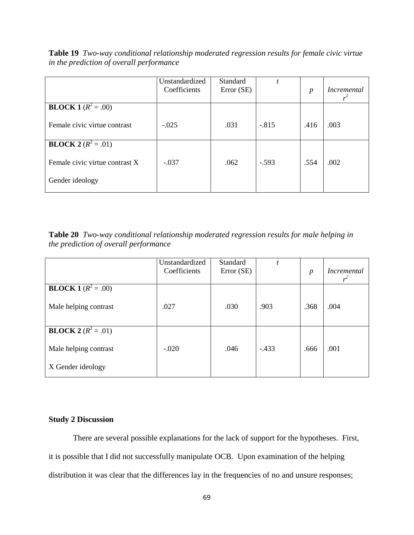**Table 19** *Two-way conditional relationship moderated regression results for female civic virtue in the prediction of overall performance*

|                                | Unstandardized<br>Coefficients | Standard<br>Error (SE) | t       | $\boldsymbol{p}$ | Incremental |
|--------------------------------|--------------------------------|------------------------|---------|------------------|-------------|
| <b>BLOCK 1</b> ( $R^2 = .00$ ) |                                |                        |         |                  |             |
| Female civic virtue contrast   | $-.025$                        | .031                   | $-.815$ | .416             | .003        |
| <b>BLOCK</b> $2(R^2 = .01)$    |                                |                        |         |                  |             |
| Female civic virtue contrast X | $-.037$                        | .062                   | $-.593$ | .554             | .002        |
| Gender ideology                |                                |                        |         |                  |             |

**Table 20** *Two-way conditional relationship moderated regression results for male helping in the prediction of overall performance* 

|                              | Unstandardized<br>Coefficients | Standard<br>Error (SE) |        | $\boldsymbol{p}$ | <i>Incremental</i> |
|------------------------------|--------------------------------|------------------------|--------|------------------|--------------------|
| <b>BLOCK</b> 1 $(R^2 = .00)$ |                                |                        |        |                  |                    |
| Male helping contrast        | .027                           | .030                   | .903   | .368             | .004               |
| <b>BLOCK 2</b> $(R^2 = .01)$ |                                |                        |        |                  |                    |
| Male helping contrast        | $-.020$                        | .046                   | $-433$ | .666             | .001               |
| X Gender ideology            |                                |                        |        |                  |                    |

## **Study 2 Discussion**

There are several possible explanations for the lack of support for the hypotheses. First, it is possible that I did not successfully manipulate OCB. Upon examination of the helping distribution it was clear that the differences lay in the frequencies of no and unsure responses;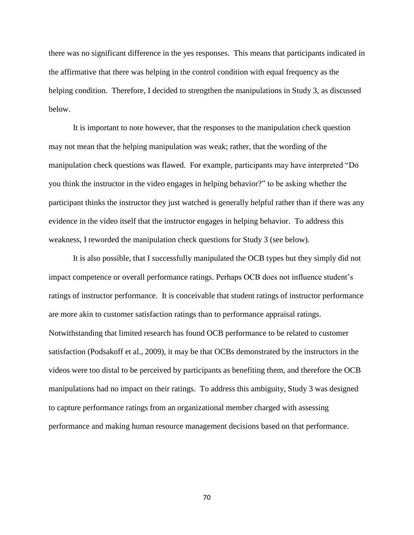there was no significant difference in the yes responses. This means that participants indicated in the affirmative that there was helping in the control condition with equal frequency as the helping condition. Therefore, I decided to strengthen the manipulations in Study 3, as discussed below.

It is important to note however, that the responses to the manipulation check question may not mean that the helping manipulation was weak; rather, that the wording of the manipulation check questions was flawed. For example, participants may have interpreted "Do you think the instructor in the video engages in helping behavior?" to be asking whether the participant thinks the instructor they just watched is generally helpful rather than if there was any evidence in the video itself that the instructor engages in helping behavior. To address this weakness, I reworded the manipulation check questions for Study 3 (see below).

It is also possible, that I successfully manipulated the OCB types but they simply did not impact competence or overall performance ratings. Perhaps OCB does not influence student's ratings of instructor performance. It is conceivable that student ratings of instructor performance are more akin to customer satisfaction ratings than to performance appraisal ratings. Notwithstanding that limited research has found OCB performance to be related to customer satisfaction (Podsakoff et al., 2009), it may be that OCBs demonstrated by the instructors in the videos were too distal to be perceived by participants as benefiting them, and therefore the OCB manipulations had no impact on their ratings. To address this ambiguity, Study 3 was designed to capture performance ratings from an organizational member charged with assessing performance and making human resource management decisions based on that performance.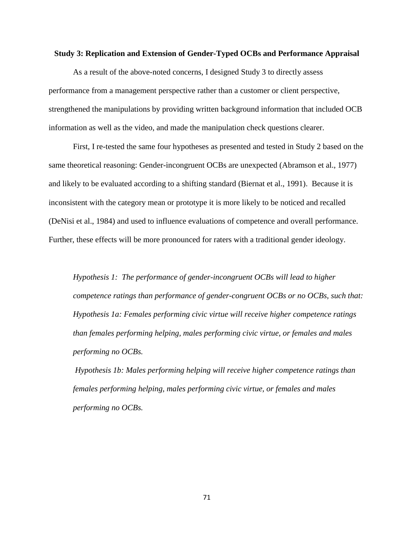### **Study 3: Replication and Extension of Gender-Typed OCBs and Performance Appraisal**

As a result of the above-noted concerns, I designed Study 3 to directly assess performance from a management perspective rather than a customer or client perspective, strengthened the manipulations by providing written background information that included OCB information as well as the video, and made the manipulation check questions clearer.

First, I re-tested the same four hypotheses as presented and tested in Study 2 based on the same theoretical reasoning: Gender-incongruent OCBs are unexpected (Abramson et al., 1977) and likely to be evaluated according to a shifting standard (Biernat et al., 1991). Because it is inconsistent with the category mean or prototype it is more likely to be noticed and recalled (DeNisi et al., 1984) and used to influence evaluations of competence and overall performance. Further, these effects will be more pronounced for raters with a traditional gender ideology.

*Hypothesis 1: The performance of gender-incongruent OCBs will lead to higher competence ratings than performance of gender-congruent OCBs or no OCBs, such that: Hypothesis 1a: Females performing civic virtue will receive higher competence ratings than females performing helping, males performing civic virtue, or females and males performing no OCBs.*

*Hypothesis 1b: Males performing helping will receive higher competence ratings than females performing helping, males performing civic virtue, or females and males performing no OCBs.*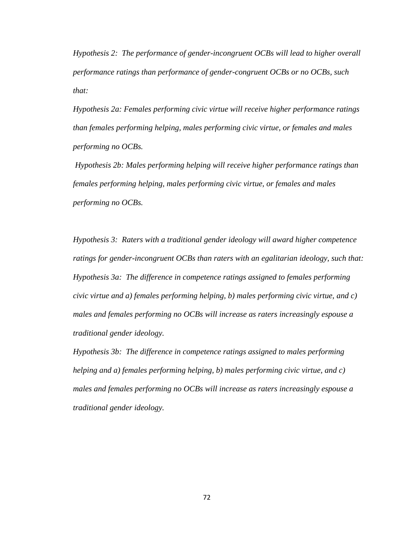*Hypothesis 2: The performance of gender-incongruent OCBs will lead to higher overall performance ratings than performance of gender-congruent OCBs or no OCBs, such that:*

*Hypothesis 2a: Females performing civic virtue will receive higher performance ratings than females performing helping, males performing civic virtue, or females and males performing no OCBs.*

*Hypothesis 2b: Males performing helping will receive higher performance ratings than females performing helping, males performing civic virtue, or females and males performing no OCBs.*

*Hypothesis 3: Raters with a traditional gender ideology will award higher competence ratings for gender-incongruent OCBs than raters with an egalitarian ideology, such that: Hypothesis 3a: The difference in competence ratings assigned to females performing civic virtue and a) females performing helping, b) males performing civic virtue, and c) males and females performing no OCBs will increase as raters increasingly espouse a traditional gender ideology.* 

*Hypothesis 3b: The difference in competence ratings assigned to males performing helping and a) females performing helping, b) males performing civic virtue, and c) males and females performing no OCBs will increase as raters increasingly espouse a traditional gender ideology.*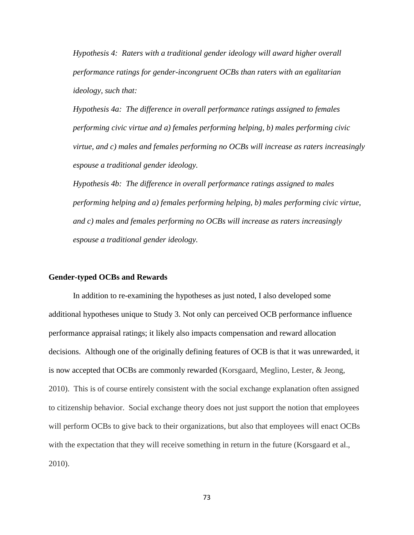*Hypothesis 4: Raters with a traditional gender ideology will award higher overall performance ratings for gender-incongruent OCBs than raters with an egalitarian ideology, such that:* 

*Hypothesis 4a: The difference in overall performance ratings assigned to females performing civic virtue and a) females performing helping, b) males performing civic virtue, and c) males and females performing no OCBs will increase as raters increasingly espouse a traditional gender ideology.* 

*Hypothesis 4b: The difference in overall performance ratings assigned to males performing helping and a) females performing helping, b) males performing civic virtue, and c) males and females performing no OCBs will increase as raters increasingly espouse a traditional gender ideology.* 

### **Gender-typed OCBs and Rewards**

In addition to re-examining the hypotheses as just noted, I also developed some additional hypotheses unique to Study 3. Not only can perceived OCB performance influence performance appraisal ratings; it likely also impacts compensation and reward allocation decisions. Although one of the originally defining features of OCB is that it was unrewarded, it is now accepted that OCBs are commonly rewarded (Korsgaard, Meglino, Lester, & Jeong, 2010). This is of course entirely consistent with the social exchange explanation often assigned to citizenship behavior. Social exchange theory does not just support the notion that employees will perform OCBs to give back to their organizations, but also that employees will enact OCBs with the expectation that they will receive something in return in the future (Korsgaard et al., 2010).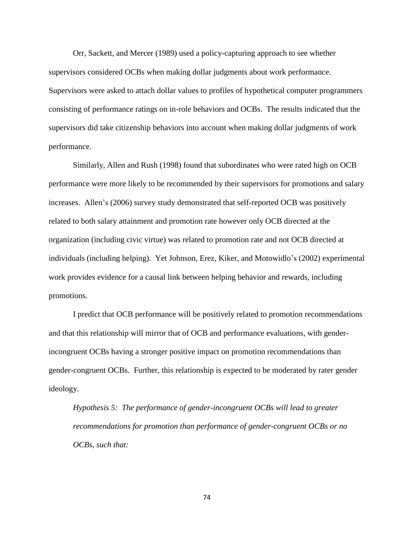Orr, Sackett, and Mercer (1989) used a policy-capturing approach to see whether supervisors considered OCBs when making dollar judgments about work performance. Supervisors were asked to attach dollar values to profiles of hypothetical computer programmers consisting of performance ratings on in-role behaviors and OCBs. The results indicated that the supervisors did take citizenship behaviors into account when making dollar judgments of work performance.

Similarly, Allen and Rush (1998) found that subordinates who were rated high on OCB performance were more likely to be recommended by their supervisors for promotions and salary increases. Allen's (2006) survey study demonstrated that self-reported OCB was positively related to both salary attainment and promotion rate however only OCB directed at the organization (including civic virtue) was related to promotion rate and not OCB directed at individuals (including helping). Yet Johnson, Erez, Kiker, and Motowidlo's (2002) experimental work provides evidence for a causal link between helping behavior and rewards, including promotions.

I predict that OCB performance will be positively related to promotion recommendations and that this relationship will mirror that of OCB and performance evaluations, with genderincongruent OCBs having a stronger positive impact on promotion recommendations than gender-congruent OCBs. Further, this relationship is expected to be moderated by rater gender ideology.

*Hypothesis 5: The performance of gender-incongruent OCBs will lead to greater recommendations for promotion than performance of gender-congruent OCBs or no OCBs, such that:*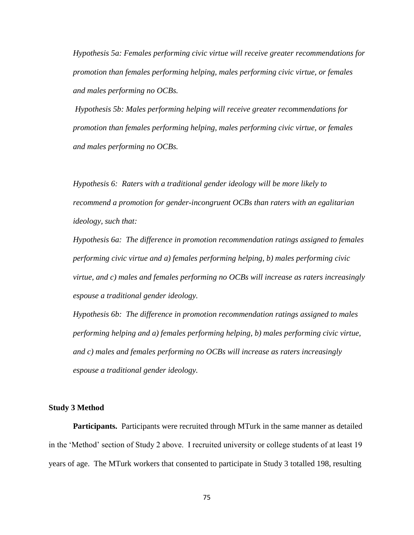*Hypothesis 5a: Females performing civic virtue will receive greater recommendations for promotion than females performing helping, males performing civic virtue, or females and males performing no OCBs.*

*Hypothesis 5b: Males performing helping will receive greater recommendations for promotion than females performing helping, males performing civic virtue, or females and males performing no OCBs.*

*Hypothesis 6: Raters with a traditional gender ideology will be more likely to recommend a promotion for gender-incongruent OCBs than raters with an egalitarian ideology, such that:* 

*Hypothesis 6a: The difference in promotion recommendation ratings assigned to females performing civic virtue and a) females performing helping, b) males performing civic virtue, and c) males and females performing no OCBs will increase as raters increasingly espouse a traditional gender ideology.* 

*Hypothesis 6b: The difference in promotion recommendation ratings assigned to males performing helping and a) females performing helping, b) males performing civic virtue, and c) males and females performing no OCBs will increase as raters increasingly espouse a traditional gender ideology.* 

#### **Study 3 Method**

**Participants.** Participants were recruited through MTurk in the same manner as detailed in the 'Method' section of Study 2 above. I recruited university or college students of at least 19 years of age. The MTurk workers that consented to participate in Study 3 totalled 198, resulting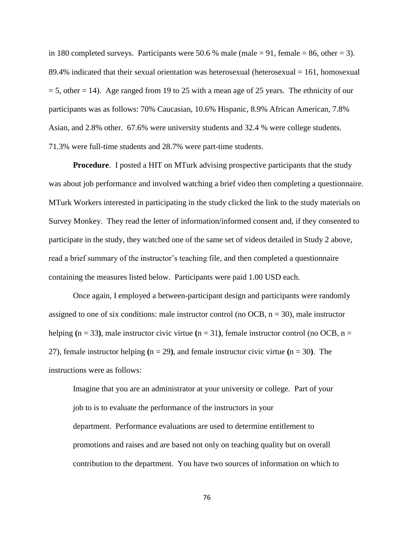in 180 completed surveys. Participants were 50.6 % male (male  $= 91$ , female  $= 86$ , other  $= 3$ ). 89.4% indicated that their sexual orientation was heterosexual (heterosexual  $= 161$ , homosexual  $= 5$ , other  $= 14$ ). Age ranged from 19 to 25 with a mean age of 25 years. The ethnicity of our participants was as follows: 70% Caucasian, 10.6% Hispanic, 8.9% African American, 7.8% Asian, and 2.8% other. 67.6% were university students and 32.4 % were college students. 71.3% were full-time students and 28.7% were part-time students.

**Procedure.** I posted a HIT on MTurk advising prospective participants that the study was about job performance and involved watching a brief video then completing a questionnaire. MTurk Workers interested in participating in the study clicked the link to the study materials on Survey Monkey. They read the letter of information/informed consent and, if they consented to participate in the study, they watched one of the same set of videos detailed in Study 2 above, read a brief summary of the instructor's teaching file, and then completed a questionnaire containing the measures listed below. Participants were paid 1.00 USD each.

Once again, I employed a between-participant design and participants were randomly assigned to one of six conditions: male instructor control (no OCB,  $n = 30$ ), male instructor helping  $(n = 33)$ , male instructor civic virtue  $(n = 31)$ , female instructor control (no OCB, n = 27), female instructor helping **(**n = 29**)**, and female instructor civic virtue **(**n = 30**)**. The instructions were as follows:

Imagine that you are an administrator at your university or college. Part of your job to is to evaluate the performance of the instructors in your department. Performance evaluations are used to determine entitlement to promotions and raises and are based not only on teaching quality but on overall contribution to the department. You have two sources of information on which to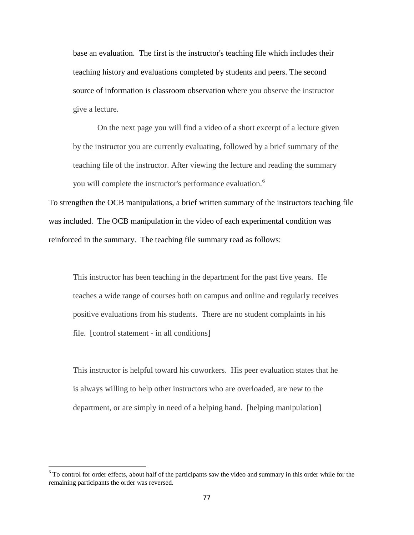base an evaluation. The first is the instructor's teaching file which includes their teaching history and evaluations completed by students and peers. The second source of information is classroom observation where you observe the instructor give a lecture.

On the next page you will find a video of a short excerpt of a lecture given by the instructor you are currently evaluating, followed by a brief summary of the teaching file of the instructor. After viewing the lecture and reading the summary you will complete the instructor's performance evaluation.<sup>6</sup>

To strengthen the OCB manipulations, a brief written summary of the instructors teaching file was included. The OCB manipulation in the video of each experimental condition was reinforced in the summary. The teaching file summary read as follows:

This instructor has been teaching in the department for the past five years. He teaches a wide range of courses both on campus and online and regularly receives positive evaluations from his students. There are no student complaints in his file. [control statement - in all conditions]

This instructor is helpful toward his coworkers. His peer evaluation states that he is always willing to help other instructors who are overloaded, are new to the department, or are simply in need of a helping hand. [helping manipulation]

<sup>&</sup>lt;sup>6</sup> To control for order effects, about half of the participants saw the video and summary in this order while for the remaining participants the order was reversed.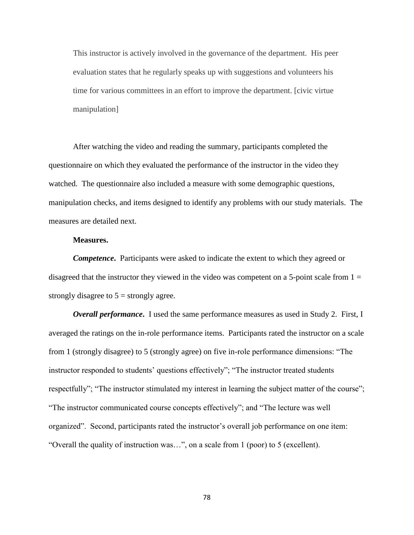This instructor is actively involved in the governance of the department. His peer evaluation states that he regularly speaks up with suggestions and volunteers his time for various committees in an effort to improve the department. [civic virtue manipulation]

After watching the video and reading the summary, participants completed the questionnaire on which they evaluated the performance of the instructor in the video they watched. The questionnaire also included a measure with some demographic questions, manipulation checks, and items designed to identify any problems with our study materials. The measures are detailed next.

## **Measures.**

*Competence***.** Participants were asked to indicate the extent to which they agreed or disagreed that the instructor they viewed in the video was competent on a 5-point scale from  $1 =$ strongly disagree to  $5 =$  strongly agree.

*Overall performance***.** I used the same performance measures as used in Study 2. First, I averaged the ratings on the in-role performance items. Participants rated the instructor on a scale from 1 (strongly disagree) to 5 (strongly agree) on five in-role performance dimensions: "The instructor responded to students' questions effectively"; "The instructor treated students respectfully"; "The instructor stimulated my interest in learning the subject matter of the course"; "The instructor communicated course concepts effectively"; and "The lecture was well organized". Second, participants rated the instructor's overall job performance on one item: "Overall the quality of instruction was…", on a scale from 1 (poor) to 5 (excellent).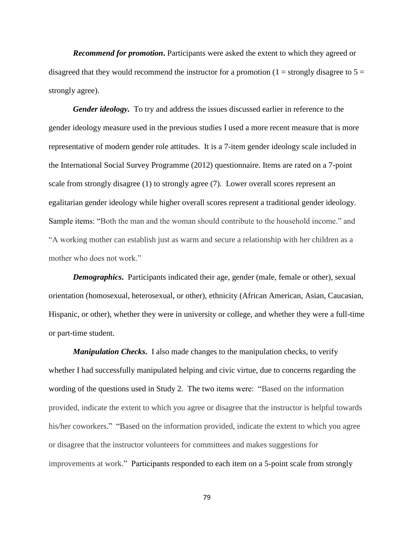*Recommend for promotion***.** Participants were asked the extent to which they agreed or disagreed that they would recommend the instructor for a promotion (1 = strongly disagree to  $5 =$ strongly agree).

*Gender ideology.* To try and address the issues discussed earlier in reference to the gender ideology measure used in the previous studies I used a more recent measure that is more representative of modern gender role attitudes. It is a 7-item gender ideology scale included in the International Social Survey Programme (2012) questionnaire. Items are rated on a 7-point scale from strongly disagree (1) to strongly agree (7). Lower overall scores represent an egalitarian gender ideology while higher overall scores represent a traditional gender ideology. Sample items: "Both the man and the woman should contribute to the household income." and "A working mother can establish just as warm and secure a relationship with her children as a mother who does not work."

*Demographics*. Participants indicated their age, gender (male, female or other), sexual orientation (homosexual, heterosexual, or other), ethnicity (African American, Asian, Caucasian, Hispanic, or other), whether they were in university or college, and whether they were a full-time or part-time student.

*Manipulation Checks***.** I also made changes to the manipulation checks, to verify whether I had successfully manipulated helping and civic virtue, due to concerns regarding the wording of the questions used in Study 2. The two items were: "Based on the information provided, indicate the extent to which you agree or disagree that the instructor is helpful towards his/her coworkers." "Based on the information provided, indicate the extent to which you agree or disagree that the instructor volunteers for committees and makes suggestions for improvements at work." Participants responded to each item on a 5-point scale from strongly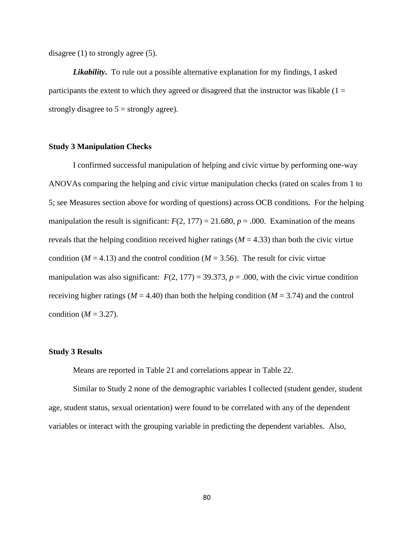disagree (1) to strongly agree (5).

*Likability***.** To rule out a possible alternative explanation for my findings, I asked participants the extent to which they agreed or disagreed that the instructor was likable  $(1 =$ strongly disagree to  $5 =$  strongly agree).

# **Study 3 Manipulation Checks**

I confirmed successful manipulation of helping and civic virtue by performing one-way ANOVAs comparing the helping and civic virtue manipulation checks (rated on scales from 1 to 5; see Measures section above for wording of questions) across OCB conditions. For the helping manipulation the result is significant:  $F(2, 177) = 21.680$ ,  $p = .000$ . Examination of the means reveals that the helping condition received higher ratings ( $M = 4.33$ ) than both the civic virtue condition ( $M = 4.13$ ) and the control condition ( $M = 3.56$ ). The result for civic virtue manipulation was also significant:  $F(2, 177) = 39.373$ ,  $p = .000$ , with the civic virtue condition receiving higher ratings ( $M = 4.40$ ) than both the helping condition ( $M = 3.74$ ) and the control condition ( $M = 3.27$ ).

### **Study 3 Results**

Means are reported in Table 21 and correlations appear in Table 22.

Similar to Study 2 none of the demographic variables I collected (student gender, student age, student status, sexual orientation) were found to be correlated with any of the dependent variables or interact with the grouping variable in predicting the dependent variables. Also,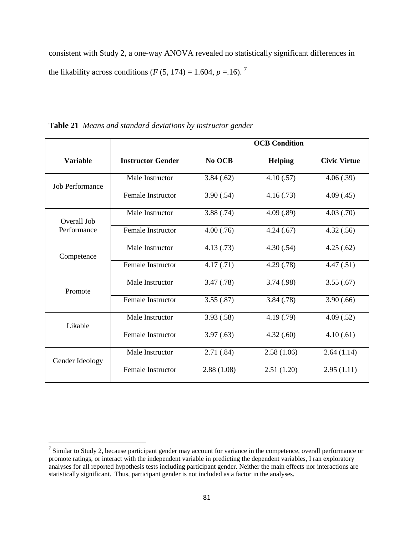consistent with Study 2, a one-way ANOVA revealed no statistically significant differences in the likability across conditions (*F* (5, 174) = 1.604, *p* = 1.6).<sup>7</sup>

|                        |                          |            | <b>OCB</b> Condition |                     |
|------------------------|--------------------------|------------|----------------------|---------------------|
| <b>Variable</b>        | <b>Instructor Gender</b> | No OCB     | <b>Helping</b>       | <b>Civic Virtue</b> |
| <b>Job Performance</b> | Male Instructor          | 3.84(.62)  | 4.10(.57)            | 4.06(.39)           |
|                        | Female Instructor        | 3.90(.54)  | 4.16(0.73)           | 4.09(0.45)          |
| Overall Job            | Male Instructor          | 3.88(.74)  | 4.09(.89)            | 4.03(.70)           |
| Performance            | <b>Female Instructor</b> | 4.00(.76)  | 4.24(.67)            | 4.32(.56)           |
| Competence             | Male Instructor          | 4.13(0.73) | 4.30(.54)            | 4.25(.62)           |
|                        | Female Instructor        | 4.17(0.71) | 4.29(0.78)           | 4.47(.51)           |
| Promote                | Male Instructor          | 3.47(.78)  | 3.74(.98)            | 3.55(.67)           |
|                        | <b>Female Instructor</b> | 3.55(.87)  | 3.84(.78)            | 3.90(.66)           |
| Likable                | Male Instructor          | 3.93(.58)  | 4.19(0.79)           | 4.09(.52)           |
|                        | <b>Female Instructor</b> | 3.97(.63)  | 4.32(.60)            | 4.10(.61)           |
| Gender Ideology        | Male Instructor          | 2.71(.84)  | 2.58(1.06)           | 2.64(1.14)          |
|                        | <b>Female Instructor</b> | 2.88(1.08) | 2.51(1.20)           | 2.95(1.11)          |

**Table 21** *Means and standard deviations by instructor gender*

<sup>&</sup>lt;sup>7</sup> Similar to Study 2, because participant gender may account for variance in the competence, overall performance or promote ratings, or interact with the independent variable in predicting the dependent variables, I ran exploratory analyses for all reported hypothesis tests including participant gender. Neither the main effects nor interactions are statistically significant. Thus, participant gender is not included as a factor in the analyses.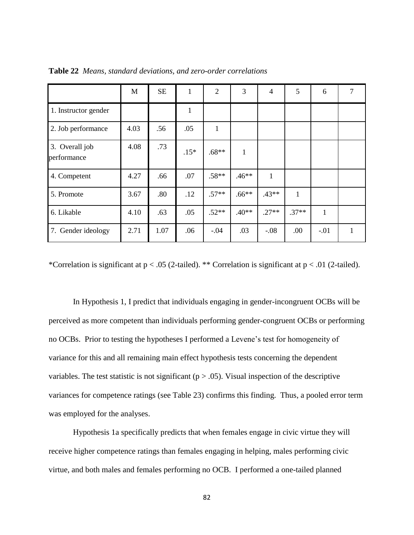|                               | M    | <b>SE</b> | 1      | $\overline{2}$ | 3            | $\overline{4}$ | 5       | 6            | 7 |
|-------------------------------|------|-----------|--------|----------------|--------------|----------------|---------|--------------|---|
| 1. Instructor gender          |      |           |        |                |              |                |         |              |   |
| 2. Job performance            | 4.03 | .56       | .05    | $\mathbf{1}$   |              |                |         |              |   |
| 3. Overall job<br>performance | 4.08 | .73       | $.15*$ | $.68**$        | $\mathbf{1}$ |                |         |              |   |
| 4. Competent                  | 4.27 | .66       | .07    | $.58**$        | $.46**$      | $\mathbf{1}$   |         |              |   |
| 5. Promote                    | 3.67 | .80       | .12    | $.57**$        | $.66**$      | $.43**$        | 1       |              |   |
| 6. Likable                    | 4.10 | .63       | .05    | $.52**$        | $.40**$      | $.27**$        | $.37**$ | $\mathbf{1}$ |   |
| 7. Gender ideology            | 2.71 | 1.07      | .06    | $-.04$         | .03          | $-.08$         | .00     | $-.01$       |   |

**Table 22** *Means, standard deviations, and zero-order correlations*

\*Correlation is significant at p < .05 (2-tailed). \*\* Correlation is significant at p < .01 (2-tailed).

In Hypothesis 1, I predict that individuals engaging in gender-incongruent OCBs will be perceived as more competent than individuals performing gender-congruent OCBs or performing no OCBs. Prior to testing the hypotheses I performed a Levene's test for homogeneity of variance for this and all remaining main effect hypothesis tests concerning the dependent variables. The test statistic is not significant ( $p > .05$ ). Visual inspection of the descriptive variances for competence ratings (see Table 23) confirms this finding. Thus, a pooled error term was employed for the analyses.

Hypothesis 1a specifically predicts that when females engage in civic virtue they will receive higher competence ratings than females engaging in helping, males performing civic virtue, and both males and females performing no OCB. I performed a one-tailed planned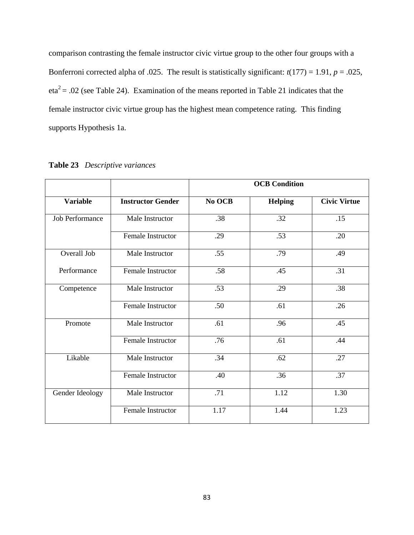comparison contrasting the female instructor civic virtue group to the other four groups with a Bonferroni corrected alpha of .025. The result is statistically significant:  $t(177) = 1.91$ ,  $p = .025$ ,  $eta^2 = .02$  (see Table 24). Examination of the means reported in Table 21 indicates that the female instructor civic virtue group has the highest mean competence rating. This finding supports Hypothesis 1a.

|                        |                          |        | <b>OCB</b> Condition |                     |
|------------------------|--------------------------|--------|----------------------|---------------------|
| <b>Variable</b>        | <b>Instructor Gender</b> | No OCB | <b>Helping</b>       | <b>Civic Virtue</b> |
| <b>Job Performance</b> | Male Instructor          | .38    | .32                  | .15                 |
|                        | Female Instructor        | .29    | .53                  | .20                 |
| Overall Job            | Male Instructor          | .55    | .79                  | .49                 |
| Performance            | Female Instructor        | .58    | .45                  | .31                 |
| Competence             | Male Instructor          | .53    | .29                  | .38                 |
|                        | Female Instructor        | .50    | .61                  | .26                 |
| Promote                | Male Instructor          | .61    | .96                  | .45                 |
|                        | Female Instructor        | .76    | .61                  | .44                 |
| Likable                | Male Instructor          | .34    | .62                  | .27                 |
|                        | Female Instructor        | .40    | .36                  | .37                 |
| Gender Ideology        | Male Instructor          | .71    | 1.12                 | 1.30                |
|                        | Female Instructor        | 1.17   | 1.44                 | 1.23                |

|  | Table 23 Descriptive variances |  |
|--|--------------------------------|--|
|--|--------------------------------|--|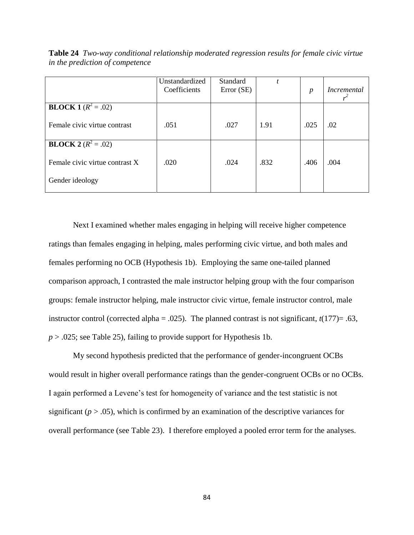|                                | Unstandardized<br>Coefficients | Standard<br>Error (SE) |      | $\boldsymbol{p}$ | Incremental |
|--------------------------------|--------------------------------|------------------------|------|------------------|-------------|
| <b>BLOCK 1</b> ( $R^2 = .02$ ) |                                |                        |      |                  |             |
| Female civic virtue contrast   | .051                           | .027                   | 1.91 | .025             | .02         |
| <b>BLOCK 2</b> ( $R^2 = .02$ ) |                                |                        |      |                  |             |
| Female civic virtue contrast X | .020                           | .024                   | .832 | .406             | .004        |
| Gender ideology                |                                |                        |      |                  |             |

**Table 24** *Two-way conditional relationship moderated regression results for female civic virtue in the prediction of competence*

Next I examined whether males engaging in helping will receive higher competence ratings than females engaging in helping, males performing civic virtue, and both males and females performing no OCB (Hypothesis 1b). Employing the same one-tailed planned comparison approach, I contrasted the male instructor helping group with the four comparison groups: female instructor helping, male instructor civic virtue, female instructor control, male instructor control (corrected alpha =  $.025$ ). The planned contrast is not significant,  $t(177)$ =  $.63$ ,  $p > 0.025$ ; see Table 25), failing to provide support for Hypothesis 1b.

My second hypothesis predicted that the performance of gender-incongruent OCBs would result in higher overall performance ratings than the gender-congruent OCBs or no OCBs. I again performed a Levene's test for homogeneity of variance and the test statistic is not significant ( $p > .05$ ), which is confirmed by an examination of the descriptive variances for overall performance (see Table 23). I therefore employed a pooled error term for the analyses.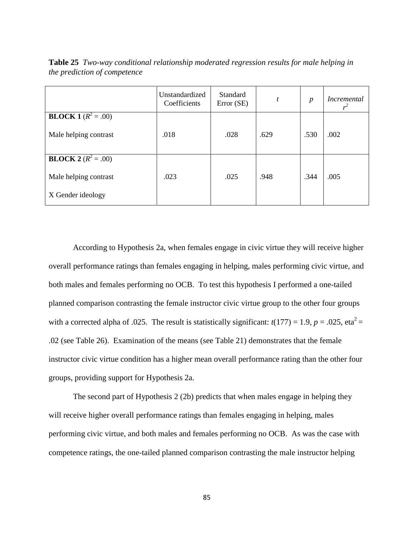Unstandardized Coefficients Standard Error (SE)  $t$  *p Incremental r 2* **BLOCK 1**  $(R^2 = .00)$ Male helping contrast .018 .028 .629 .530 .629 .530 .002 **BLOCK 2**  $(R^2 = .00)$ Male helping contrast X Gender ideology .023 .025 .948 .344 .005

**Table 25** *Two-way conditional relationship moderated regression results for male helping in the prediction of competence*

According to Hypothesis 2a, when females engage in civic virtue they will receive higher overall performance ratings than females engaging in helping, males performing civic virtue, and both males and females performing no OCB. To test this hypothesis I performed a one-tailed planned comparison contrasting the female instructor civic virtue group to the other four groups with a corrected alpha of .025. The result is statistically significant:  $t(177) = 1.9$ ,  $p = .025$ , eta<sup>2</sup> = .02 (see Table 26). Examination of the means (see Table 21) demonstrates that the female instructor civic virtue condition has a higher mean overall performance rating than the other four groups, providing support for Hypothesis 2a.

The second part of Hypothesis 2 (2b) predicts that when males engage in helping they will receive higher overall performance ratings than females engaging in helping, males performing civic virtue, and both males and females performing no OCB. As was the case with competence ratings, the one-tailed planned comparison contrasting the male instructor helping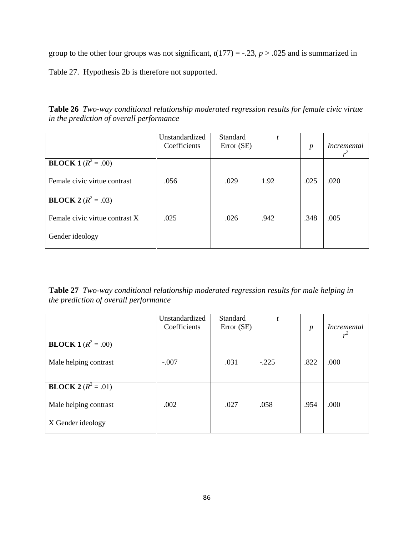group to the other four groups was not significant,  $t(177) = -.23$ ,  $p > .025$  and is summarized in

Table 27. Hypothesis 2b is therefore not supported.

**Table 26** *Two-way conditional relationship moderated regression results for female civic virtue in the prediction of overall performance*

|                                | Unstandardized<br>Coefficients | Standard<br>Error (SE) |      | $\boldsymbol{p}$ | <i>Incremental</i> |
|--------------------------------|--------------------------------|------------------------|------|------------------|--------------------|
| <b>BLOCK 1</b> ( $R^2 = .00$ ) |                                |                        |      |                  |                    |
| Female civic virtue contrast   | .056                           | .029                   | 1.92 | .025             | .020               |
| <b>BLOCK</b> $2(R^2 = .03)$    |                                |                        |      |                  |                    |
| Female civic virtue contrast X | .025                           | .026                   | .942 | .348             | .005               |
| Gender ideology                |                                |                        |      |                  |                    |

**Table 27** *Two-way conditional relationship moderated regression results for male helping in the prediction of overall performance* 

|                              | Unstandardized<br>Coefficients | Standard<br>Error (SE) | $\boldsymbol{t}$ | $\boldsymbol{p}$ | <i>Incremental</i> |
|------------------------------|--------------------------------|------------------------|------------------|------------------|--------------------|
| <b>BLOCK</b> 1 $(R^2 = .00)$ |                                |                        |                  |                  |                    |
| Male helping contrast        | $-.007$                        | .031                   | $-.225$          | .822             | .000               |
| <b>BLOCK 2</b> $(R^2 = .01)$ |                                |                        |                  |                  |                    |
| Male helping contrast        | .002                           | .027                   | .058             | .954             | .000               |
| X Gender ideology            |                                |                        |                  |                  |                    |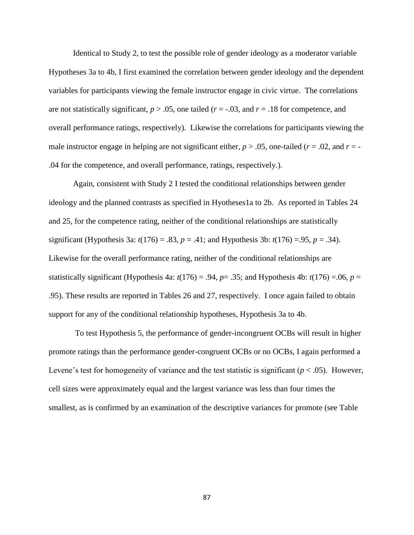Identical to Study 2, to test the possible role of gender ideology as a moderator variable Hypotheses 3a to 4b, I first examined the correlation between gender ideology and the dependent variables for participants viewing the female instructor engage in civic virtue. The correlations are not statistically significant,  $p > .05$ , one tailed ( $r = .03$ , and  $r = .18$  for competence, and overall performance ratings, respectively). Likewise the correlations for participants viewing the male instructor engage in helping are not significant either,  $p > .05$ , one-tailed ( $r = .02$ , and  $r = -$ .04 for the competence, and overall performance, ratings, respectively.).

Again, consistent with Study 2 I tested the conditional relationships between gender ideology and the planned contrasts as specified in Hyotheses1a to 2b. As reported in Tables 24 and 25, for the competence rating, neither of the conditional relationships are statistically significant (Hypothesis 3a:  $t(176) = .83$ ,  $p = .41$ ; and Hypothesis 3b:  $t(176) = .95$ ,  $p = .34$ ). Likewise for the overall performance rating, neither of the conditional relationships are statistically significant (Hypothesis 4a:  $t(176) = .94$ ,  $p = .35$ ; and Hypothesis 4b:  $t(176) = .06$ ,  $p =$ .95). These results are reported in Tables 26 and 27, respectively. I once again failed to obtain support for any of the conditional relationship hypotheses, Hypothesis 3a to 4b.

To test Hypothesis 5, the performance of gender-incongruent OCBs will result in higher promote ratings than the performance gender-congruent OCBs or no OCBs, I again performed a Levene's test for homogeneity of variance and the test statistic is significant ( $p < .05$ ). However, cell sizes were approximately equal and the largest variance was less than four times the smallest, as is confirmed by an examination of the descriptive variances for promote (see Table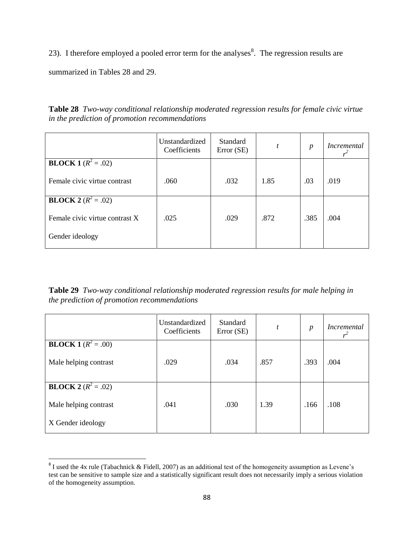23). I therefore employed a pooled error term for the analyses<sup>8</sup>. The regression results are

summarized in Tables 28 and 29.

**Table 28** *Two-way conditional relationship moderated regression results for female civic virtue in the prediction of promotion recommendations*

|                                | Unstandardized<br>Coefficients | <b>Standard</b><br>Error (SE) | t    | $\boldsymbol{p}$ | <i>Incremental</i> |
|--------------------------------|--------------------------------|-------------------------------|------|------------------|--------------------|
| <b>BLOCK</b> $1(R^2 = .02)$    |                                |                               |      |                  |                    |
| Female civic virtue contrast   | .060                           | .032                          | 1.85 | .03              | .019               |
| <b>BLOCK</b> $2(R^2 = .02)$    |                                |                               |      |                  |                    |
| Female civic virtue contrast X | .025                           | .029                          | .872 | .385             | .004               |
| Gender ideology                |                                |                               |      |                  |                    |

**Table 29** *Two-way conditional relationship moderated regression results for male helping in the prediction of promotion recommendations* 

|                              | Unstandardized<br>Coefficients | Standard<br>Error (SE) | t    | $\boldsymbol{p}$ | <i>Incremental</i><br>$r^2$ |
|------------------------------|--------------------------------|------------------------|------|------------------|-----------------------------|
| <b>BLOCK</b> 1 $(R^2 = .00)$ |                                |                        |      |                  |                             |
| Male helping contrast        | .029                           | .034                   | .857 | .393             | .004                        |
| <b>BLOCK 2</b> $(R^2 = .02)$ |                                |                        |      |                  |                             |
| Male helping contrast        | .041                           | .030                   | 1.39 | .166             | .108                        |
| X Gender ideology            |                                |                        |      |                  |                             |

<sup>&</sup>lt;sup>8</sup> I used the 4x rule (Tabachnick & Fidell, 2007) as an additional test of the homogeneity assumption as Levene's test can be sensitive to sample size and a statistically significant result does not necessarily imply a serious violation of the homogeneity assumption.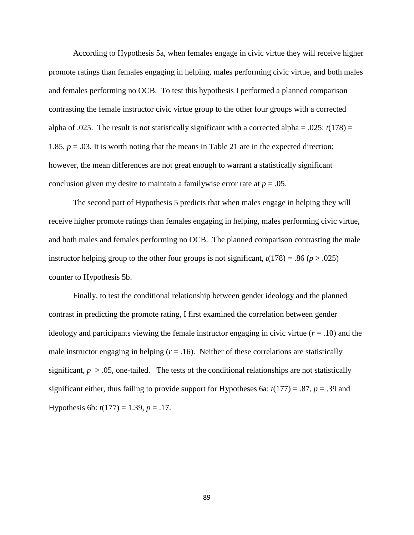According to Hypothesis 5a, when females engage in civic virtue they will receive higher promote ratings than females engaging in helping, males performing civic virtue, and both males and females performing no OCB. To test this hypothesis I performed a planned comparison contrasting the female instructor civic virtue group to the other four groups with a corrected alpha of .025. The result is not statistically significant with a corrected alpha = .025:  $t(178)$  = 1.85,  $p = .03$ . It is worth noting that the means in Table 21 are in the expected direction; however, the mean differences are not great enough to warrant a statistically significant conclusion given my desire to maintain a familywise error rate at  $p = .05$ .

The second part of Hypothesis 5 predicts that when males engage in helping they will receive higher promote ratings than females engaging in helping, males performing civic virtue, and both males and females performing no OCB. The planned comparison contrasting the male instructor helping group to the other four groups is not significant,  $t(178) = .86$  ( $p > .025$ ) counter to Hypothesis 5b.

Finally, to test the conditional relationship between gender ideology and the planned contrast in predicting the promote rating, I first examined the correlation between gender ideology and participants viewing the female instructor engaging in civic virtue  $(r = .10)$  and the male instructor engaging in helping  $(r = .16)$ . Neither of these correlations are statistically significant,  $p > 0.05$ , one-tailed. The tests of the conditional relationships are not statistically significant either, thus failing to provide support for Hypotheses 6a:  $t(177) = .87$ ,  $p = .39$  and Hypothesis 6b:  $t(177) = 1.39, p = .17$ .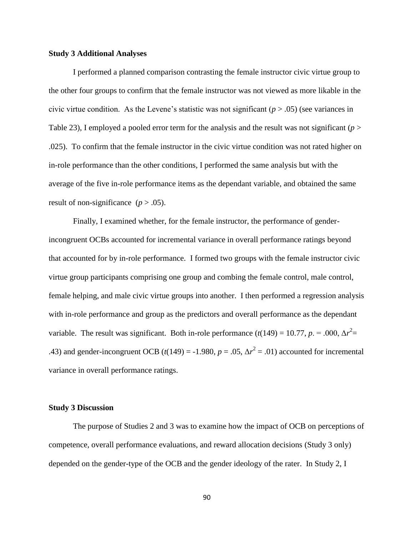### **Study 3 Additional Analyses**

I performed a planned comparison contrasting the female instructor civic virtue group to the other four groups to confirm that the female instructor was not viewed as more likable in the civic virtue condition. As the Levene's statistic was not significant  $(p > .05)$  (see variances in Table 23), I employed a pooled error term for the analysis and the result was not significant (*p* > .025). To confirm that the female instructor in the civic virtue condition was not rated higher on in-role performance than the other conditions, I performed the same analysis but with the average of the five in-role performance items as the dependant variable, and obtained the same result of non-significance  $(p > .05)$ .

Finally, I examined whether, for the female instructor, the performance of genderincongruent OCBs accounted for incremental variance in overall performance ratings beyond that accounted for by in-role performance. I formed two groups with the female instructor civic virtue group participants comprising one group and combing the female control, male control, female helping, and male civic virtue groups into another. I then performed a regression analysis with in-role performance and group as the predictors and overall performance as the dependant variable. The result was significant. Both in-role performance  $(t(149) = 10.77, p = .000, \Delta r^2 =$ .43) and gender-incongruent OCB ( $t(149) = -1.980$ ,  $p = .05$ ,  $\Delta r^2 = .01$ ) accounted for incremental variance in overall performance ratings.

#### **Study 3 Discussion**

The purpose of Studies 2 and 3 was to examine how the impact of OCB on perceptions of competence, overall performance evaluations, and reward allocation decisions (Study 3 only) depended on the gender-type of the OCB and the gender ideology of the rater. In Study 2, I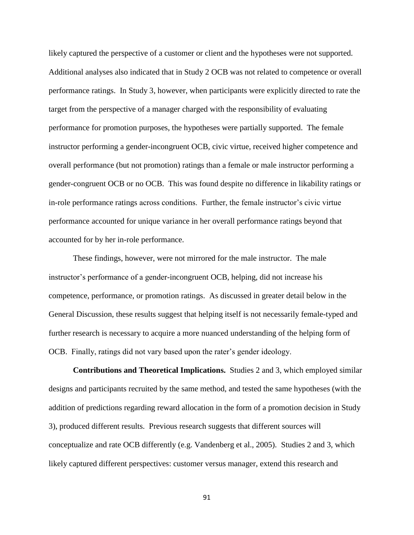likely captured the perspective of a customer or client and the hypotheses were not supported. Additional analyses also indicated that in Study 2 OCB was not related to competence or overall performance ratings. In Study 3, however, when participants were explicitly directed to rate the target from the perspective of a manager charged with the responsibility of evaluating performance for promotion purposes, the hypotheses were partially supported. The female instructor performing a gender-incongruent OCB, civic virtue, received higher competence and overall performance (but not promotion) ratings than a female or male instructor performing a gender-congruent OCB or no OCB. This was found despite no difference in likability ratings or in-role performance ratings across conditions. Further, the female instructor's civic virtue performance accounted for unique variance in her overall performance ratings beyond that accounted for by her in-role performance.

These findings, however, were not mirrored for the male instructor. The male instructor's performance of a gender-incongruent OCB, helping, did not increase his competence, performance, or promotion ratings. As discussed in greater detail below in the General Discussion, these results suggest that helping itself is not necessarily female-typed and further research is necessary to acquire a more nuanced understanding of the helping form of OCB. Finally, ratings did not vary based upon the rater's gender ideology.

**Contributions and Theoretical Implications.** Studies 2 and 3, which employed similar designs and participants recruited by the same method, and tested the same hypotheses (with the addition of predictions regarding reward allocation in the form of a promotion decision in Study 3), produced different results. Previous research suggests that different sources will conceptualize and rate OCB differently (e.g. Vandenberg et al., 2005). Studies 2 and 3, which likely captured different perspectives: customer versus manager, extend this research and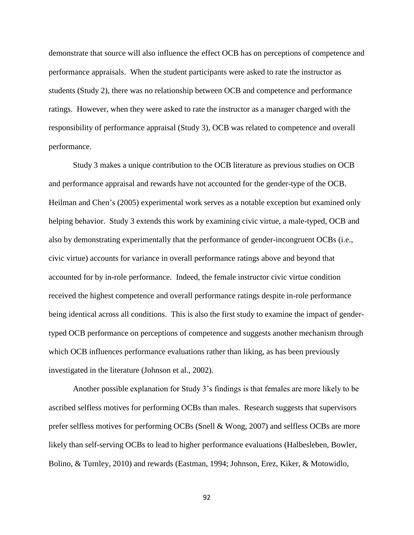demonstrate that source will also influence the effect OCB has on perceptions of competence and performance appraisals. When the student participants were asked to rate the instructor as students (Study 2), there was no relationship between OCB and competence and performance ratings. However, when they were asked to rate the instructor as a manager charged with the responsibility of performance appraisal (Study 3), OCB was related to competence and overall performance.

Study 3 makes a unique contribution to the OCB literature as previous studies on OCB and performance appraisal and rewards have not accounted for the gender-type of the OCB. Heilman and Chen's (2005) experimental work serves as a notable exception but examined only helping behavior. Study 3 extends this work by examining civic virtue, a male-typed, OCB and also by demonstrating experimentally that the performance of gender-incongruent OCBs (i.e., civic virtue) accounts for variance in overall performance ratings above and beyond that accounted for by in-role performance. Indeed, the female instructor civic virtue condition received the highest competence and overall performance ratings despite in-role performance being identical across all conditions. This is also the first study to examine the impact of gendertyped OCB performance on perceptions of competence and suggests another mechanism through which OCB influences performance evaluations rather than liking, as has been previously investigated in the literature (Johnson et al., 2002).

Another possible explanation for Study 3's findings is that females are more likely to be ascribed selfless motives for performing OCBs than males. Research suggests that supervisors prefer selfless motives for performing OCBs (Snell & Wong, 2007) and selfless OCBs are more likely than self-serving OCBs to lead to higher performance evaluations (Halbesleben, Bowler, Bolino, & Turnley, 2010) and rewards (Eastman, 1994; Johnson, Erez, Kiker, & Motowidlo,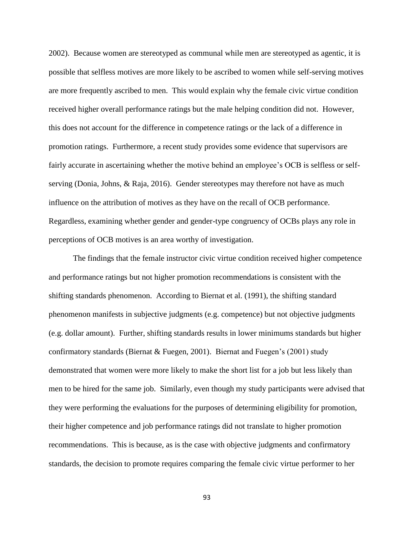2002). Because women are stereotyped as communal while men are stereotyped as agentic, it is possible that selfless motives are more likely to be ascribed to women while self-serving motives are more frequently ascribed to men. This would explain why the female civic virtue condition received higher overall performance ratings but the male helping condition did not. However, this does not account for the difference in competence ratings or the lack of a difference in promotion ratings. Furthermore, a recent study provides some evidence that supervisors are fairly accurate in ascertaining whether the motive behind an employee's OCB is selfless or selfserving (Donia, Johns, & Raja, 2016). Gender stereotypes may therefore not have as much influence on the attribution of motives as they have on the recall of OCB performance. Regardless, examining whether gender and gender-type congruency of OCBs plays any role in perceptions of OCB motives is an area worthy of investigation.

The findings that the female instructor civic virtue condition received higher competence and performance ratings but not higher promotion recommendations is consistent with the shifting standards phenomenon. According to Biernat et al. (1991), the shifting standard phenomenon manifests in subjective judgments (e.g. competence) but not objective judgments (e.g. dollar amount). Further, shifting standards results in lower minimums standards but higher confirmatory standards (Biernat & Fuegen, 2001). Biernat and Fuegen's (2001) study demonstrated that women were more likely to make the short list for a job but less likely than men to be hired for the same job. Similarly, even though my study participants were advised that they were performing the evaluations for the purposes of determining eligibility for promotion, their higher competence and job performance ratings did not translate to higher promotion recommendations. This is because, as is the case with objective judgments and confirmatory standards, the decision to promote requires comparing the female civic virtue performer to her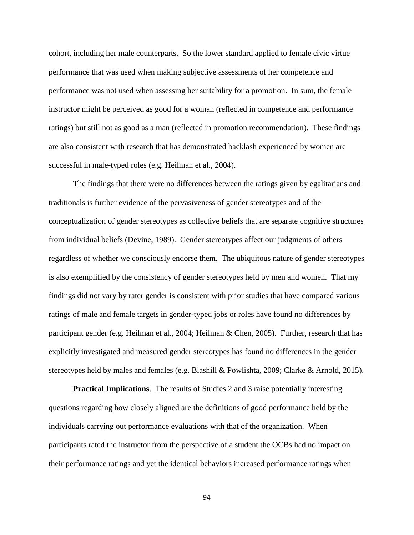cohort, including her male counterparts. So the lower standard applied to female civic virtue performance that was used when making subjective assessments of her competence and performance was not used when assessing her suitability for a promotion. In sum, the female instructor might be perceived as good for a woman (reflected in competence and performance ratings) but still not as good as a man (reflected in promotion recommendation). These findings are also consistent with research that has demonstrated backlash experienced by women are successful in male-typed roles (e.g. Heilman et al., 2004).

The findings that there were no differences between the ratings given by egalitarians and traditionals is further evidence of the pervasiveness of gender stereotypes and of the conceptualization of gender stereotypes as collective beliefs that are separate cognitive structures from individual beliefs (Devine, 1989). Gender stereotypes affect our judgments of others regardless of whether we consciously endorse them. The ubiquitous nature of gender stereotypes is also exemplified by the consistency of gender stereotypes held by men and women. That my findings did not vary by rater gender is consistent with prior studies that have compared various ratings of male and female targets in gender-typed jobs or roles have found no differences by participant gender (e.g. Heilman et al., 2004; Heilman & Chen, 2005). Further, research that has explicitly investigated and measured gender stereotypes has found no differences in the gender stereotypes held by males and females (e.g. Blashill & Powlishta, 2009; Clarke & Arnold, 2015).

**Practical Implications**. The results of Studies 2 and 3 raise potentially interesting questions regarding how closely aligned are the definitions of good performance held by the individuals carrying out performance evaluations with that of the organization. When participants rated the instructor from the perspective of a student the OCBs had no impact on their performance ratings and yet the identical behaviors increased performance ratings when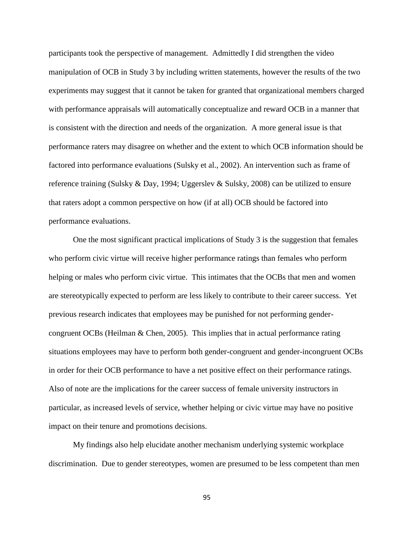participants took the perspective of management. Admittedly I did strengthen the video manipulation of OCB in Study 3 by including written statements, however the results of the two experiments may suggest that it cannot be taken for granted that organizational members charged with performance appraisals will automatically conceptualize and reward OCB in a manner that is consistent with the direction and needs of the organization. A more general issue is that performance raters may disagree on whether and the extent to which OCB information should be factored into performance evaluations (Sulsky et al., 2002). An intervention such as frame of reference training (Sulsky & Day, 1994; Uggerslev & Sulsky, 2008) can be utilized to ensure that raters adopt a common perspective on how (if at all) OCB should be factored into performance evaluations.

One the most significant practical implications of Study 3 is the suggestion that females who perform civic virtue will receive higher performance ratings than females who perform helping or males who perform civic virtue. This intimates that the OCBs that men and women are stereotypically expected to perform are less likely to contribute to their career success. Yet previous research indicates that employees may be punished for not performing gendercongruent OCBs (Heilman & Chen, 2005). This implies that in actual performance rating situations employees may have to perform both gender-congruent and gender-incongruent OCBs in order for their OCB performance to have a net positive effect on their performance ratings. Also of note are the implications for the career success of female university instructors in particular, as increased levels of service, whether helping or civic virtue may have no positive impact on their tenure and promotions decisions.

My findings also help elucidate another mechanism underlying systemic workplace discrimination. Due to gender stereotypes, women are presumed to be less competent than men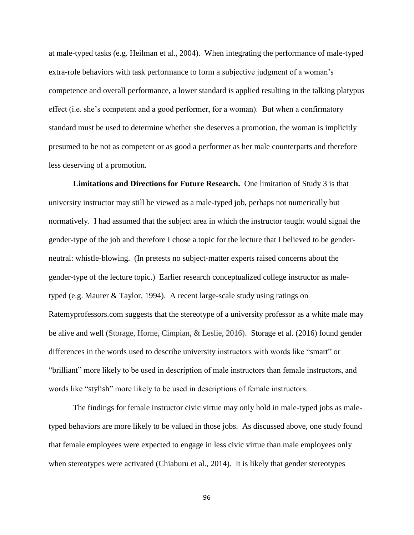at male-typed tasks (e.g. Heilman et al., 2004). When integrating the performance of male-typed extra-role behaviors with task performance to form a subjective judgment of a woman's competence and overall performance, a lower standard is applied resulting in the talking platypus effect (i.e. she's competent and a good performer, for a woman). But when a confirmatory standard must be used to determine whether she deserves a promotion, the woman is implicitly presumed to be not as competent or as good a performer as her male counterparts and therefore less deserving of a promotion.

**Limitations and Directions for Future Research.** One limitation of Study 3 is that university instructor may still be viewed as a male-typed job, perhaps not numerically but normatively. I had assumed that the subject area in which the instructor taught would signal the gender-type of the job and therefore I chose a topic for the lecture that I believed to be genderneutral: whistle-blowing. (In pretests no subject-matter experts raised concerns about the gender-type of the lecture topic.) Earlier research conceptualized college instructor as maletyped (e.g. Maurer & Taylor, 1994). A recent large-scale study using ratings on Ratemyprofessors.com suggests that the stereotype of a university professor as a white male may be alive and well (Storage, Horne, Cimpian, & Leslie, 2016). Storage et al. (2016) found gender differences in the words used to describe university instructors with words like "smart" or "brilliant" more likely to be used in description of male instructors than female instructors, and words like "stylish" more likely to be used in descriptions of female instructors.

The findings for female instructor civic virtue may only hold in male-typed jobs as maletyped behaviors are more likely to be valued in those jobs. As discussed above, one study found that female employees were expected to engage in less civic virtue than male employees only when stereotypes were activated (Chiaburu et al., 2014). It is likely that gender stereotypes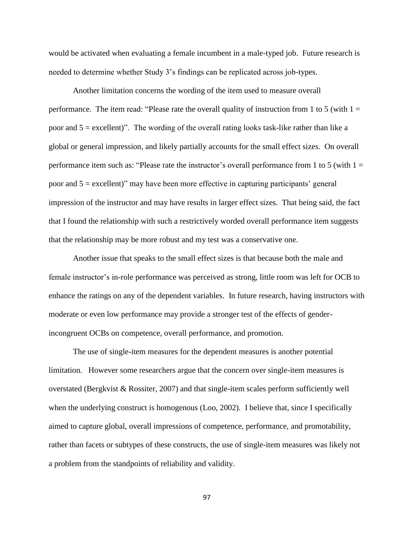would be activated when evaluating a female incumbent in a male-typed job. Future research is needed to determine whether Study 3's findings can be replicated across job-types.

Another limitation concerns the wording of the item used to measure overall performance. The item read: "Please rate the overall quality of instruction from 1 to 5 (with  $1 =$ poor and  $5 =$  excellent)". The wording of the overall rating looks task-like rather than like a global or general impression, and likely partially accounts for the small effect sizes. On overall performance item such as: "Please rate the instructor's overall performance from 1 to 5 (with  $1 =$ poor and 5 = excellent)" may have been more effective in capturing participants' general impression of the instructor and may have results in larger effect sizes. That being said, the fact that I found the relationship with such a restrictively worded overall performance item suggests that the relationship may be more robust and my test was a conservative one.

Another issue that speaks to the small effect sizes is that because both the male and female instructor's in-role performance was perceived as strong, little room was left for OCB to enhance the ratings on any of the dependent variables. In future research, having instructors with moderate or even low performance may provide a stronger test of the effects of genderincongruent OCBs on competence, overall performance, and promotion.

The use of single-item measures for the dependent measures is another potential limitation. However some researchers argue that the concern over single-item measures is overstated (Bergkvist  $\&$  Rossiter, 2007) and that single-item scales perform sufficiently well when the underlying construct is homogenous (Loo, 2002). I believe that, since I specifically aimed to capture global, overall impressions of competence, performance, and promotability, rather than facets or subtypes of these constructs, the use of single-item measures was likely not a problem from the standpoints of reliability and validity.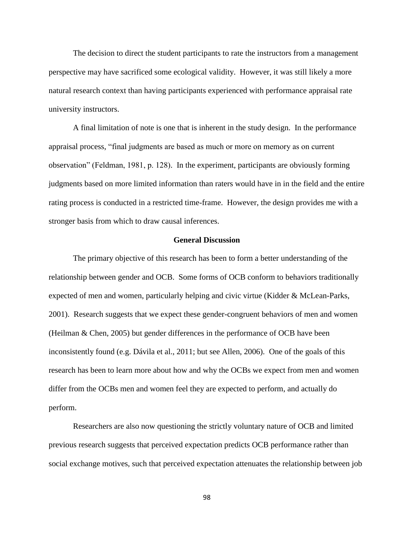The decision to direct the student participants to rate the instructors from a management perspective may have sacrificed some ecological validity. However, it was still likely a more natural research context than having participants experienced with performance appraisal rate university instructors.

A final limitation of note is one that is inherent in the study design. In the performance appraisal process, "final judgments are based as much or more on memory as on current observation" (Feldman, 1981, p. 128). In the experiment, participants are obviously forming judgments based on more limited information than raters would have in in the field and the entire rating process is conducted in a restricted time-frame. However, the design provides me with a stronger basis from which to draw causal inferences.

# **General Discussion**

The primary objective of this research has been to form a better understanding of the relationship between gender and OCB. Some forms of OCB conform to behaviors traditionally expected of men and women, particularly helping and civic virtue (Kidder & McLean-Parks, 2001). Research suggests that we expect these gender-congruent behaviors of men and women (Heilman & Chen, 2005) but gender differences in the performance of OCB have been inconsistently found (e.g. Dávila et al., 2011; but see Allen, 2006). One of the goals of this research has been to learn more about how and why the OCBs we expect from men and women differ from the OCBs men and women feel they are expected to perform, and actually do perform.

Researchers are also now questioning the strictly voluntary nature of OCB and limited previous research suggests that perceived expectation predicts OCB performance rather than social exchange motives, such that perceived expectation attenuates the relationship between job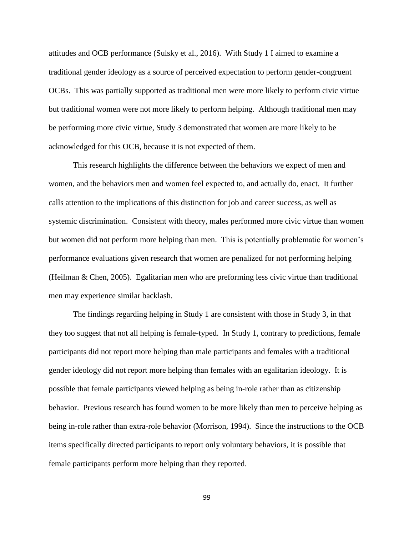attitudes and OCB performance (Sulsky et al., 2016). With Study 1 I aimed to examine a traditional gender ideology as a source of perceived expectation to perform gender-congruent OCBs. This was partially supported as traditional men were more likely to perform civic virtue but traditional women were not more likely to perform helping. Although traditional men may be performing more civic virtue, Study 3 demonstrated that women are more likely to be acknowledged for this OCB, because it is not expected of them.

This research highlights the difference between the behaviors we expect of men and women, and the behaviors men and women feel expected to, and actually do, enact. It further calls attention to the implications of this distinction for job and career success, as well as systemic discrimination. Consistent with theory, males performed more civic virtue than women but women did not perform more helping than men. This is potentially problematic for women's performance evaluations given research that women are penalized for not performing helping (Heilman & Chen, 2005). Egalitarian men who are preforming less civic virtue than traditional men may experience similar backlash.

The findings regarding helping in Study 1 are consistent with those in Study 3, in that they too suggest that not all helping is female-typed. In Study 1, contrary to predictions, female participants did not report more helping than male participants and females with a traditional gender ideology did not report more helping than females with an egalitarian ideology. It is possible that female participants viewed helping as being in-role rather than as citizenship behavior. Previous research has found women to be more likely than men to perceive helping as being in-role rather than extra-role behavior (Morrison, 1994). Since the instructions to the OCB items specifically directed participants to report only voluntary behaviors, it is possible that female participants perform more helping than they reported.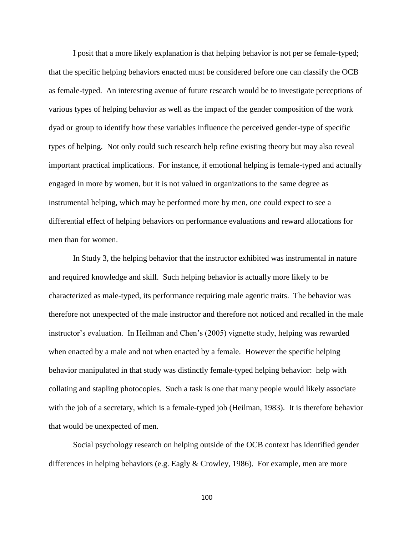I posit that a more likely explanation is that helping behavior is not per se female-typed; that the specific helping behaviors enacted must be considered before one can classify the OCB as female-typed. An interesting avenue of future research would be to investigate perceptions of various types of helping behavior as well as the impact of the gender composition of the work dyad or group to identify how these variables influence the perceived gender-type of specific types of helping. Not only could such research help refine existing theory but may also reveal important practical implications. For instance, if emotional helping is female-typed and actually engaged in more by women, but it is not valued in organizations to the same degree as instrumental helping, which may be performed more by men, one could expect to see a differential effect of helping behaviors on performance evaluations and reward allocations for men than for women.

In Study 3, the helping behavior that the instructor exhibited was instrumental in nature and required knowledge and skill. Such helping behavior is actually more likely to be characterized as male-typed, its performance requiring male agentic traits. The behavior was therefore not unexpected of the male instructor and therefore not noticed and recalled in the male instructor's evaluation. In Heilman and Chen's (2005) vignette study, helping was rewarded when enacted by a male and not when enacted by a female. However the specific helping behavior manipulated in that study was distinctly female-typed helping behavior: help with collating and stapling photocopies. Such a task is one that many people would likely associate with the job of a secretary, which is a female-typed job (Heilman, 1983). It is therefore behavior that would be unexpected of men.

Social psychology research on helping outside of the OCB context has identified gender differences in helping behaviors (e.g. Eagly & Crowley, 1986). For example, men are more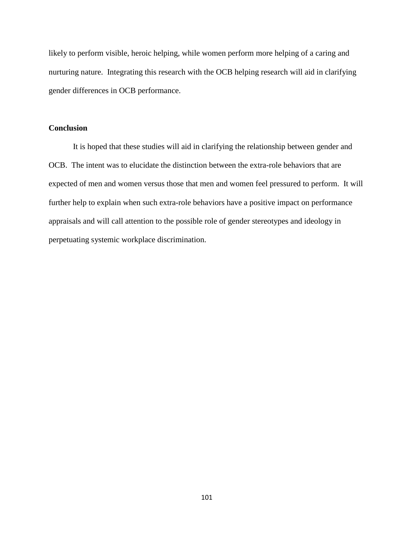likely to perform visible, heroic helping, while women perform more helping of a caring and nurturing nature. Integrating this research with the OCB helping research will aid in clarifying gender differences in OCB performance.

# **Conclusion**

It is hoped that these studies will aid in clarifying the relationship between gender and OCB. The intent was to elucidate the distinction between the extra-role behaviors that are expected of men and women versus those that men and women feel pressured to perform. It will further help to explain when such extra-role behaviors have a positive impact on performance appraisals and will call attention to the possible role of gender stereotypes and ideology in perpetuating systemic workplace discrimination.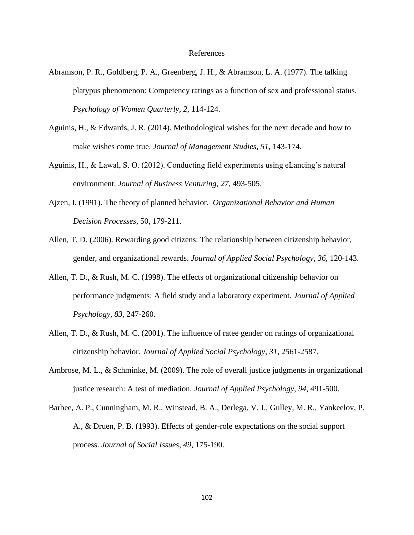### References

- Abramson, P. R., Goldberg, P. A., Greenberg, J. H., & Abramson, L. A. (1977). The talking platypus phenomenon: Competency ratings as a function of sex and professional status. *Psychology of Women Quarterly*, *2*, 114-124.
- Aguinis, H., & Edwards, J. R. (2014). Methodological wishes for the next decade and how to make wishes come true. *Journal of Management Studies*, *51*, 143-174.
- Aguinis, H., & Lawal, S. O. (2012). Conducting field experiments using eLancing's natural environment. *Journal of Business Venturing*, *27*, 493-505.
- Ajzen, I. (1991). The theory of planned behavior. *Organizational Behavior and Human Decision Processes*, 50, 179-211.
- Allen, T. D. (2006). Rewarding good citizens: The relationship between citizenship behavior, gender, and organizational rewards. *Journal of Applied Social Psychology*, *36*, 120-143.
- Allen, T. D., & Rush, M. C. (1998). The effects of organizational citizenship behavior on performance judgments: A field study and a laboratory experiment. *Journal of Applied Psychology*, *83*, 247-260.
- Allen, T. D., & Rush, M. C. (2001). The influence of ratee gender on ratings of organizational citizenship behavior. *Journal of Applied Social Psychology*, *31*, 2561-2587.
- Ambrose, M. L., & Schminke, M. (2009). The role of overall justice judgments in organizational justice research: A test of mediation. *Journal of Applied Psychology*, *94*, 491-500.
- Barbee, A. P., Cunningham, M. R., Winstead, B. A., Derlega, V. J., Gulley, M. R., Yankeelov, P. A., & Druen, P. B. (1993). Effects of gender-role expectations on the social support process. *Journal of Social Issues*, *49*, 175-190.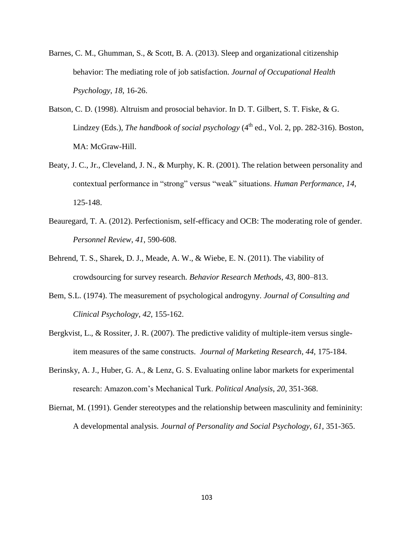- Barnes, C. M., Ghumman, S., & Scott, B. A. (2013). Sleep and organizational citizenship behavior: The mediating role of job satisfaction. *Journal of Occupational Health Psychology*, *18*, 16-26.
- Batson, C. D. (1998). Altruism and prosocial behavior. In D. T. Gilbert, S. T. Fiske, & G. Lindzey (Eds.), *The handbook of social psychology* (4<sup>th</sup> ed., Vol. 2, pp. 282-316). Boston, MA: McGraw-Hill.
- Beaty, J. C., Jr., Cleveland, J. N., & Murphy, K. R. (2001). The relation between personality and contextual performance in "strong" versus "weak" situations. *Human Performance*, *14*, 125-148.
- Beauregard, T. A. (2012). Perfectionism, self-efficacy and OCB: The moderating role of gender. *Personnel Review*, *41*, 590-608.
- Behrend, T. S., Sharek, D. J., Meade, A. W., & Wiebe, E. N. (2011). The viability of crowdsourcing for survey research. *Behavior Research Methods*, *43*, 800–813.
- Bem, S.L. (1974). The measurement of psychological androgyny. *Journal of Consulting and Clinical Psychology*, *42*, 155-162.
- Bergkvist, L., & Rossiter, J. R. (2007). The predictive validity of multiple-item versus singleitem measures of the same constructs. *Journal of Marketing Research*, *44*, 175-184.
- Berinsky, A. J., Huber, G. A., & Lenz, G. S. Evaluating online labor markets for experimental research: Amazon.com's Mechanical Turk. *Political Analysis*, *20*, 351-368.
- Biernat, M. (1991). Gender stereotypes and the relationship between masculinity and femininity: A developmental analysis. *Journal of Personality and Social Psychology*, *61*, 351-365.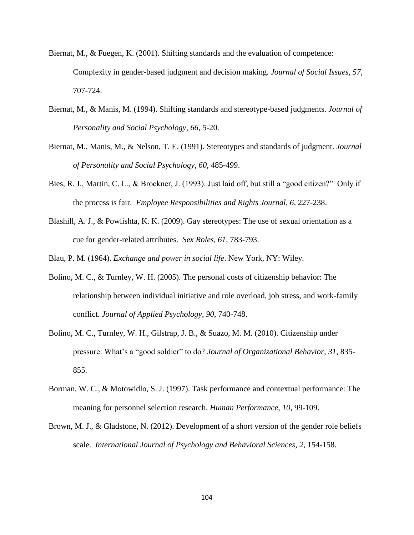- Biernat, M., & Fuegen, K. (2001). Shifting standards and the evaluation of competence: Complexity in gender-based judgment and decision making. *Journal of Social Issues*, *57*, 707-724.
- Biernat, M., & Manis, M. (1994). Shifting standards and stereotype-based judgments. *Journal of Personality and Social Psychology*, *66*, 5-20.
- Biernat, M., Manis, M., & Nelson, T. E. (1991). Stereotypes and standards of judgment. *Journal of Personality and Social Psychology*, *60*, 485-499.
- Bies, R. J., Martin, C. L., & Brockner, J. (1993). Just laid off, but still a "good citizen?" Only if the process is fair. *Employee Responsibilities and Rights Journal*, *6*, 227-238.
- Blashill, A. J., & Powlishta, K. K. (2009). Gay stereotypes: The use of sexual orientation as a cue for gender-related attributes. *Sex Roles*, *61*, 783-793.
- Blau, P. M. (1964). *Exchange and power in social life*. New York, NY: Wiley.
- Bolino, M. C., & Turnley, W. H. (2005). The personal costs of citizenship behavior: The relationship between individual initiative and role overload, job stress, and work-family conflict. *Journal of Applied Psychology*, *90*, 740-748.
- Bolino, M. C., Turnley, W. H., Gilstrap, J. B., & Suazo, M. M. (2010). Citizenship under pressure: What's a "good soldier" to do? *Journal of Organizational Behavior*, *31*, 835- 855.
- Borman, W. C., & Motowidlo, S. J. (1997). Task performance and contextual performance: The meaning for personnel selection research. *Human Performance*, *10*, 99-109.
- Brown, M. J., & Gladstone, N. (2012). Development of a short version of the gender role beliefs scale. *International Journal of Psychology and Behavioral Sciences*, *2*, 154-158.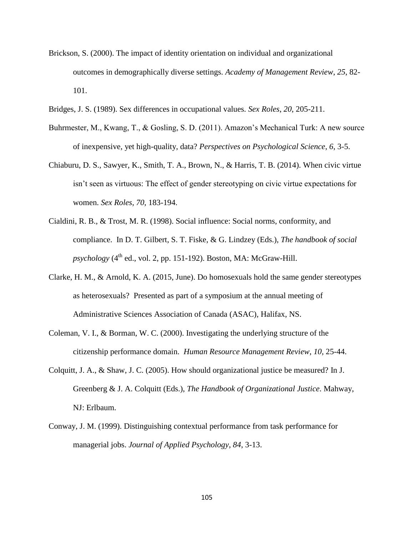- Brickson, S. (2000). The impact of identity orientation on individual and organizational outcomes in demographically diverse settings. *Academy of Management Review*, *25*, 82- 101.
- Bridges, J. S. (1989). Sex differences in occupational values. *Sex Roles*, *20*, 205-211.
- Buhrmester, M., Kwang, T., & Gosling, S. D. (2011). Amazon's Mechanical Turk: A new source of inexpensive, yet high-quality, data? *Perspectives on Psychological Science*, *6*, 3-5.
- Chiaburu, D. S., Sawyer, K., Smith, T. A., Brown, N., & Harris, T. B. (2014). When civic virtue isn't seen as virtuous: The effect of gender stereotyping on civic virtue expectations for women. *Sex Roles*, *70*, 183-194.
- Cialdini, R. B., & Trost, M. R. (1998). Social influence: Social norms, conformity, and compliance. In D. T. Gilbert, S. T. Fiske, & G. Lindzey (Eds.), *The handbook of social*   $p$ *sychology* ( $4<sup>th</sup>$  ed., vol. 2, pp. 151-192). Boston, MA: McGraw-Hill.
- Clarke, H. M., & Arnold, K. A. (2015, June). Do homosexuals hold the same gender stereotypes as heterosexuals? Presented as part of a symposium at the annual meeting of Administrative Sciences Association of Canada (ASAC)*,* Halifax, NS.
- Coleman, V. I., & Borman, W. C. (2000). Investigating the underlying structure of the citizenship performance domain. *Human Resource Management Review*, *10*, 25-44.
- Colquitt, J. A., & Shaw, J. C. (2005). How should organizational justice be measured? In J. Greenberg & J. A. Colquitt (Eds.), *The Handbook of Organizational Justice*. Mahway, NJ: Erlbaum.
- Conway, J. M. (1999). Distinguishing contextual performance from task performance for managerial jobs. *Journal of Applied Psychology*, *84*, 3-13.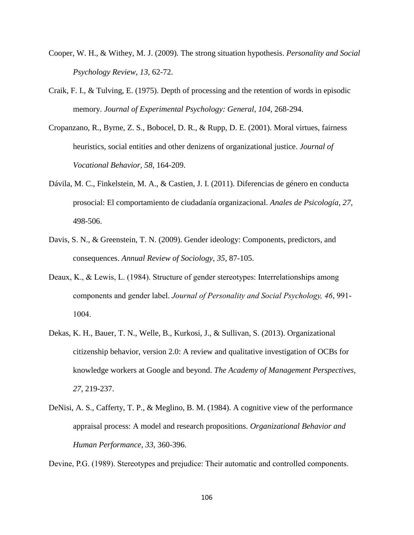- Cooper, W. H., & Withey, M. J. (2009). The strong situation hypothesis. *Personality and Social Psychology Review*, *13*, 62-72.
- Craik, F. I., & Tulving, E. (1975). Depth of processing and the retention of words in episodic memory. *Journal of Experimental Psychology: General*, *104*, 268-294.
- Cropanzano, R., Byrne, Z. S., Bobocel, D. R., & Rupp, D. E. (2001). Moral virtues, fairness heuristics, social entities and other denizens of organizational justice. *Journal of Vocational Behavior, 58*, 164-209.
- Dávila, M. C., Finkelstein, M. A., & Castien, J. I. (2011). Diferencias de género en conducta prosocial: El comportamiento de ciudadanía organizacional. *Anales de Psicología*, *27*, 498-506.
- Davis, S. N., & Greenstein, T. N. (2009). Gender ideology: Components, predictors, and consequences. *Annual Review of Sociology*, *35*, 87-105.
- Deaux, K., & Lewis, L. (1984). Structure of gender stereotypes: Interrelationships among components and gender label. *Journal of Personality and Social Psychology, 46*, 991- 1004.
- Dekas, K. H., Bauer, T. N., Welle, B., Kurkosi, J., & Sullivan, S. (2013). Organizational citizenship behavior, version 2.0: A review and qualitative investigation of OCBs for knowledge workers at Google and beyond. *The Academy of Management Perspectives*, *27*, 219-237.
- DeNisi, A. S., Cafferty, T. P., & Meglino, B. M. (1984). A cognitive view of the performance appraisal process: A model and research propositions. *Organizational Behavior and Human Performance*, *33*, 360-396.

Devine, P.G. (1989). Stereotypes and prejudice: Their automatic and controlled components.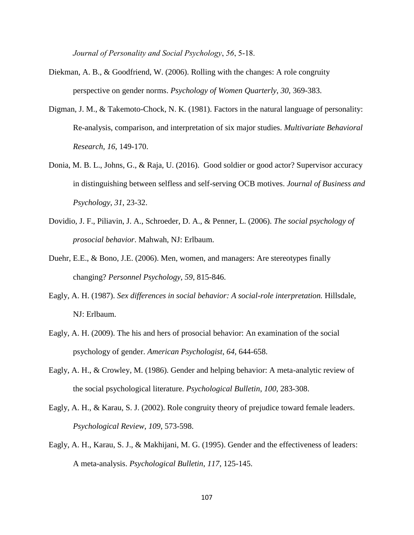*Journal of Personality and Social Psychology*, *56*, 5-18.

- Diekman, A. B., & Goodfriend, W. (2006). Rolling with the changes: A role congruity perspective on gender norms. *Psychology of Women Quarterly*, *30*, 369-383.
- Digman, J. M., & Takemoto-Chock, N. K. (1981). Factors in the natural language of personality: Re-analysis, comparison, and interpretation of six major studies. *Multivariate Behavioral Research*, *16*, 149-170.
- Donia, M. B. L., Johns, G., & Raja, U. (2016). Good soldier or good actor? Supervisor accuracy in distinguishing between selfless and self-serving OCB motives. *Journal of Business and Psychology*, *31*, 23-32.
- Dovidio, J. F., Piliavin, J. A., Schroeder, D. A., & Penner, L. (2006). *The social psychology of prosocial behavior*. Mahwah, NJ: Erlbaum.
- Duehr, E.E., & Bono, J.E. (2006). Men, women, and managers: Are stereotypes finally changing? *Personnel Psychology*, *59,* 815-846.
- Eagly, A. H. (1987). *Sex differences in social behavior: A social-role interpretation.* Hillsdale, NJ: Erlbaum.
- Eagly, A. H. (2009). The his and hers of prosocial behavior: An examination of the social psychology of gender. *American Psychologist*, *64*, 644-658.
- Eagly, A. H., & Crowley, M. (1986). Gender and helping behavior: A meta-analytic review of the social psychological literature. *Psychological Bulletin*, *100*, 283-308.
- Eagly, A. H., & Karau, S. J. (2002). Role congruity theory of prejudice toward female leaders. *Psychological Review*, *109*, 573-598.
- Eagly, A. H., Karau, S. J., & Makhijani, M. G. (1995). Gender and the effectiveness of leaders: A meta-analysis. *Psychological Bulletin*, *117*, 125-145.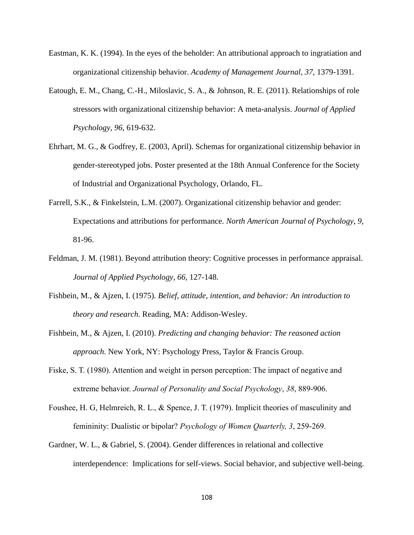- Eastman, K. K. (1994). In the eyes of the beholder: An attributional approach to ingratiation and organizational citizenship behavior. *Academy of Management Journal*, *37*, 1379-1391.
- Eatough, E. M., Chang, C.-H., Miloslavic, S. A., & Johnson, R. E. (2011). Relationships of role stressors with organizational citizenship behavior: A meta-analysis. *Journal of Applied Psychology*, *96*, 619-632.
- Ehrhart, M. G., & Godfrey, E. (2003, April). Schemas for organizational citizenship behavior in gender-stereotyped jobs. Poster presented at the 18th Annual Conference for the Society of Industrial and Organizational Psychology, Orlando, FL.
- Farrell, S.K., & Finkelstein, L.M. (2007). Organizational citizenship behavior and gender: Expectations and attributions for performance. *North American Journal of Psychology*, *9*, 81-96.
- Feldman, J. M. (1981). Beyond attribution theory: Cognitive processes in performance appraisal. *Journal of Applied Psychology*, *66*, 127-148.
- Fishbein, M., & Ajzen, I. (1975). *Belief, attitude, intention, and behavior: An introduction to theory and research*. Reading, MA: Addison-Wesley.
- Fishbein, M., & Ajzen, I. (2010). *Predicting and changing behavior: The reasoned action approach*. New York, NY: Psychology Press, Taylor & Francis Group.
- Fiske, S. T. (1980). Attention and weight in person perception: The impact of negative and extreme behavior. *Journal of Personality and Social Psychology*, *38*, 889-906.
- Foushee, H. G, Helmreich, R. L., & Spence, J. T. (1979). Implicit theories of masculinity and femininity: Dualistic or bipolar? *Psychology of Women Quarterly, 3*, 259-269.
- Gardner, W. L., & Gabriel, S. (2004). Gender differences in relational and collective interdependence: Implications for self-views. Social behavior, and subjective well-being.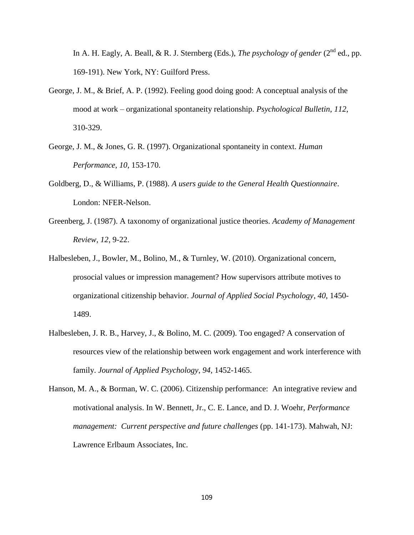In A. H. Eagly, A. Beall,  $\&$  R. J. Sternberg (Eds.), *The psychology of gender* ( $2^{nd}$  ed., pp. 169-191). New York, NY: Guilford Press.

- George, J. M., & Brief, A. P. (1992). Feeling good doing good: A conceptual analysis of the mood at work – organizational spontaneity relationship. *Psychological Bulletin*, *112*, 310-329.
- George, J. M., & Jones, G. R. (1997). Organizational spontaneity in context. *Human Performance*, *10*, 153-170.
- Goldberg, D., & Williams, P. (1988). *A users guide to the General Health Questionnaire*. London: NFER-Nelson.
- Greenberg, J. (1987). A taxonomy of organizational justice theories. *Academy of Management Review, 12*, 9-22.
- Halbesleben, J., Bowler, M., Bolino, M., & Turnley, W. (2010). Organizational concern, prosocial values or impression management? How supervisors attribute motives to organizational citizenship behavior. *Journal of Applied Social Psychology*, *40*, 1450- 1489.
- Halbesleben, J. R. B., Harvey, J., & Bolino, M. C. (2009). Too engaged? A conservation of resources view of the relationship between work engagement and work interference with family. *Journal of Applied Psychology*, *94*, 1452-1465.
- Hanson, M. A., & Borman, W. C. (2006). Citizenship performance: An integrative review and motivational analysis. In W. Bennett, Jr., C. E. Lance, and D. J. Woehr, *Performance management: Current perspective and future challenges* (pp. 141-173). Mahwah, NJ: Lawrence Erlbaum Associates, Inc.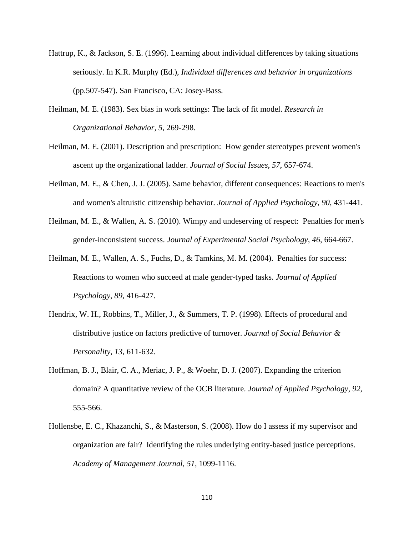- Hattrup, K., & Jackson, S. E. (1996). Learning about individual differences by taking situations seriously. In K.R. Murphy (Ed.), *Individual differences and behavior in organizations* (pp.507-547). San Francisco, CA: Josey-Bass.
- Heilman, M. E. (1983). Sex bias in work settings: The lack of fit model. *Research in Organizational Behavior*, *5*, 269-298.
- Heilman, M. E. (2001). Description and prescription: How gender stereotypes prevent women's ascent up the organizational ladder. *Journal of Social Issues*, *57*, 657-674.
- Heilman, M. E., & Chen, J. J. (2005). Same behavior, different consequences: Reactions to men's and women's altruistic citizenship behavior. *Journal of Applied Psychology*, *90*, 431-441.
- Heilman, M. E., & Wallen, A. S. (2010). Wimpy and undeserving of respect: Penalties for men's gender-inconsistent success. *Journal of Experimental Social Psychology*, *46*, 664-667.
- Heilman, M. E., Wallen, A. S., Fuchs, D., & Tamkins, M. M. (2004). Penalties for success: Reactions to women who succeed at male gender-typed tasks. *Journal of Applied Psychology*, *89*, 416-427.
- Hendrix, W. H., Robbins, T., Miller, J., & Summers, T. P. (1998). Effects of procedural and distributive justice on factors predictive of turnover. *Journal of Social Behavior & Personality, 13*, 611-632.
- Hoffman, B. J., Blair, C. A., Meriac, J. P., & Woehr, D. J. (2007). Expanding the criterion domain? A quantitative review of the OCB literature. *Journal of Applied Psychology*, *92*, 555-566.
- Hollensbe, E. C., Khazanchi, S., & Masterson, S. (2008). How do I assess if my supervisor and organization are fair? Identifying the rules underlying entity-based justice perceptions. *Academy of Management Journal*, *51*, 1099-1116.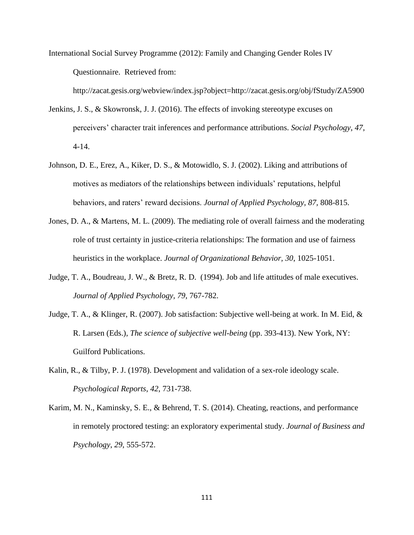International Social Survey Programme (2012): Family and Changing Gender Roles IV Questionnaire. Retrieved from:

http://zacat.gesis.org/webview/index.jsp?object=http://zacat.gesis.org/obj/fStudy/ZA5900

- Jenkins, J. S., & Skowronsk, J. J. (2016). The effects of invoking stereotype excuses on perceivers' character trait inferences and performance attributions. *Social Psychology*, *47*, 4-14.
- Johnson, D. E., Erez, A., Kiker, D. S., & Motowidlo, S. J. (2002). Liking and attributions of motives as mediators of the relationships between individuals' reputations, helpful behaviors, and raters' reward decisions. *Journal of Applied Psychology, 87,* 808-815.
- Jones, D. A., & Martens, M. L. (2009). The mediating role of overall fairness and the moderating role of trust certainty in justice-criteria relationships: The formation and use of fairness heuristics in the workplace. *Journal of Organizational Behavior, 30*, 1025-1051.
- Judge, T. A., Boudreau, J. W., & Bretz, R. D. (1994). Job and life attitudes of male executives. *Journal of Applied Psychology, 79*, 767-782.
- Judge, T. A., & Klinger, R. (2007). Job satisfaction: Subjective well-being at work. In M. Eid, & R. Larsen (Eds.), *The science of subjective well-being* (pp. 393-413). New York, NY: Guilford Publications.
- Kalin, R., & Tilby, P. J. (1978). Development and validation of a sex-role ideology scale. *Psychological Reports*, *42*, 731-738.
- Karim, M. N., Kaminsky, S. E., & Behrend, T. S. (2014). Cheating, reactions, and performance in remotely proctored testing: an exploratory experimental study. *Journal of Business and Psychology*, *29*, 555-572.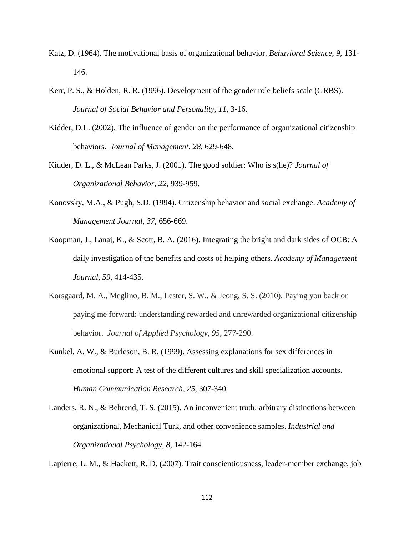- Katz, D. (1964). The motivational basis of organizational behavior. *Behavioral Science*, *9*, 131- 146.
- Kerr, P. S., & Holden, R. R. (1996). Development of the gender role beliefs scale (GRBS). *Journal of Social Behavior and Personality*, *11*, 3-16.
- Kidder, D.L. (2002). The influence of gender on the performance of organizational citizenship behaviors. *Journal of Management*, *28*, 629-648.
- Kidder, D. L., & McLean Parks, J. (2001). The good soldier: Who is s(he)? *Journal of Organizational Behavior*, *22*, 939-959.
- Konovsky, M.A., & Pugh, S.D. (1994). Citizenship behavior and social exchange. *Academy of Management Journal*, *37*, 656-669.
- Koopman, J., Lanaj, K., & Scott, B. A. (2016). Integrating the bright and dark sides of OCB: A daily investigation of the benefits and costs of helping others. *Academy of Management Journal*, *59*, 414-435.
- Korsgaard, M. A., Meglino, B. M., Lester, S. W., & Jeong, S. S. (2010). Paying you back or paying me forward: understanding rewarded and unrewarded organizational citizenship behavior. *Journal of Applied Psychology*, *95*, 277-290.
- Kunkel, A. W., & Burleson, B. R. (1999). Assessing explanations for sex differences in emotional support: A test of the different cultures and skill specialization accounts. *Human Communication Research*, *25*, 307-340.
- Landers, R. N., & Behrend, T. S. (2015). An inconvenient truth: arbitrary distinctions between organizational, Mechanical Turk, and other convenience samples. *Industrial and Organizational Psychology*, *8*, 142-164.

Lapierre, L. M., & Hackett, R. D. (2007). Trait conscientiousness, leader-member exchange, job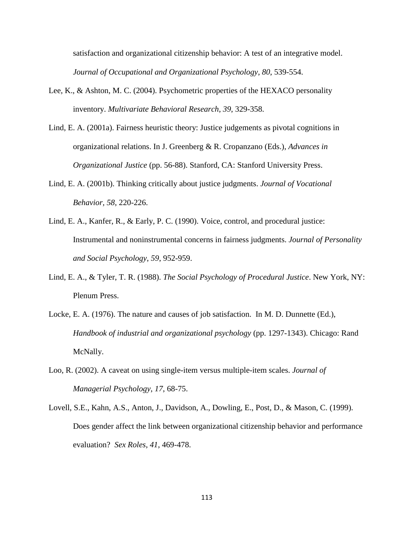satisfaction and organizational citizenship behavior: A test of an integrative model. *Journal of Occupational and Organizational Psychology*, *80*, 539-554.

- Lee, K., & Ashton, M. C. (2004). Psychometric properties of the HEXACO personality inventory. *Multivariate Behavioral Research*, *39*, 329-358.
- Lind, E. A. (2001a). Fairness heuristic theory: Justice judgements as pivotal cognitions in organizational relations. In J. Greenberg & R. Cropanzano (Eds.), *Advances in Organizational Justice* (pp. 56-88). Stanford, CA: Stanford University Press.
- Lind, E. A. (2001b). Thinking critically about justice judgments. *Journal of Vocational Behavior, 58*, 220-226.
- Lind, E. A., Kanfer, R., & Early, P. C. (1990). Voice, control, and procedural justice: Instrumental and noninstrumental concerns in fairness judgments. *Journal of Personality and Social Psychology*, *59*, 952-959.
- Lind, E. A., & Tyler, T. R. (1988). *The Social Psychology of Procedural Justice*. New York, NY: Plenum Press.
- Locke, E. A. (1976). The nature and causes of job satisfaction. In M. D. Dunnette (Ed.), *Handbook of industrial and organizational psychology* (pp. 1297-1343). Chicago: Rand McNally.
- Loo, R. (2002). A caveat on using single-item versus multiple-item scales. *Journal of Managerial Psychology*, *17*, 68-75.
- Lovell, S.E., Kahn, A.S., Anton, J., Davidson, A., Dowling, E., Post, D., & Mason, C. (1999). Does gender affect the link between organizational citizenship behavior and performance evaluation? *Sex Roles*, *41*, 469-478.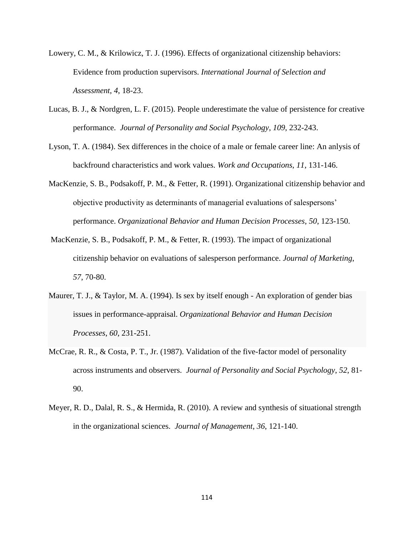- Lowery, C. M., & Krilowicz, T. J. (1996). Effects of organizational citizenship behaviors: Evidence from production supervisors. *International Journal of Selection and Assessment*, *4*, 18-23.
- Lucas, B. J., & Nordgren, L. F. (2015). People underestimate the value of persistence for creative performance. *Journal of Personality and Social Psychology*, *109*, 232-243.
- Lyson, T. A. (1984). Sex differences in the choice of a male or female career line: An anlysis of backfround characteristics and work values. *Work and Occupations*, *11*, 131-146.
- MacKenzie, S. B., Podsakoff, P. M., & Fetter, R. (1991). Organizational citizenship behavior and objective productivity as determinants of managerial evaluations of salespersons' performance. *Organizational Behavior and Human Decision Processes*, *50*, 123-150.
- MacKenzie, S. B., Podsakoff, P. M., & Fetter, R. (1993). The impact of organizational citizenship behavior on evaluations of salesperson performance. *Journal of Marketing*, *57*, 70-80.
- Maurer, T. J., & Taylor, M. A. (1994). Is sex by itself enough An exploration of gender bias issues in performance-appraisal. *Organizational Behavior and Human Decision Processes*, *60*, 231-251.
- McCrae, R. R., & Costa, P. T., Jr. (1987). Validation of the five-factor model of personality across instruments and observers. *Journal of Personality and Social Psychology*, *52*, 81- 90.
- Meyer, R. D., Dalal, R. S., & Hermida, R. (2010). A review and synthesis of situational strength in the organizational sciences. *Journal of Management*, *36*, 121-140.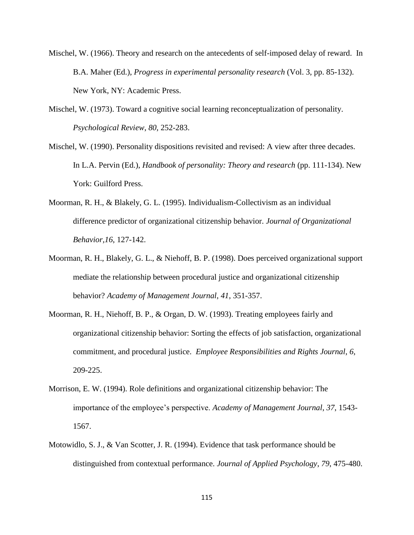- Mischel, W. (1966). Theory and research on the antecedents of self-imposed delay of reward. In B.A. Maher (Ed.), *Progress in experimental personality research* (Vol. 3, pp. 85-132). New York, NY: Academic Press.
- Mischel, W. (1973). Toward a cognitive social learning reconceptualization of personality. *Psychological Review*, *80*, 252-283.
- Mischel, W. (1990). Personality dispositions revisited and revised: A view after three decades. In L.A. Pervin (Ed.), *Handbook of personality: Theory and research* (pp. 111-134). New York: Guilford Press.
- Moorman, R. H., & Blakely, G. L. (1995). Individualism-Collectivism as an individual difference predictor of organizational citizenship behavior. *Journal of Organizational Behavior,16*, 127-142.
- Moorman, R. H., Blakely, G. L., & Niehoff, B. P. (1998). Does perceived organizational support mediate the relationship between procedural justice and organizational citizenship behavior? *Academy of Management Journal*, *41*, 351-357.
- Moorman, R. H., Niehoff, B. P., & Organ, D. W. (1993). Treating employees fairly and organizational citizenship behavior: Sorting the effects of job satisfaction, organizational commitment, and procedural justice. *Employee Responsibilities and Rights Journal*, *6*, 209-225.
- Morrison, E. W. (1994). Role definitions and organizational citizenship behavior: The importance of the employee's perspective. *Academy of Management Journal*, *37*, 1543- 1567.
- Motowidlo, S. J., & Van Scotter, J. R. (1994). Evidence that task performance should be distinguished from contextual performance. *Journal of Applied Psychology*, *79*, 475-480.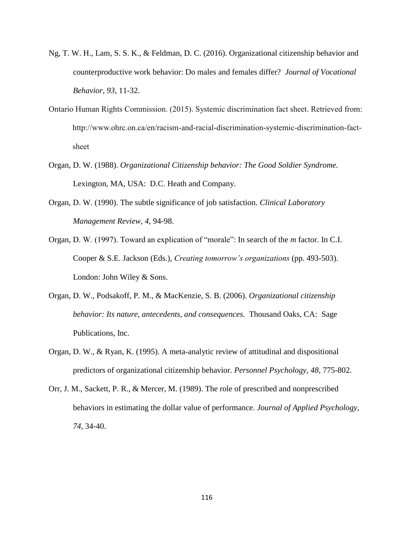- Ng, T. W. H., Lam, S. S. K., & Feldman, D. C. (2016). Organizational citizenship behavior and counterproductive work behavior: Do males and females differ? *Journal of Vocational Behavior*, *93*, 11-32.
- Ontario Human Rights Commission. (2015). Systemic discrimination fact sheet. Retrieved from: http://www.ohrc.on.ca/en/racism-and-racial-discrimination-systemic-discrimination-factsheet
- Organ, D. W. (1988). *Organizational Citizenship behavior: The Good Soldier Syndrome.* Lexington, MA, USA: D.C. Heath and Company.
- Organ, D. W. (1990). The subtle significance of job satisfaction. *Clinical Laboratory Management Review, 4*, 94-98.
- Organ, D. W. (1997). Toward an explication of "morale": In search of the *m* factor. In C.I. Cooper & S.E. Jackson (Eds.), *Creating tomorrow's organizations* (pp. 493-503). London: John Wiley & Sons.
- Organ, D. W., Podsakoff, P. M., & MacKenzie, S. B. (2006). *Organizational citizenship behavior: Its nature, antecedents, and consequences.* Thousand Oaks, CA: Sage Publications, Inc.
- Organ, D. W., & Ryan, K. (1995). A meta-analytic review of attitudinal and dispositional predictors of organizational citizenship behavior. *Personnel Psychology*, *48*, 775-802.
- Orr, J. M., Sackett, P. R., & Mercer, M. (1989). The role of prescribed and nonprescribed behaviors in estimating the dollar value of performance. *Journal of Applied Psychology*, *74*, 34-40.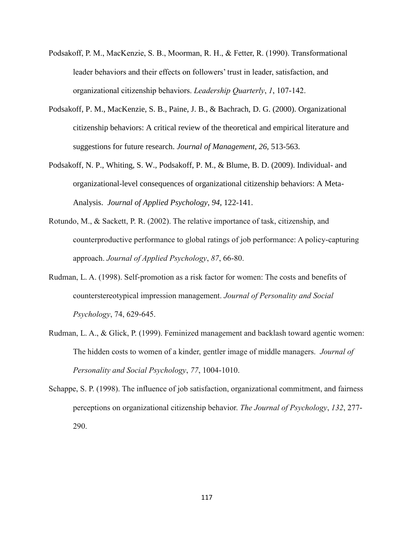- Podsakoff, P. M., MacKenzie, S. B., Moorman, R. H., & Fetter, R. (1990). Transformational leader behaviors and their effects on followers' trust in leader, satisfaction, and organizational citizenship behaviors. *Leadership Quarterly*, *1*, 107-142.
- Podsakoff, P. M., MacKenzie, S. B., Paine, J. B., & Bachrach, D. G. (2000). Organizational citizenship behaviors: A critical review of the theoretical and empirical literature and suggestions for future research. *Journal of Management, 26,* 513-563.
- Podsakoff, N. P., Whiting, S. W., Podsakoff, P. M., & Blume, B. D. (2009). Individual- and organizational-level consequences of organizational citizenship behaviors: A Meta-Analysis. *Journal of Applied Psychology*, *94*, 122-141.
- Rotundo, M., & Sackett, P. R. (2002). The relative importance of task, citizenship, and counterproductive performance to global ratings of job performance: A policy-capturing approach. *Journal of Applied Psychology*, *87*, 66-80.
- Rudman, L. A. (1998). Self-promotion as a risk factor for women: The costs and benefits of counterstereotypical impression management. *Journal of Personality and Social Psychology*, 74, 629-645.
- Rudman, L. A., & Glick, P. (1999). Feminized management and backlash toward agentic women: The hidden costs to women of a kinder, gentler image of middle managers. *Journal of Personality and Social Psychology*, *77*, 1004-1010.
- Schappe, S. P. (1998). The influence of job satisfaction, organizational commitment, and fairness perceptions on organizational citizenship behavior. *The Journal of Psychology*, *132*, 277- 290.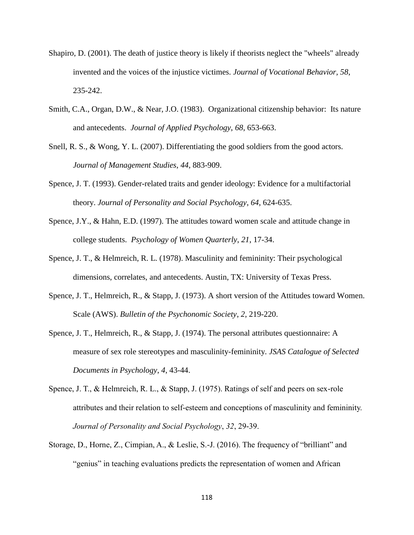- Shapiro, D. (2001). The death of justice theory is likely if theorists neglect the "wheels" already invented and the voices of the injustice victimes. *Journal of Vocational Behavior, 58*, 235-242.
- Smith, C.A., Organ, D.W., & Near, J.O. (1983). Organizational citizenship behavior: Its nature and antecedents. *Journal of Applied Psychology*, *68*, 653-663.
- Snell, R. S., & Wong, Y. L. (2007). Differentiating the good soldiers from the good actors. *Journal of Management Studies*, *44*, 883-909.
- Spence, J. T. (1993). Gender-related traits and gender ideology: Evidence for a multifactorial theory. *Journal of Personality and Social Psychology*, *64*, 624-635.
- Spence, J.Y., & Hahn, E.D. (1997). The attitudes toward women scale and attitude change in college students. *Psychology of Women Quarterly*, *21*, 17-34.
- Spence, J. T., & Helmreich, R. L. (1978). Masculinity and femininity: Their psychological dimensions, correlates, and antecedents. Austin, TX: University of Texas Press.
- Spence, J. T., Helmreich, R., & Stapp, J. (1973). A short version of the Attitudes toward Women. Scale (AWS). *Bulletin of the Psychonomic Society*, *2*, 219-220.
- Spence, J. T., Helmreich, R., & Stapp, J. (1974). The personal attributes questionnaire: A measure of sex role stereotypes and masculinity-femininity. *JSAS Catalogue of Selected Documents in Psychology*, *4*, 43-44.
- Spence, J. T., & Helmreich, R. L., & Stapp, J. (1975). Ratings of self and peers on sex-role attributes and their relation to self-esteem and conceptions of masculinity and femininity. *Journal of Personality and Social Psychology*, *32*, 29-39.
- Storage, D., Horne, Z., Cimpian, A., & Leslie, S.-J. (2016). The frequency of "brilliant" and "genius" in teaching evaluations predicts the representation of women and African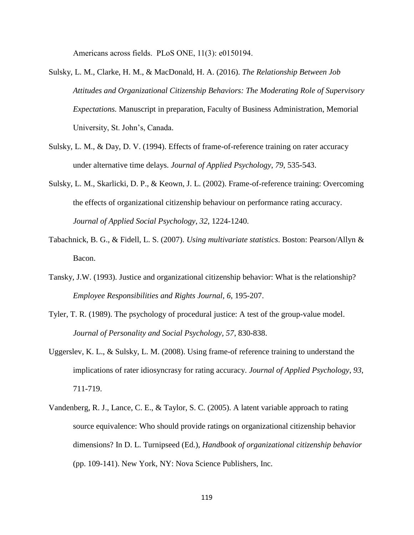Americans across fields. PLoS ONE, 11(3): e0150194.

- Sulsky, L. M., Clarke, H. M., & MacDonald, H. A. (2016). *The Relationship Between Job Attitudes and Organizational Citizenship Behaviors: The Moderating Role of Supervisory Expectations.* Manuscript in preparation, Faculty of Business Administration, Memorial University, St. John's, Canada.
- Sulsky, L. M., & Day, D. V. (1994). Effects of frame-of-reference training on rater accuracy under alternative time delays. *Journal of Applied Psychology*, *79*, 535-543.
- Sulsky, L. M., Skarlicki, D. P., & Keown, J. L. (2002). Frame-of-reference training: Overcoming the effects of organizational citizenship behaviour on performance rating accuracy. *Journal of Applied Social Psychology*, *32*, 1224-1240.
- Tabachnick, B. G., & Fidell, L. S. (2007). *Using multivariate statistics*. Boston: Pearson/Allyn & Bacon.
- Tansky, J.W. (1993). Justice and organizational citizenship behavior: What is the relationship? *Employee Responsibilities and Rights Journal*, *6*, 195-207.
- Tyler, T. R. (1989). The psychology of procedural justice: A test of the group-value model. *Journal of Personality and Social Psychology, 57*, 830-838.
- Uggerslev, K. L., & Sulsky, L. M. (2008). Using frame-of reference training to understand the implications of rater idiosyncrasy for rating accuracy. *Journal of Applied Psychology*, *93*, 711-719.
- Vandenberg, R. J., Lance, C. E., & Taylor, S. C. (2005). A latent variable approach to rating source equivalence: Who should provide ratings on organizational citizenship behavior dimensions? In D. L. Turnipseed (Ed.), *Handbook of organizational citizenship behavior* (pp. 109-141). New York, NY: Nova Science Publishers, Inc.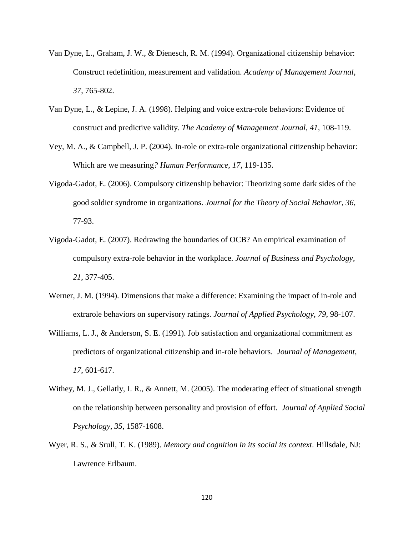- Van Dyne, L., Graham, J. W., & Dienesch, R. M. (1994). Organizational citizenship behavior: Construct redefinition, measurement and validation. *Academy of Management Journal*, *37*, 765-802.
- Van Dyne, L., & Lepine, J. A. (1998). Helping and voice extra-role behaviors: Evidence of construct and predictive validity. *The Academy of Management Journal*, *41*, 108-119.
- Vey, M. A., & Campbell, J. P. (2004). In-role or extra-role organizational citizenship behavior: Which are we measuring*? Human Performance*, *17*, 119-135.
- Vigoda-Gadot, E. (2006). Compulsory citizenship behavior: Theorizing some dark sides of the good soldier syndrome in organizations. *Journal for the Theory of Social Behavior*, *36*, 77-93.
- Vigoda-Gadot, E. (2007). Redrawing the boundaries of OCB? An empirical examination of compulsory extra-role behavior in the workplace. *Journal of Business and Psychology*, *21*, 377-405.
- Werner, J. M. (1994). Dimensions that make a difference: Examining the impact of in-role and extrarole behaviors on supervisory ratings. *Journal of Applied Psychology*, *79*, 98-107.
- Williams, L. J., & Anderson, S. E. (1991). Job satisfaction and organizational commitment as predictors of organizational citizenship and in-role behaviors. *Journal of Management*, *17*, 601-617.
- Withey, M. J., Gellatly, I. R., & Annett, M. (2005). The moderating effect of situational strength on the relationship between personality and provision of effort. *Journal of Applied Social Psychology*, *35*, 1587-1608.
- Wyer, R. S., & Srull, T. K. (1989). *Memory and cognition in its social its context*. Hillsdale, NJ: Lawrence Erlbaum.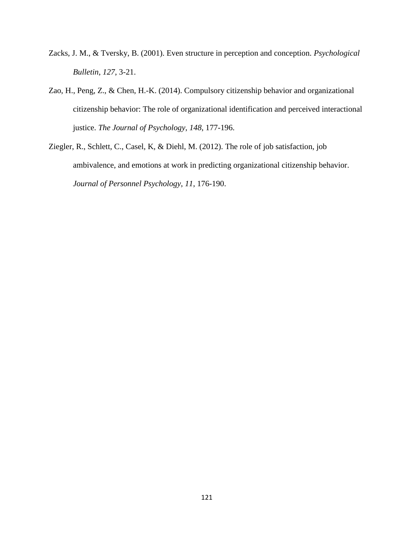- Zacks, J. M., & Tversky, B. (2001). Even structure in perception and conception. *Psychological Bulletin*, *127*, 3-21.
- Zao, H., Peng, Z., & Chen, H.-K. (2014). Compulsory citizenship behavior and organizational citizenship behavior: The role of organizational identification and perceived interactional justice. *The Journal of Psychology*, *148*, 177-196.
- Ziegler, R., Schlett, C., Casel, K, & Diehl, M. (2012). The role of job satisfaction, job ambivalence, and emotions at work in predicting organizational citizenship behavior. *Journal of Personnel Psychology*, *11*, 176-190.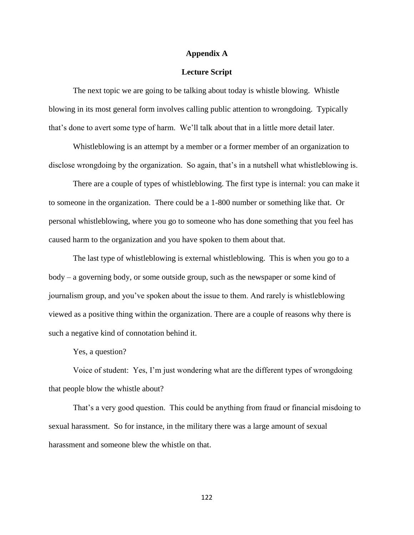#### **Appendix A**

# **Lecture Script**

The next topic we are going to be talking about today is whistle blowing. Whistle blowing in its most general form involves calling public attention to wrongdoing. Typically that's done to avert some type of harm. We'll talk about that in a little more detail later.

Whistleblowing is an attempt by a member or a former member of an organization to disclose wrongdoing by the organization. So again, that's in a nutshell what whistleblowing is.

There are a couple of types of whistleblowing. The first type is internal: you can make it to someone in the organization. There could be a 1-800 number or something like that. Or personal whistleblowing, where you go to someone who has done something that you feel has caused harm to the organization and you have spoken to them about that.

The last type of whistleblowing is external whistleblowing. This is when you go to a body – a governing body, or some outside group, such as the newspaper or some kind of journalism group, and you've spoken about the issue to them. And rarely is whistleblowing viewed as a positive thing within the organization. There are a couple of reasons why there is such a negative kind of connotation behind it.

Yes, a question?

Voice of student: Yes, I'm just wondering what are the different types of wrongdoing that people blow the whistle about?

That's a very good question. This could be anything from fraud or financial misdoing to sexual harassment. So for instance, in the military there was a large amount of sexual harassment and someone blew the whistle on that.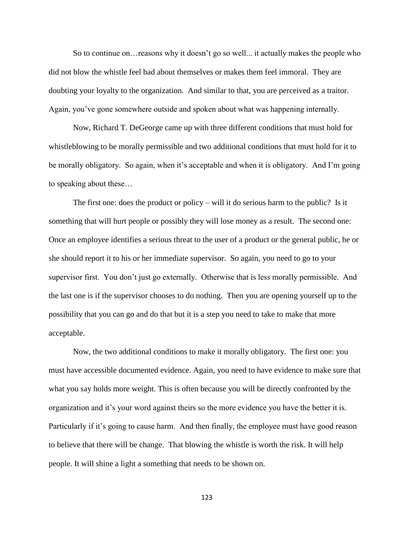So to continue on…reasons why it doesn't go so well... it actually makes the people who did not blow the whistle feel bad about themselves or makes them feel immoral. They are doubting your loyalty to the organization. And similar to that, you are perceived as a traitor. Again, you've gone somewhere outside and spoken about what was happening internally.

Now, Richard T. DeGeorge came up with three different conditions that must hold for whistleblowing to be morally permissible and two additional conditions that must hold for it to be morally obligatory. So again, when it's acceptable and when it is obligatory. And I'm going to speaking about these…

The first one: does the product or policy – will it do serious harm to the public? Is it something that will hurt people or possibly they will lose money as a result. The second one: Once an employee identifies a serious threat to the user of a product or the general public, he or she should report it to his or her immediate supervisor. So again, you need to go to your supervisor first. You don't just go externally. Otherwise that is less morally permissible. And the last one is if the supervisor chooses to do nothing. Then you are opening yourself up to the possibility that you can go and do that but it is a step you need to take to make that more acceptable.

Now, the two additional conditions to make it morally obligatory. The first one: you must have accessible documented evidence. Again, you need to have evidence to make sure that what you say holds more weight. This is often because you will be directly confronted by the organization and it's your word against theirs so the more evidence you have the better it is. Particularly if it's going to cause harm. And then finally, the employee must have good reason to believe that there will be change. That blowing the whistle is worth the risk. It will help people. It will shine a light a something that needs to be shown on.